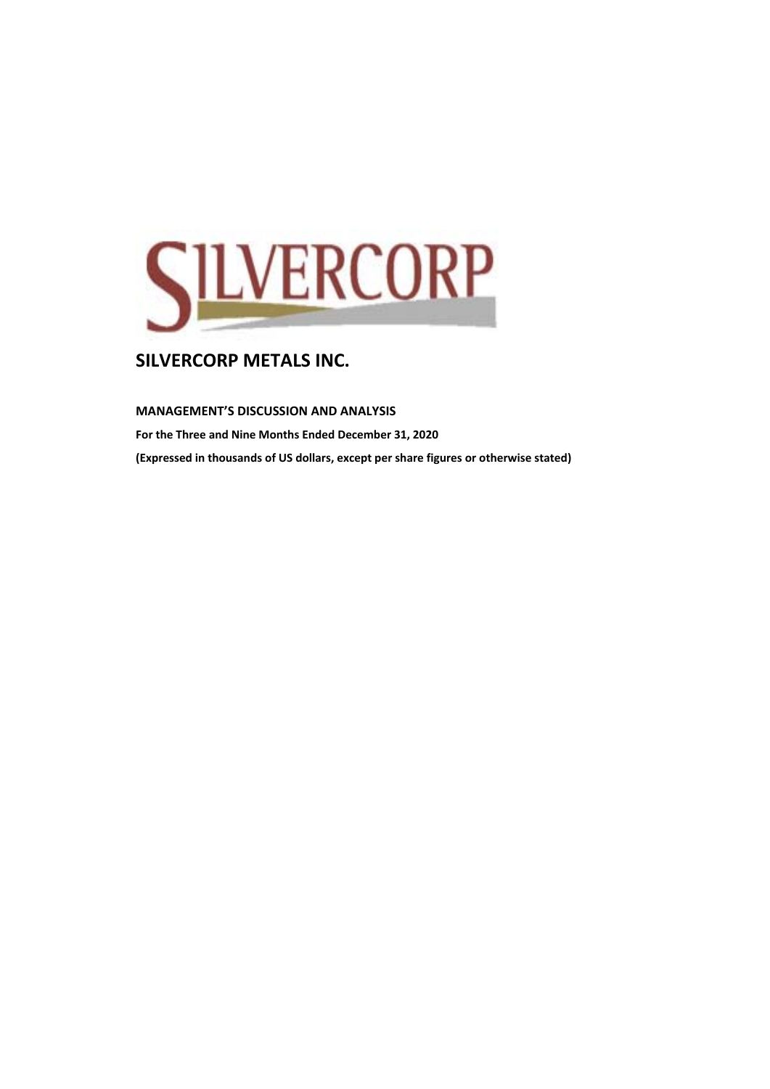

**MANAGEMENT'S DISCUSSION AND ANALYSIS** 

**For the Three and Nine Months Ended December 31, 2020** 

**(Expressed in thousands of US dollars, except per share figures or otherwise stated)**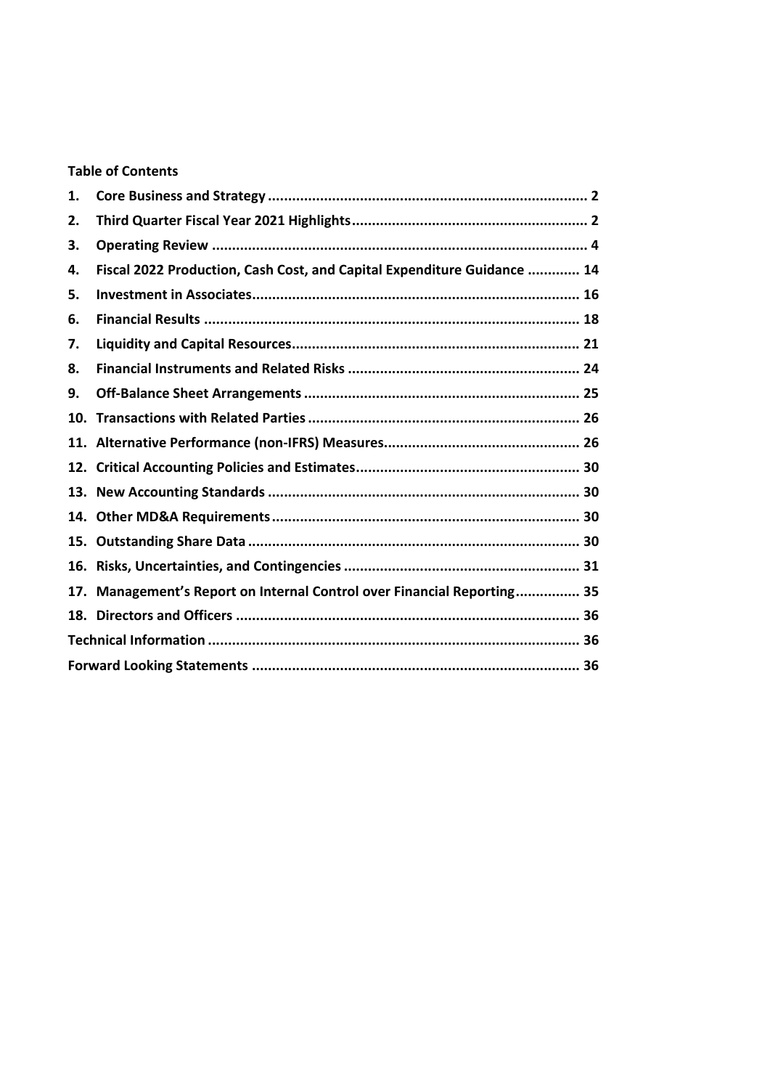# **Table of Contents**

| 1.  |                                                                         |  |
|-----|-------------------------------------------------------------------------|--|
| 2.  |                                                                         |  |
| 3.  |                                                                         |  |
| 4.  | Fiscal 2022 Production, Cash Cost, and Capital Expenditure Guidance  14 |  |
| 5.  |                                                                         |  |
| 6.  |                                                                         |  |
| 7.  |                                                                         |  |
| 8.  |                                                                         |  |
| 9.  |                                                                         |  |
| 10. |                                                                         |  |
|     |                                                                         |  |
|     |                                                                         |  |
|     |                                                                         |  |
|     |                                                                         |  |
|     |                                                                         |  |
|     |                                                                         |  |
|     | 17. Management's Report on Internal Control over Financial Reporting 35 |  |
|     |                                                                         |  |
|     |                                                                         |  |
|     |                                                                         |  |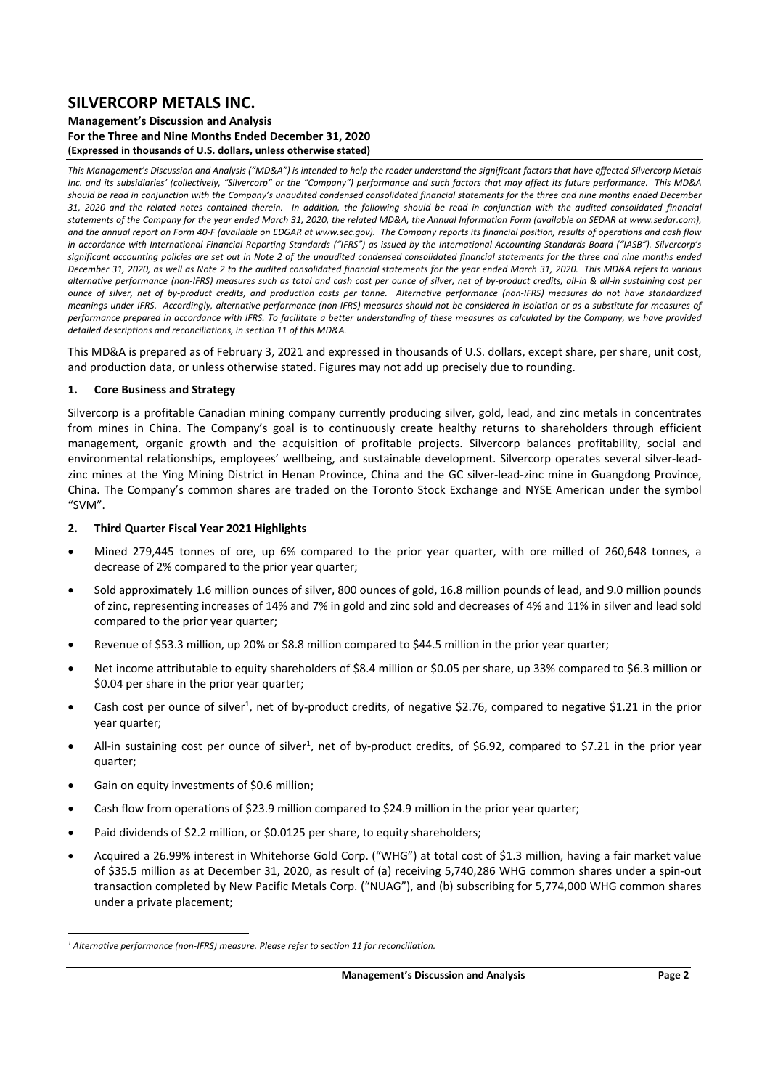### **Management's Discussion and Analysis For the Three and Nine Months Ended December 31, 2020 (Expressed in thousands of U.S. dollars, unless otherwise stated)**

*This Management's Discussion and Analysis ("MD&A") is intended to help the reader understand the significant factors that have affected Silvercorp Metals Inc. and its subsidiaries' (collectively, "Silvercorp" or the "Company") performance and such factors that may affect its future performance. This MD&A should be read in conjunction with the Company's unaudited condensed consolidated financial statements for the three and nine months ended December 31, 2020 and the related notes contained therein. In addition, the following should be read in conjunction with the audited consolidated financial statements of the Company for the year ended March 31, 2020, the related MD&A, the Annual Information Form (available on SEDAR at www.sedar.com), and the annual report on Form 40‐F (available on EDGAR at www.sec.gov). The Company reports its financial position, results of operations and cash flow*  in accordance with International Financial Reporting Standards ("IFRS") as issued by the International Accounting Standards Board ("IASB"). Silvercorp's *significant accounting policies are set out in Note 2 of the unaudited condensed consolidated financial statements for the three and nine months ended December 31, 2020, as well as Note 2 to the audited consolidated financial statements for the year ended March 31, 2020. This MD&A refers to various alternative performance (non‐IFRS) measures such as total and cash cost per ounce of silver, net of by‐product credits, all‐in & all‐in sustaining cost per ounce of silver, net of by‐product credits, and production costs per tonne. Alternative performance (non‐IFRS) measures do not have standardized meanings under IFRS. Accordingly, alternative performance (non‐IFRS) measures should not be considered in isolation or as a substitute for measures of performance prepared in accordance with IFRS. To facilitate a better understanding of these measures as calculated by the Company, we have provided*  detailed descriptions and reconciliations, in section 11 of this MD&A.

This MD&A is prepared as of February 3, 2021 and expressed in thousands of U.S. dollars, except share, per share, unit cost, and production data, or unless otherwise stated. Figures may not add up precisely due to rounding.

### **1. Core Business and Strategy**

Silvercorp is a profitable Canadian mining company currently producing silver, gold, lead, and zinc metals in concentrates from mines in China. The Company's goal is to continuously create healthy returns to shareholders through efficient management, organic growth and the acquisition of profitable projects. Silvercorp balances profitability, social and environmental relationships, employees' wellbeing, and sustainable development. Silvercorp operates several silver-leadzinc mines at the Ying Mining District in Henan Province, China and the GC silver-lead-zinc mine in Guangdong Province, China. The Company's common shares are traded on the Toronto Stock Exchange and NYSE American under the symbol "SVM".

### **2. Third Quarter Fiscal Year 2021 Highlights**

- Mined 279,445 tonnes of ore, up 6% compared to the prior year quarter, with ore milled of 260,648 tonnes, a decrease of 2% compared to the prior year quarter;
- Sold approximately 1.6 million ounces of silver, 800 ounces of gold, 16.8 million pounds of lead, and 9.0 million pounds of zinc, representing increases of 14% and 7% in gold and zinc sold and decreases of 4% and 11% in silver and lead sold compared to the prior year quarter;
- Revenue of \$53.3 million, up 20% or \$8.8 million compared to \$44.5 million in the prior year quarter;
- Net income attributable to equity shareholders of \$8.4 million or \$0.05 per share, up 33% compared to \$6.3 million or \$0.04 per share in the prior year quarter;
- Cash cost per ounce of silver<sup>1</sup>, net of by-product credits, of negative \$2.76, compared to negative \$1.21 in the prior year quarter;
- All-in sustaining cost per ounce of silver<sup>1</sup>, net of by-product credits, of \$6.92, compared to \$7.21 in the prior year quarter;
- Gain on equity investments of \$0.6 million;
- Cash flow from operations of \$23.9 million compared to \$24.9 million in the prior year quarter;
- Paid dividends of \$2.2 million, or \$0.0125 per share, to equity shareholders;
- Acquired a 26.99% interest in Whitehorse Gold Corp. ("WHG") at total cost of \$1.3 million, having a fair market value of \$35.5 million as at December 31, 2020, as result of (a) receiving 5,740,286 WHG common shares under a spin‐out transaction completed by New Pacific Metals Corp. ("NUAG"), and (b) subscribing for 5,774,000 WHG common shares under a private placement;

<sup>&</sup>lt;sup>1</sup> Alternative performance (non-IFRS) measure. Please refer to section 11 for reconciliation.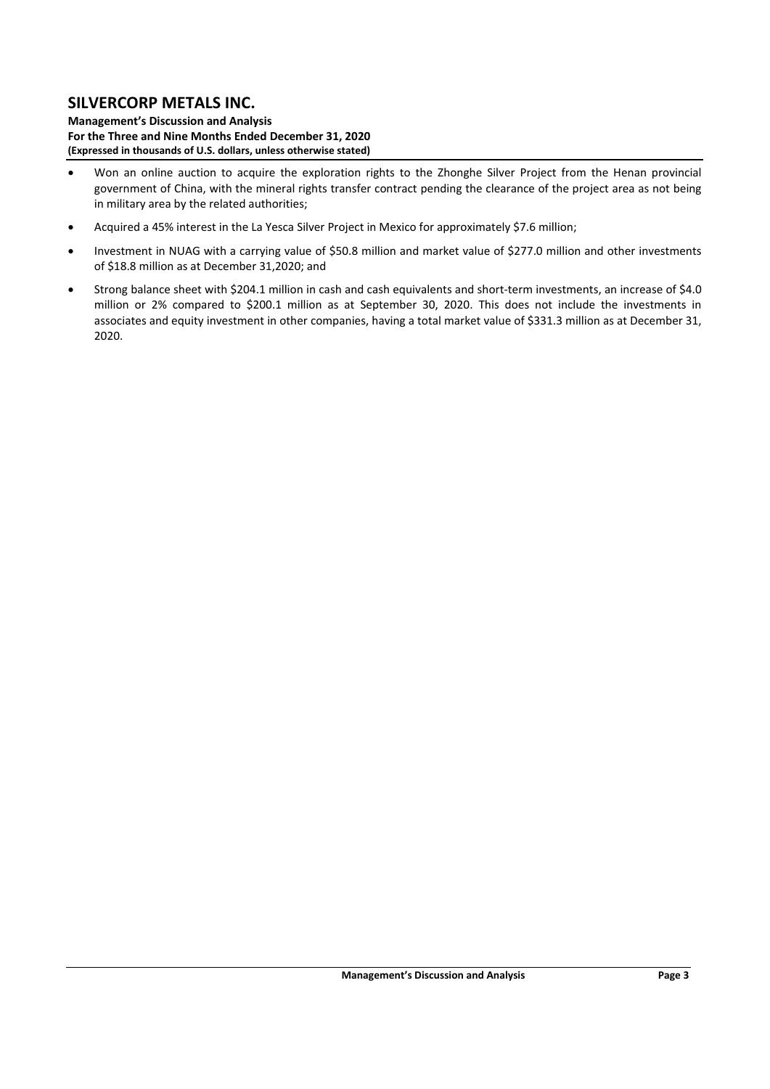**Management's Discussion and Analysis For the Three and Nine Months Ended December 31, 2020 (Expressed in thousands of U.S. dollars, unless otherwise stated)** 

- Won an online auction to acquire the exploration rights to the Zhonghe Silver Project from the Henan provincial government of China, with the mineral rights transfer contract pending the clearance of the project area as not being in military area by the related authorities;
- Acquired a 45% interest in the La Yesca Silver Project in Mexico for approximately \$7.6 million;
- Investment in NUAG with a carrying value of \$50.8 million and market value of \$277.0 million and other investments of \$18.8 million as at December 31,2020; and
- Strong balance sheet with \$204.1 million in cash and cash equivalents and short-term investments, an increase of \$4.0 million or 2% compared to \$200.1 million as at September 30, 2020. This does not include the investments in associates and equity investment in other companies, having a total market value of \$331.3 million as at December 31, 2020.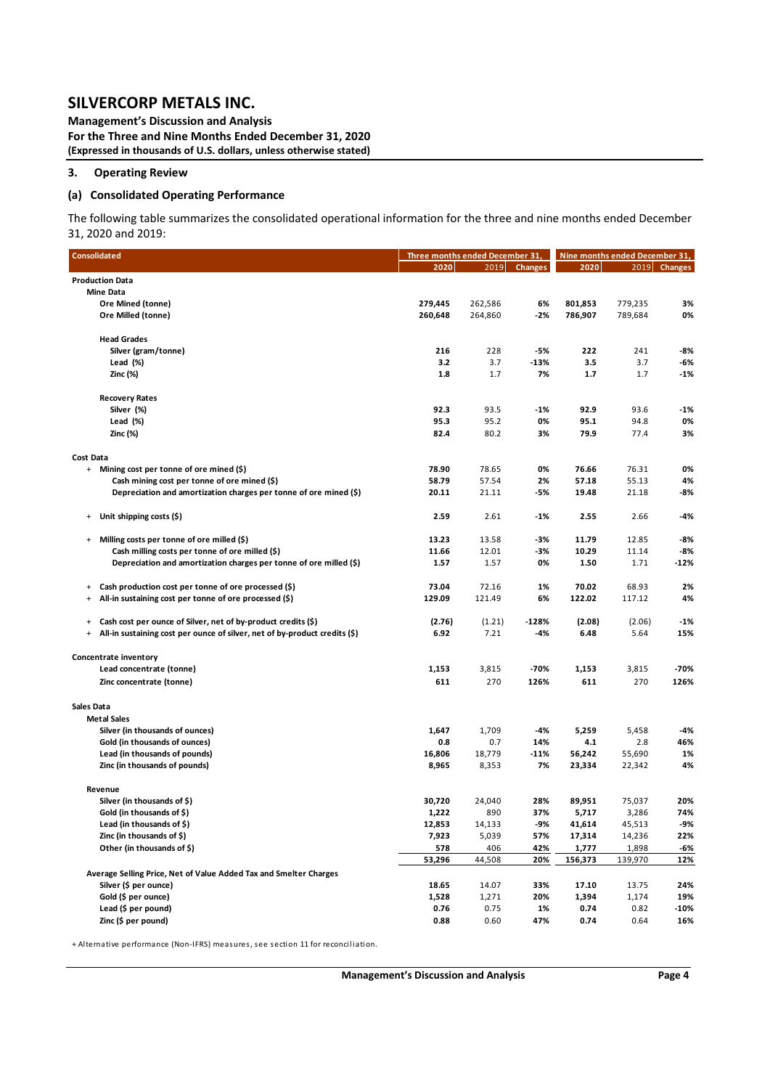**Management's Discussion and Analysis For the Three and Nine Months Ended December 31, 2020 (Expressed in thousands of U.S. dollars, unless otherwise stated)** 

### **3. Operating Review**

### **(a) Consolidated Operating Performance**

The following table summarizes the consolidated operational information for the three and nine months ended December 31, 2020 and 2019:

| <b>Consolidated</b>                                                                        | Three months ended December 31, |               |                |         |         | Nine months ended December 31, |  |
|--------------------------------------------------------------------------------------------|---------------------------------|---------------|----------------|---------|---------|--------------------------------|--|
|                                                                                            | 2020                            | 2019          | <b>Changes</b> | 2020    |         | 2019 Changes                   |  |
| <b>Production Data</b>                                                                     |                                 |               |                |         |         |                                |  |
| <b>Mine Data</b>                                                                           |                                 |               |                |         |         |                                |  |
| Ore Mined (tonne)                                                                          | 279,445                         | 262,586       | 6%             | 801,853 | 779,235 | 3%                             |  |
| Ore Milled (tonne)                                                                         | 260,648                         | 264,860       | $-2%$          | 786,907 | 789,684 | 0%                             |  |
|                                                                                            |                                 |               |                |         |         |                                |  |
| <b>Head Grades</b>                                                                         |                                 |               |                |         |         |                                |  |
| Silver (gram/tonne)                                                                        | 216                             | 228           | -5%            | 222     | 241     | -8%                            |  |
| Lead (%)                                                                                   | 3.2                             | 3.7           | $-13%$         | 3.5     | 3.7     | -6%                            |  |
| Zinc (%)                                                                                   | 1.8                             | 1.7           | 7%             | 1.7     | 1.7     | $-1%$                          |  |
|                                                                                            |                                 |               |                |         |         |                                |  |
| <b>Recovery Rates</b>                                                                      |                                 |               |                |         |         |                                |  |
| Silver (%)                                                                                 | 92.3                            | 93.5          | $-1%$          | 92.9    | 93.6    | $-1%$                          |  |
| Lead (%)                                                                                   | 95.3                            | 95.2          | 0%             | 95.1    | 94.8    | 0%                             |  |
| Zinc (%)                                                                                   | 82.4                            | 80.2          | 3%             | 79.9    | 77.4    | 3%                             |  |
|                                                                                            |                                 |               |                |         |         |                                |  |
| <b>Cost Data</b>                                                                           |                                 |               |                |         |         |                                |  |
| Mining cost per tonne of ore mined (\$)<br>$+$                                             | 78.90                           | 78.65         | 0%             | 76.66   | 76.31   | 0%                             |  |
| Cash mining cost per tonne of ore mined (\$)                                               | 58.79                           | 57.54         | 2%             | 57.18   | 55.13   | 4%                             |  |
| Depreciation and amortization charges per tonne of ore mined (\$)                          | 20.11                           | 21.11         | -5%            | 19.48   | 21.18   | -8%                            |  |
|                                                                                            |                                 |               |                |         |         |                                |  |
| Unit shipping costs (\$)<br>$\begin{array}{c} + \end{array}$                               | 2.59                            | 2.61          | $-1%$          | 2.55    | 2.66    | -4%                            |  |
| Milling costs per tonne of ore milled (\$)<br>$\begin{array}{c} + \end{array}$             | 13.23                           | 13.58         | -3%            | 11.79   | 12.85   | -8%                            |  |
| Cash milling costs per tonne of ore milled (\$)                                            | 11.66                           | 12.01         | -3%            | 10.29   | 11.14   | $-8%$                          |  |
| Depreciation and amortization charges per tonne of ore milled (\$)                         | 1.57                            | 1.57          | 0%             | 1.50    | 1.71    | $-12%$                         |  |
|                                                                                            |                                 |               |                |         |         |                                |  |
| Cash production cost per tonne of ore processed (\$)<br>$\ddot{}$                          | 73.04                           | 72.16         | 1%             | 70.02   | 68.93   | 2%                             |  |
| All-in sustaining cost per tonne of ore processed (\$)<br>$\begin{array}{c} + \end{array}$ | 129.09                          | 121.49        | 6%             | 122.02  | 117.12  | 4%                             |  |
|                                                                                            |                                 |               |                |         |         |                                |  |
| Cash cost per ounce of Silver, net of by-product credits (\$)<br>$\ddot{}$                 | (2.76)                          | (1.21)        | $-128%$        | (2.08)  | (2.06)  | $-1%$                          |  |
| All-in sustaining cost per ounce of silver, net of by-product credits (\$)<br>$\ddot{}$    | 6.92                            | 7.21          | $-4%$          | 6.48    | 5.64    | 15%                            |  |
|                                                                                            |                                 |               |                |         |         |                                |  |
| Concentrate inventory                                                                      |                                 |               |                |         |         |                                |  |
| Lead concentrate (tonne)                                                                   | 1,153                           | 3,815         | -70%           | 1,153   | 3,815   | -70%                           |  |
| Zinc concentrate (tonne)                                                                   | 611                             | 270           | 126%           | 611     | 270     | 126%                           |  |
|                                                                                            |                                 |               |                |         |         |                                |  |
| <b>Sales Data</b>                                                                          |                                 |               |                |         |         |                                |  |
| <b>Metal Sales</b>                                                                         |                                 |               |                |         |         |                                |  |
| Silver (in thousands of ounces)                                                            | 1,647                           | 1,709         | $-4%$          | 5,259   | 5,458   | -4%                            |  |
| Gold (in thousands of ounces)                                                              | 0.8                             | 0.7           | 14%            | 4.1     | 2.8     | 46%                            |  |
| Lead (in thousands of pounds)                                                              | 16,806                          | 18,779        | $-11%$         | 56,242  | 55,690  | 1%                             |  |
| Zinc (in thousands of pounds)                                                              | 8,965                           | 8,353         | 7%             | 23,334  | 22,342  | 4%                             |  |
|                                                                                            |                                 |               |                |         |         |                                |  |
| Revenue                                                                                    |                                 |               |                |         |         |                                |  |
| Silver (in thousands of \$)                                                                | 30,720                          | 24,040<br>890 | 28%<br>37%     | 89,951  | 75,037  | 20%<br>74%                     |  |
| Gold (in thousands of \$)                                                                  | 1,222                           |               |                | 5,717   | 3,286   |                                |  |
| Lead (in thousands of $\zeta$ )                                                            | 12,853                          | 14,133        | -9%            | 41,614  | 45,513  | -9%                            |  |
| Zinc (in thousands of \$)                                                                  | 7,923                           | 5,039         | 57%            | 17,314  | 14,236  | 22%                            |  |
| Other (in thousands of \$)                                                                 | 578                             | 406           | 42%            | 1,777   | 1,898   | <u>-6%</u>                     |  |
|                                                                                            | 53,296                          | 44,508        | 20%            | 156,373 | 139,970 | 12%                            |  |
| Average Selling Price, Net of Value Added Tax and Smelter Charges                          |                                 |               |                |         |         |                                |  |
| Silver (\$ per ounce)                                                                      | 18.65                           | 14.07         | 33%            | 17.10   | 13.75   | 24%                            |  |
| Gold (\$ per ounce)                                                                        | 1,528                           | 1,271         | 20%            | 1,394   | 1,174   | 19%                            |  |
| Lead (\$ per pound)                                                                        | 0.76                            | 0.75          | 1%             | 0.74    | 0.82    | -10%                           |  |
| Zinc (\$ per pound)                                                                        | 0.88                            | 0.60          | 47%            | 0.74    | 0.64    | 16%                            |  |

+ Alternative performance (Non-IFRS) measures, see section 11 for reconciliation.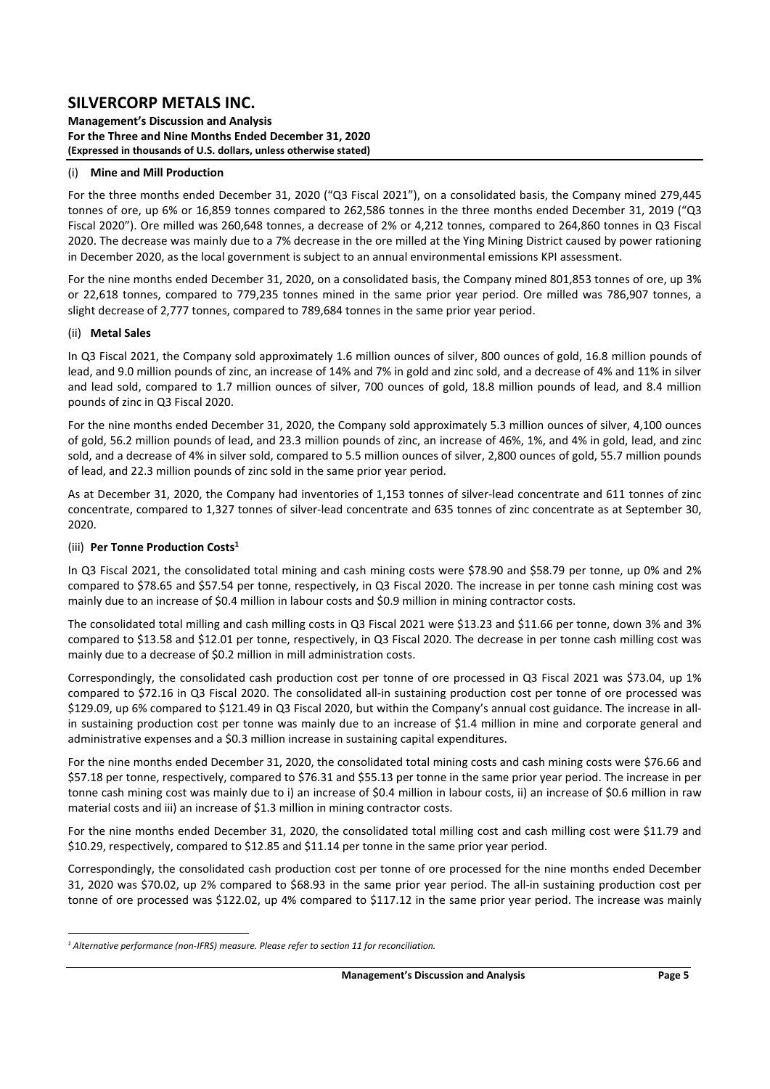**Management's Discussion and Analysis For the Three and Nine Months Ended December 31, 2020 (Expressed in thousands of U.S. dollars, unless otherwise stated)** 

### (i) **Mine and Mill Production**

For the three months ended December 31, 2020 ("Q3 Fiscal 2021"), on a consolidated basis, the Company mined 279,445 tonnes of ore, up 6% or 16,859 tonnes compared to 262,586 tonnes in the three months ended December 31, 2019 ("Q3 Fiscal 2020"). Ore milled was 260,648 tonnes, a decrease of 2% or 4,212 tonnes, compared to 264,860 tonnes in Q3 Fiscal 2020. The decrease was mainly due to a 7% decrease in the ore milled at the Ying Mining District caused by power rationing in December 2020, as the local government is subject to an annual environmental emissions KPI assessment.

For the nine months ended December 31, 2020, on a consolidated basis, the Company mined 801,853 tonnes of ore, up 3% or 22,618 tonnes, compared to 779,235 tonnes mined in the same prior vear period. Ore milled was 786,907 tonnes, a slight decrease of 2,777 tonnes, compared to 789,684 tonnes in the same prior year period.

### (ii) **Metal Sales**

In Q3 Fiscal 2021, the Company sold approximately 1.6 million ounces of silver, 800 ounces of gold, 16.8 million pounds of lead, and 9.0 million pounds of zinc, an increase of 14% and 7% in gold and zinc sold, and a decrease of 4% and 11% in silver and lead sold, compared to 1.7 million ounces of silver, 700 ounces of gold, 18.8 million pounds of lead, and 8.4 million pounds of zinc in Q3 Fiscal 2020.

For the nine months ended December 31, 2020, the Company sold approximately 5.3 million ounces of silver, 4,100 ounces of gold, 56.2 million pounds of lead, and 23.3 million pounds of zinc, an increase of 46%, 1%, and 4% in gold, lead, and zinc sold, and a decrease of 4% in silver sold, compared to 5.5 million ounces of silver, 2,800 ounces of gold, 55.7 million pounds of lead, and 22.3 million pounds of zinc sold in the same prior year period.

As at December 31, 2020, the Company had inventories of 1,153 tonnes of silver‐lead concentrate and 611 tonnes of zinc concentrate, compared to 1,327 tonnes of silver‐lead concentrate and 635 tonnes of zinc concentrate as at September 30, 2020.

### (iii) **Per Tonne Production Costs1**

In Q3 Fiscal 2021, the consolidated total mining and cash mining costs were \$78.90 and \$58.79 per tonne, up 0% and 2% compared to \$78.65 and \$57.54 per tonne, respectively, in Q3 Fiscal 2020. The increase in per tonne cash mining cost was mainly due to an increase of \$0.4 million in labour costs and \$0.9 million in mining contractor costs.

The consolidated total milling and cash milling costs in Q3 Fiscal 2021 were \$13.23 and \$11.66 per tonne, down 3% and 3% compared to \$13.58 and \$12.01 per tonne, respectively, in Q3 Fiscal 2020. The decrease in per tonne cash milling cost was mainly due to a decrease of \$0.2 million in mill administration costs.

Correspondingly, the consolidated cash production cost per tonne of ore processed in Q3 Fiscal 2021 was \$73.04, up 1% compared to \$72.16 in Q3 Fiscal 2020. The consolidated all-in sustaining production cost per tonne of ore processed was \$129.09, up 6% compared to \$121.49 in Q3 Fiscal 2020, but within the Company's annual cost guidance. The increase in all‐ in sustaining production cost per tonne was mainly due to an increase of \$1.4 million in mine and corporate general and administrative expenses and a \$0.3 million increase in sustaining capital expenditures.

For the nine months ended December 31, 2020, the consolidated total mining costs and cash mining costs were \$76.66 and \$57.18 per tonne, respectively, compared to \$76.31 and \$55.13 per tonne in the same prior year period. The increase in per tonne cash mining cost was mainly due to i) an increase of \$0.4 million in labour costs, ii) an increase of \$0.6 million in raw material costs and iii) an increase of \$1.3 million in mining contractor costs.

For the nine months ended December 31, 2020, the consolidated total milling cost and cash milling cost were \$11.79 and \$10.29, respectively, compared to \$12.85 and \$11.14 per tonne in the same prior year period.

Correspondingly, the consolidated cash production cost per tonne of ore processed for the nine months ended December 31, 2020 was \$70.02, up 2% compared to \$68.93 in the same prior year period. The all-in sustaining production cost per tonne of ore processed was \$122.02, up 4% compared to \$117.12 in the same prior year period. The increase was mainly

<sup>&</sup>lt;sup>1</sup> Alternative performance (non-IFRS) measure. Please refer to section 11 for reconciliation.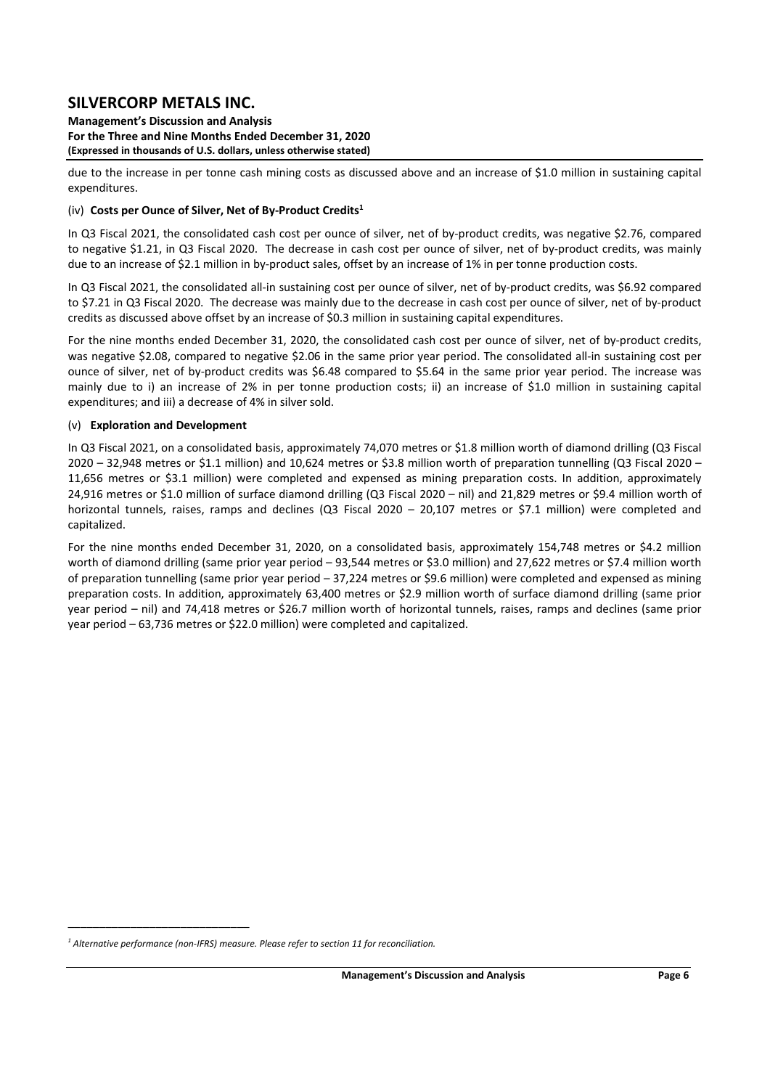**Management's Discussion and Analysis For the Three and Nine Months Ended December 31, 2020 (Expressed in thousands of U.S. dollars, unless otherwise stated)** 

due to the increase in per tonne cash mining costs as discussed above and an increase of \$1.0 million in sustaining capital expenditures.

### (iv) **Costs per Ounce of Silver, Net of By‐Product Credits1**

In Q3 Fiscal 2021, the consolidated cash cost per ounce of silver, net of by-product credits, was negative \$2.76, compared to negative \$1.21, in Q3 Fiscal 2020. The decrease in cash cost per ounce of silver, net of by-product credits, was mainly due to an increase of \$2.1 million in by-product sales, offset by an increase of 1% in per tonne production costs.

In Q3 Fiscal 2021, the consolidated all-in sustaining cost per ounce of silver, net of by-product credits, was \$6.92 compared to \$7.21 in Q3 Fiscal 2020. The decrease was mainly due to the decrease in cash cost per ounce of silver, net of by-product credits as discussed above offset by an increase of \$0.3 million in sustaining capital expenditures.

For the nine months ended December 31, 2020, the consolidated cash cost per ounce of silver, net of by-product credits, was negative \$2.08, compared to negative \$2.06 in the same prior year period. The consolidated all-in sustaining cost per ounce of silver, net of by-product credits was \$6.48 compared to \$5.64 in the same prior year period. The increase was mainly due to i) an increase of 2% in per tonne production costs; ii) an increase of \$1.0 million in sustaining capital expenditures; and iii) a decrease of 4% in silver sold.

### (v) **Exploration and Development**

In Q3 Fiscal 2021, on a consolidated basis, approximately 74,070 metres or \$1.8 million worth of diamond drilling (Q3 Fiscal 2020 – 32,948 metres or \$1.1 million) and 10,624 metres or \$3.8 million worth of preparation tunnelling (Q3 Fiscal 2020 – 11,656 metres or \$3.1 million) were completed and expensed as mining preparation costs. In addition, approximately 24,916 metres or \$1.0 million of surface diamond drilling (Q3 Fiscal 2020 – nil) and 21,829 metres or \$9.4 million worth of horizontal tunnels, raises, ramps and declines (Q3 Fiscal 2020 - 20,107 metres or \$7.1 million) were completed and capitalized.

For the nine months ended December 31, 2020, on a consolidated basis, approximately 154,748 metres or \$4.2 million worth of diamond drilling (same prior year period – 93,544 metres or \$3.0 million) and 27,622 metres or \$7.4 million worth of preparation tunnelling (same prior year period – 37,224 metres or \$9.6 million) were completed and expensed as mining preparation costs. In addition, approximately 63,400 metres or \$2.9 million worth of surface diamond drilling (same prior year period – nil) and 74,418 metres or \$26.7 million worth of horizontal tunnels, raises, ramps and declines (same prior year period – 63,736 metres or \$22.0 million) were completed and capitalized.

\_\_\_\_\_\_\_\_\_\_\_\_\_\_\_\_\_\_\_\_\_\_\_\_\_\_\_\_\_

<sup>&</sup>lt;sup>1</sup> Alternative performance (non-IFRS) measure. Please refer to section 11 for reconciliation.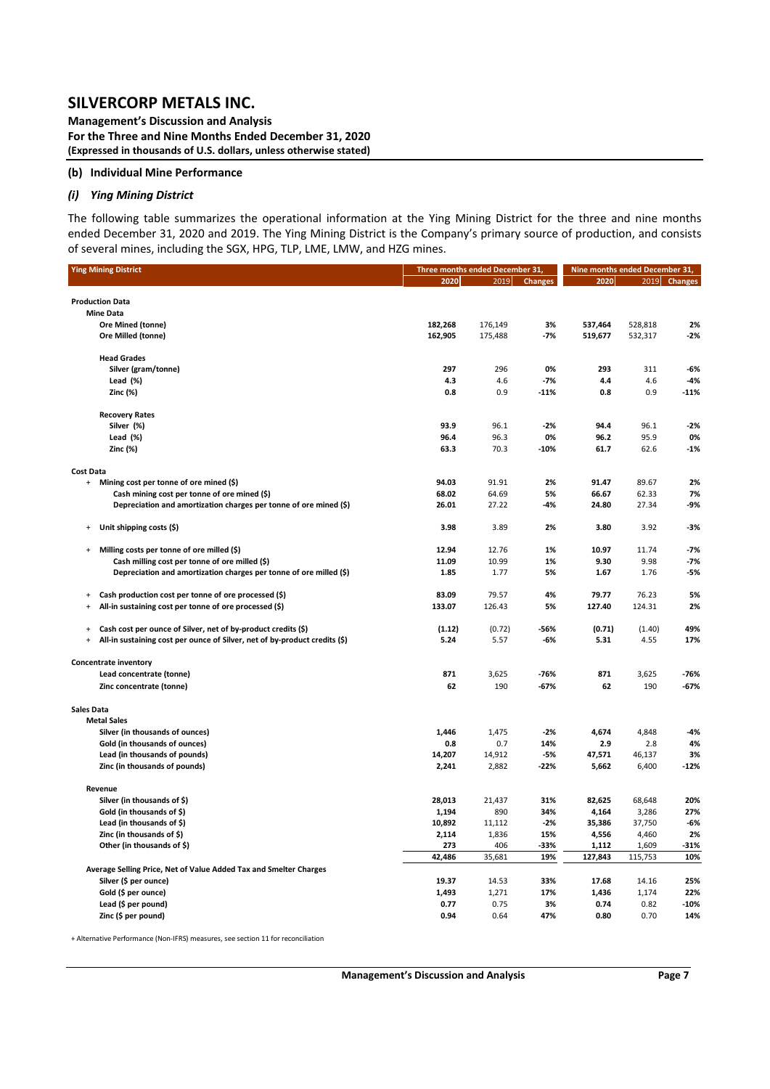**Management's Discussion and Analysis For the Three and Nine Months Ended December 31, 2020 (Expressed in thousands of U.S. dollars, unless otherwise stated)** 

#### **(b) Individual Mine Performance**

#### *(i) Ying Mining District*

The following table summarizes the operational information at the Ying Mining District for the three and nine months ended December 31, 2020 and 2019. The Ying Mining District is the Company's primary source of production, and consists of several mines, including the SGX, HPG, TLP, LME, LMW, and HZG mines.

| <b>Ying Mining District</b>                                                             | Three months ended December 31, |         | Nine months ended December 31, |         |         |              |
|-----------------------------------------------------------------------------------------|---------------------------------|---------|--------------------------------|---------|---------|--------------|
|                                                                                         | 2020                            | 2019    | <b>Changes</b>                 | 2020    |         | 2019 Changes |
|                                                                                         |                                 |         |                                |         |         |              |
| <b>Production Data</b>                                                                  |                                 |         |                                |         |         |              |
| <b>Mine Data</b>                                                                        |                                 |         |                                |         |         |              |
| Ore Mined (tonne)                                                                       | 182,268                         | 176,149 | 3%                             | 537,464 | 528,818 | 2%           |
| Ore Milled (tonne)                                                                      | 162,905                         | 175,488 | $-7%$                          | 519,677 | 532,317 | $-2%$        |
|                                                                                         |                                 |         |                                |         |         |              |
| <b>Head Grades</b>                                                                      |                                 |         |                                |         |         |              |
| Silver (gram/tonne)                                                                     | 297                             | 296     | 0%                             | 293     | 311     | $-6%$        |
| Lead (%)                                                                                | 4.3                             | 4.6     | $-7%$                          | 4.4     | 4.6     | $-4%$        |
| Zinc (%)                                                                                | 0.8                             | 0.9     | $-11%$                         | 0.8     | 0.9     | $-11%$       |
| <b>Recovery Rates</b>                                                                   |                                 |         |                                |         |         |              |
| Silver (%)                                                                              | 93.9                            | 96.1    | $-2%$                          | 94.4    | 96.1    | $-2%$        |
| Lead (%)                                                                                | 96.4                            | 96.3    | 0%                             | 96.2    | 95.9    | 0%           |
| Zinc (%)                                                                                | 63.3                            | 70.3    | $-10%$                         | 61.7    | 62.6    | $-1%$        |
|                                                                                         |                                 |         |                                |         |         |              |
| <b>Cost Data</b>                                                                        |                                 |         |                                |         |         |              |
| Mining cost per tonne of ore mined (\$)<br>$\ddot{}$                                    | 94.03                           | 91.91   | 2%                             | 91.47   | 89.67   | 2%           |
| Cash mining cost per tonne of ore mined (\$)                                            | 68.02                           | 64.69   | 5%                             | 66.67   | 62.33   | 7%           |
| Depreciation and amortization charges per tonne of ore mined (\$)                       | 26.01                           | 27.22   | -4%                            | 24.80   | 27.34   | -9%          |
|                                                                                         |                                 |         |                                |         |         |              |
| Unit shipping costs (\$)<br>$\ddot{}$                                                   | 3.98                            | 3.89    | 2%                             | 3.80    | 3.92    | -3%          |
|                                                                                         |                                 |         |                                |         |         |              |
| Milling costs per tonne of ore milled (\$)<br>$\ddot{}$                                 | 12.94                           | 12.76   | 1%                             | 10.97   | 11.74   | $-7%$        |
| Cash milling cost per tonne of ore milled (\$)                                          | 11.09                           | 10.99   | 1%                             | 9.30    | 9.98    | $-7%$        |
| Depreciation and amortization charges per tonne of ore milled (\$)                      | 1.85                            | 1.77    | 5%                             | 1.67    | 1.76    | -5%          |
|                                                                                         |                                 |         |                                |         |         |              |
| Cash production cost per tonne of ore processed (\$)<br>+                               | 83.09                           | 79.57   | 4%                             | 79.77   | 76.23   | 5%           |
| All-in sustaining cost per tonne of ore processed (\$)<br>$\ddot{}$                     | 133.07                          | 126.43  | 5%                             | 127.40  | 124.31  | 2%           |
|                                                                                         |                                 |         |                                |         |         |              |
| Cash cost per ounce of Silver, net of by-product credits (\$)<br>$\ddot{}$              | (1.12)                          | (0.72)  | -56%                           | (0.71)  | (1.40)  | 49%          |
| All-in sustaining cost per ounce of Silver, net of by-product credits (\$)<br>$\ddot{}$ | 5.24                            | 5.57    | -6%                            | 5.31    | 4.55    | 17%          |
| <b>Concentrate inventory</b>                                                            |                                 |         |                                |         |         |              |
| Lead concentrate (tonne)                                                                | 871                             | 3,625   | -76%                           | 871     | 3,625   | -76%         |
| Zinc concentrate (tonne)                                                                | 62                              | 190     | $-67%$                         | 62      | 190     | $-67%$       |
|                                                                                         |                                 |         |                                |         |         |              |
| <b>Sales Data</b>                                                                       |                                 |         |                                |         |         |              |
| <b>Metal Sales</b>                                                                      |                                 |         |                                |         |         |              |
| Silver (in thousands of ounces)                                                         | 1,446                           | 1,475   | $-2%$                          | 4,674   | 4,848   | $-4%$        |
| Gold (in thousands of ounces)                                                           | 0.8                             | 0.7     | 14%                            | 2.9     | 2.8     | 4%           |
| Lead (in thousands of pounds)                                                           | 14,207                          | 14,912  | $-5%$                          | 47,571  | 46,137  | 3%           |
| Zinc (in thousands of pounds)                                                           | 2,241                           | 2,882   | $-22%$                         | 5,662   | 6,400   | $-12%$       |
|                                                                                         |                                 |         |                                |         |         |              |
| Revenue                                                                                 |                                 |         |                                |         |         |              |
| Silver (in thousands of \$)                                                             | 28,013                          | 21,437  | 31%                            | 82,625  | 68,648  | 20%          |
| Gold (in thousands of \$)                                                               | 1,194                           | 890     | 34%                            | 4,164   | 3,286   | 27%          |
| Lead (in thousands of \$)                                                               | 10,892                          | 11,112  | $-2%$                          | 35,386  | 37,750  | $-6%$        |
| Zinc (in thousands of \$)                                                               | 2,114                           | 1,836   | 15%                            | 4,556   | 4,460   | 2%           |
| Other (in thousands of \$)                                                              | 273                             | 406     | -33%                           | 1,112   | 1,609   | $-31%$       |
|                                                                                         | 42,486                          | 35,681  | 19%                            | 127,843 | 115,753 | 10%          |
| Average Selling Price, Net of Value Added Tax and Smelter Charges                       |                                 |         |                                |         |         |              |
| Silver (\$ per ounce)                                                                   | 19.37                           | 14.53   | 33%                            | 17.68   | 14.16   | 25%          |
| Gold (\$ per ounce)                                                                     | 1,493                           | 1,271   | 17%                            | 1,436   | 1,174   | 22%          |
| Lead (\$ per pound)                                                                     | 0.77                            | 0.75    | 3%                             | 0.74    | 0.82    | $-10%$       |
| Zinc (\$ per pound)                                                                     | 0.94                            | 0.64    | 47%                            | 0.80    | 0.70    | 14%          |
|                                                                                         |                                 |         |                                |         |         |              |

+ Alternative Performance (Non‐IFRS) measures, see section 11 for reconciliation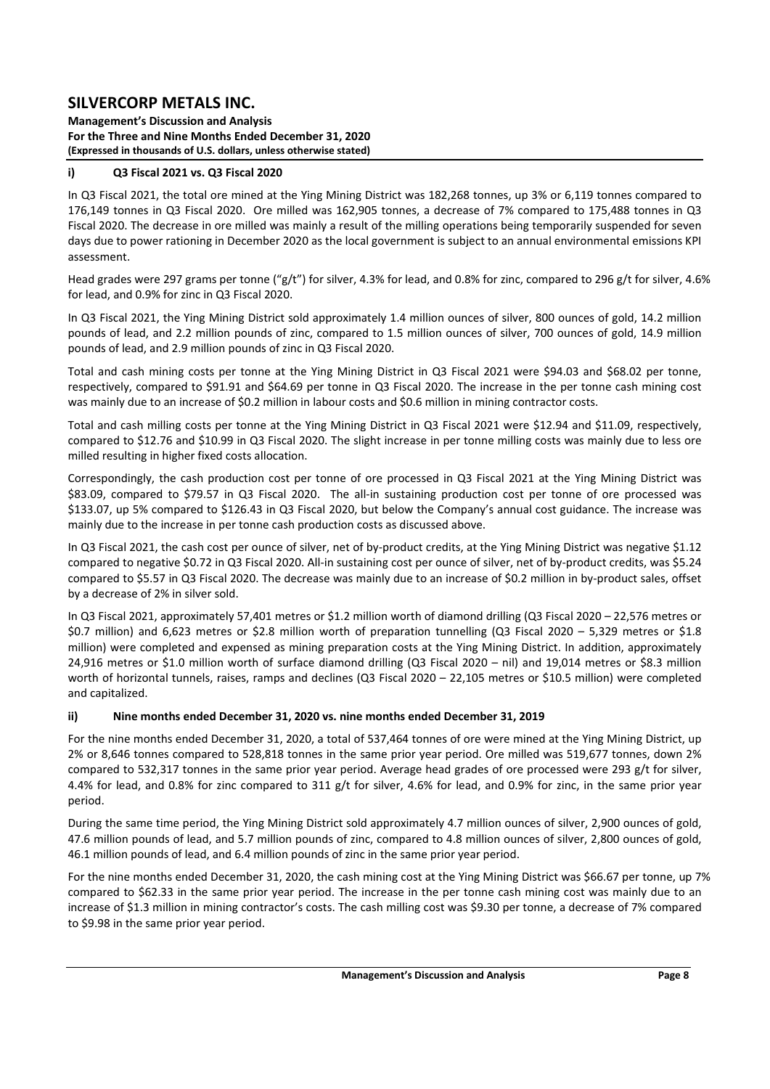**Management's Discussion and Analysis For the Three and Nine Months Ended December 31, 2020 (Expressed in thousands of U.S. dollars, unless otherwise stated)** 

### **i) Q3 Fiscal 2021 vs. Q3 Fiscal 2020**

In Q3 Fiscal 2021, the total ore mined at the Ying Mining District was 182,268 tonnes, up 3% or 6,119 tonnes compared to 176,149 tonnes in Q3 Fiscal 2020. Ore milled was 162,905 tonnes, a decrease of 7% compared to 175,488 tonnes in Q3 Fiscal 2020. The decrease in ore milled was mainly a result of the milling operations being temporarily suspended for seven days due to power rationing in December 2020 as the local government is subject to an annual environmental emissions KPI assessment.

Head grades were 297 grams per tonne ("g/t") for silver, 4.3% for lead, and 0.8% for zinc, compared to 296 g/t for silver, 4.6% for lead, and 0.9% for zinc in Q3 Fiscal 2020.

In Q3 Fiscal 2021, the Ying Mining District sold approximately 1.4 million ounces of silver, 800 ounces of gold, 14.2 million pounds of lead, and 2.2 million pounds of zinc, compared to 1.5 million ounces of silver, 700 ounces of gold, 14.9 million pounds of lead, and 2.9 million pounds of zinc in Q3 Fiscal 2020.

Total and cash mining costs per tonne at the Ying Mining District in Q3 Fiscal 2021 were \$94.03 and \$68.02 per tonne, respectively, compared to \$91.91 and \$64.69 per tonne in Q3 Fiscal 2020. The increase in the per tonne cash mining cost was mainly due to an increase of \$0.2 million in labour costs and \$0.6 million in mining contractor costs.

Total and cash milling costs per tonne at the Ying Mining District in Q3 Fiscal 2021 were \$12.94 and \$11.09, respectively, compared to \$12.76 and \$10.99 in Q3 Fiscal 2020. The slight increase in per tonne milling costs was mainly due to less ore milled resulting in higher fixed costs allocation.

Correspondingly, the cash production cost per tonne of ore processed in Q3 Fiscal 2021 at the Ying Mining District was \$83.09, compared to \$79.57 in Q3 Fiscal 2020. The all-in sustaining production cost per tonne of ore processed was \$133.07, up 5% compared to \$126.43 in Q3 Fiscal 2020, but below the Company's annual cost guidance. The increase was mainly due to the increase in per tonne cash production costs as discussed above.

In Q3 Fiscal 2021, the cash cost per ounce of silver, net of by-product credits, at the Ying Mining District was negative \$1.12 compared to negative \$0.72 in Q3 Fiscal 2020. All-in sustaining cost per ounce of silver, net of by-product credits, was \$5.24 compared to \$5.57 in Q3 Fiscal 2020. The decrease was mainly due to an increase of \$0.2 million in by-product sales, offset by a decrease of 2% in silver sold.

In Q3 Fiscal 2021, approximately 57,401 metres or \$1.2 million worth of diamond drilling (Q3 Fiscal 2020 – 22,576 metres or \$0.7 million) and 6,623 metres or \$2.8 million worth of preparation tunnelling (Q3 Fiscal 2020 - 5,329 metres or \$1.8 million) were completed and expensed as mining preparation costs at the Ying Mining District. In addition, approximately 24,916 metres or \$1.0 million worth of surface diamond drilling (Q3 Fiscal 2020 – nil) and 19,014 metres or \$8.3 million worth of horizontal tunnels, raises, ramps and declines (Q3 Fiscal 2020 – 22,105 metres or \$10.5 million) were completed and capitalized.

### **ii) Nine months ended December 31, 2020 vs. nine months ended December 31, 2019**

For the nine months ended December 31, 2020, a total of 537,464 tonnes of ore were mined at the Ying Mining District, up 2% or 8,646 tonnes compared to 528,818 tonnes in the same prior year period. Ore milled was 519,677 tonnes, down 2% compared to 532,317 tonnes in the same prior year period. Average head grades of ore processed were 293 g/t for silver, 4.4% for lead, and 0.8% for zinc compared to 311 g/t for silver, 4.6% for lead, and 0.9% for zinc, in the same prior year period.

During the same time period, the Ying Mining District sold approximately 4.7 million ounces of silver, 2,900 ounces of gold, 47.6 million pounds of lead, and 5.7 million pounds of zinc, compared to 4.8 million ounces of silver, 2,800 ounces of gold, 46.1 million pounds of lead, and 6.4 million pounds of zinc in the same prior year period.

For the nine months ended December 31, 2020, the cash mining cost at the Ying Mining District was \$66.67 per tonne, up 7% compared to \$62.33 in the same prior year period. The increase in the per tonne cash mining cost was mainly due to an increase of \$1.3 million in mining contractor's costs. The cash milling cost was \$9.30 per tonne, a decrease of 7% compared to \$9.98 in the same prior year period.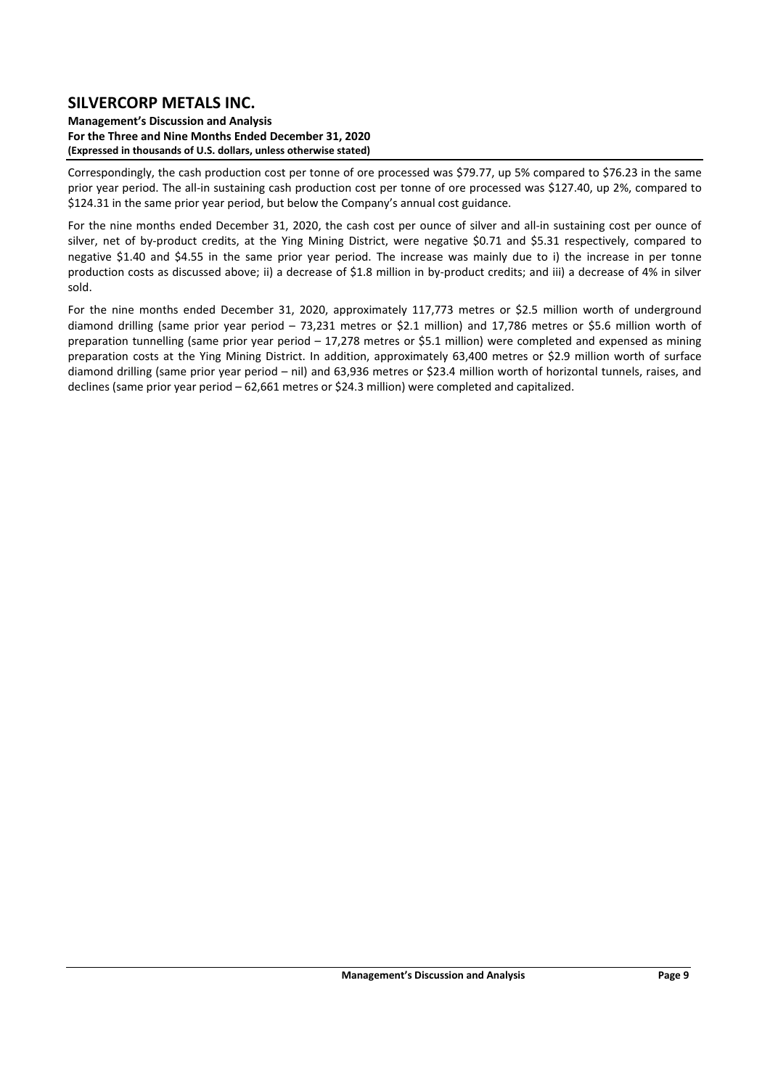#### **Management's Discussion and Analysis For the Three and Nine Months Ended December 31, 2020 (Expressed in thousands of U.S. dollars, unless otherwise stated)**

Correspondingly, the cash production cost per tonne of ore processed was \$79.77, up 5% compared to \$76.23 in the same prior year period. The all‐in sustaining cash production cost per tonne of ore processed was \$127.40, up 2%, compared to \$124.31 in the same prior year period, but below the Company's annual cost guidance.

For the nine months ended December 31, 2020, the cash cost per ounce of silver and all-in sustaining cost per ounce of silver, net of by-product credits, at the Ying Mining District, were negative \$0.71 and \$5.31 respectively, compared to negative \$1.40 and \$4.55 in the same prior year period. The increase was mainly due to i) the increase in per tonne production costs as discussed above; ii) a decrease of \$1.8 million in by-product credits; and iii) a decrease of 4% in silver sold.

For the nine months ended December 31, 2020, approximately 117,773 metres or \$2.5 million worth of underground diamond drilling (same prior year period - 73,231 metres or \$2.1 million) and 17,786 metres or \$5.6 million worth of preparation tunnelling (same prior year period – 17,278 metres or \$5.1 million) were completed and expensed as mining preparation costs at the Ying Mining District. In addition, approximately 63,400 metres or \$2.9 million worth of surface diamond drilling (same prior year period – nil) and 63,936 metres or \$23.4 million worth of horizontal tunnels, raises, and declines (same prior year period – 62,661 metres or \$24.3 million) were completed and capitalized.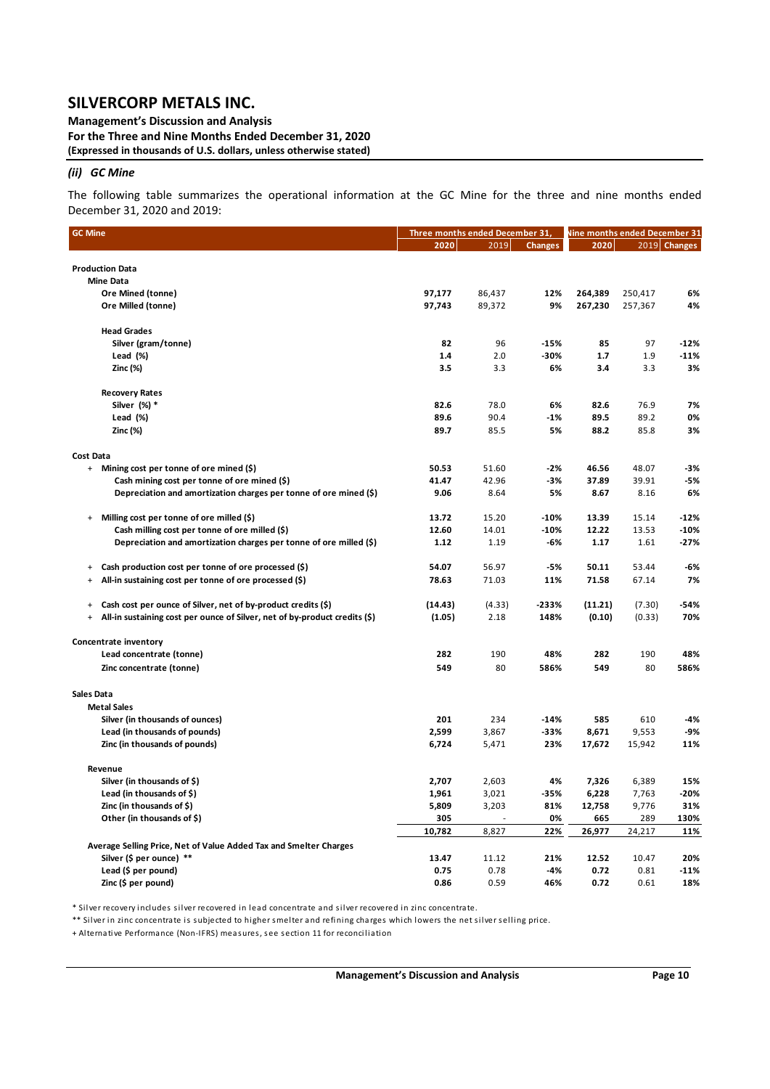**Management's Discussion and Analysis For the Three and Nine Months Ended December 31, 2020 (Expressed in thousands of U.S. dollars, unless otherwise stated)** 

### *(ii) GC Mine*

The following table summarizes the operational information at the GC Mine for the three and nine months ended December 31, 2020 and 2019:

| <b>GC Mine</b>                                                                          | Three months ended December 31, |        |                | Nine months ended December 31 |         |              |
|-----------------------------------------------------------------------------------------|---------------------------------|--------|----------------|-------------------------------|---------|--------------|
|                                                                                         | 2020                            | 2019   | <b>Changes</b> | 2020                          |         | 2019 Changes |
|                                                                                         |                                 |        |                |                               |         |              |
| <b>Production Data</b>                                                                  |                                 |        |                |                               |         |              |
| <b>Mine Data</b>                                                                        |                                 |        |                |                               |         |              |
| Ore Mined (tonne)                                                                       | 97,177                          | 86,437 | 12%            | 264,389                       | 250,417 | 6%           |
| Ore Milled (tonne)                                                                      | 97,743                          | 89,372 | 9%             | 267,230                       | 257,367 | 4%           |
| <b>Head Grades</b>                                                                      |                                 |        |                |                               |         |              |
| Silver (gram/tonne)                                                                     | 82                              | 96     | $-15%$         | 85                            | 97      | $-12%$       |
| Lead (%)                                                                                | 1.4                             | 2.0    | -30%           | 1.7                           | 1.9     | $-11%$       |
| Zinc (%)                                                                                | 3.5                             | 3.3    | 6%             | 3.4                           | 3.3     | 3%           |
| <b>Recovery Rates</b>                                                                   |                                 |        |                |                               |         |              |
| Silver (%) *                                                                            | 82.6                            | 78.0   | 6%             | 82.6                          | 76.9    | 7%           |
| Lead (%)                                                                                | 89.6                            | 90.4   | $-1%$          | 89.5                          | 89.2    | 0%           |
| Zinc (%)                                                                                | 89.7                            | 85.5   | 5%             | 88.2                          | 85.8    | 3%           |
| Cost Data                                                                               |                                 |        |                |                               |         |              |
| + Mining cost per tonne of ore mined (\$)                                               | 50.53                           | 51.60  | -2%            | 46.56                         | 48.07   | -3%          |
| Cash mining cost per tonne of ore mined (\$)                                            | 41.47                           | 42.96  | -3%            | 37.89                         | 39.91   | $-5%$        |
| Depreciation and amortization charges per tonne of ore mined (\$)                       | 9.06                            | 8.64   | 5%             | 8.67                          | 8.16    | 6%           |
|                                                                                         |                                 |        |                |                               |         |              |
| Milling cost per tonne of ore milled (\$)<br>$\ddot{}$                                  | 13.72                           | 15.20  | $-10%$         | 13.39                         | 15.14   | $-12%$       |
| Cash milling cost per tonne of ore milled (\$)                                          | 12.60                           | 14.01  | $-10%$         | 12.22                         | 13.53   | $-10%$       |
| Depreciation and amortization charges per tonne of ore milled (\$)                      | 1.12                            | 1.19   | -6%            | 1.17                          | 1.61    | $-27%$       |
| Cash production cost per tonne of ore processed (\$)<br>$\ddot{}$                       | 54.07                           | 56.97  | -5%            | 50.11                         | 53.44   | -6%          |
| All-in sustaining cost per tonne of ore processed (\$)<br>$\ddot{}$                     | 78.63                           | 71.03  | 11%            | 71.58                         | 67.14   | 7%           |
| Cash cost per ounce of Silver, net of by-product credits (\$)<br>$\ddot{}$              | (14.43)                         | (4.33) | $-233%$        | (11.21)                       | (7.30)  | -54%         |
| All-in sustaining cost per ounce of Silver, net of by-product credits (\$)<br>$\ddot{}$ | (1.05)                          | 2.18   | 148%           | (0.10)                        | (0.33)  | 70%          |
| Concentrate inventory                                                                   |                                 |        |                |                               |         |              |
| Lead concentrate (tonne)                                                                | 282                             | 190    | 48%            | 282                           | 190     | 48%          |
| Zinc concentrate (tonne)                                                                | 549                             | 80     | 586%           | 549                           | 80      | 586%         |
|                                                                                         |                                 |        |                |                               |         |              |
| <b>Sales Data</b><br><b>Metal Sales</b>                                                 |                                 |        |                |                               |         |              |
| Silver (in thousands of ounces)                                                         | 201                             | 234    | $-14%$         | 585                           | 610     | -4%          |
| Lead (in thousands of pounds)                                                           | 2,599                           | 3,867  | $-33%$         | 8,671                         | 9,553   | -9%          |
| Zinc (in thousands of pounds)                                                           | 6,724                           | 5,471  | 23%            | 17,672                        | 15,942  | 11%          |
| Revenue                                                                                 |                                 |        |                |                               |         |              |
| Silver (in thousands of \$)                                                             | 2,707                           | 2,603  | 4%             | 7,326                         | 6,389   | 15%          |
| Lead (in thousands of \$)                                                               | 1,961                           | 3,021  | -35%           | 6,228                         | 7,763   | $-20%$       |
| Zinc (in thousands of \$)                                                               | 5,809                           | 3,203  | 81%            | 12,758                        | 9,776   | 31%          |
| Other (in thousands of \$)                                                              | 305                             |        | 0%             | 665                           | 289     | 130%         |
|                                                                                         | 10,782                          | 8,827  | 22%            | 26,977                        | 24,217  | 11%          |
| Average Selling Price, Net of Value Added Tax and Smelter Charges                       |                                 |        |                |                               |         |              |
| Silver (\$ per ounce) **                                                                | 13.47                           | 11.12  | 21%            | 12.52                         | 10.47   | 20%          |
| Lead (\$ per pound)                                                                     | 0.75                            | 0.78   | -4%            | 0.72                          | 0.81    | -11%         |
| Zinc (\$ per pound)                                                                     | 0.86                            | 0.59   | 46%            | 0.72                          | 0.61    | 18%          |

\* Silver recovery i ncludes silver recovered i n lea d concentra te a nd silver recovered i n zi nc concentra te.

\*\* Silver in zinc concentrate is subjected to higher smelter and refining charges which lowers the net silver selling price.

+ Al terna tive Performa nce (Non‐IFRS) mea sures, see section 11 for reconcilia tion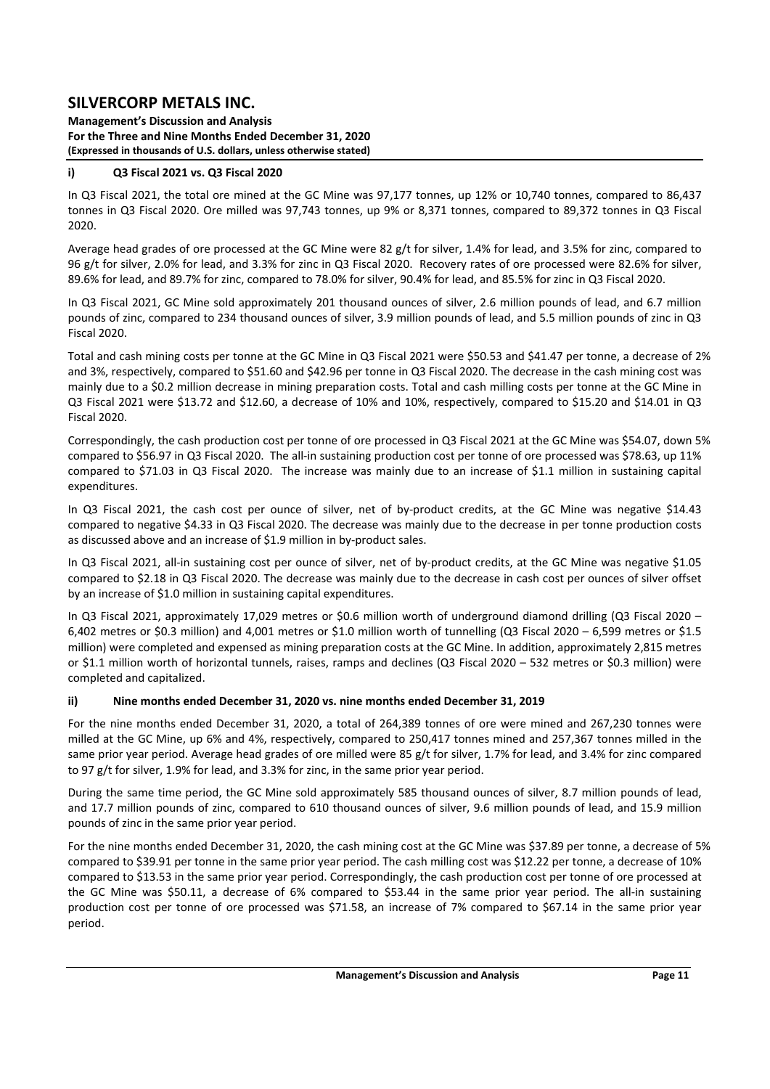**Management's Discussion and Analysis For the Three and Nine Months Ended December 31, 2020 (Expressed in thousands of U.S. dollars, unless otherwise stated)** 

### **i) Q3 Fiscal 2021 vs. Q3 Fiscal 2020**

In Q3 Fiscal 2021, the total ore mined at the GC Mine was 97,177 tonnes, up 12% or 10,740 tonnes, compared to 86,437 tonnes in Q3 Fiscal 2020. Ore milled was 97,743 tonnes, up 9% or 8,371 tonnes, compared to 89,372 tonnes in Q3 Fiscal 2020.

Average head grades of ore processed at the GC Mine were 82 g/t for silver, 1.4% for lead, and 3.5% for zinc, compared to 96 g/t for silver, 2.0% for lead, and 3.3% for zinc in Q3 Fiscal 2020. Recovery rates of ore processed were 82.6% for silver, 89.6% for lead, and 89.7% for zinc, compared to 78.0% for silver, 90.4% for lead, and 85.5% for zinc in Q3 Fiscal 2020.

In Q3 Fiscal 2021, GC Mine sold approximately 201 thousand ounces of silver, 2.6 million pounds of lead, and 6.7 million pounds of zinc, compared to 234 thousand ounces of silver, 3.9 million pounds of lead, and 5.5 million pounds of zinc in Q3 Fiscal 2020.

Total and cash mining costs per tonne at the GC Mine in Q3 Fiscal 2021 were \$50.53 and \$41.47 per tonne, a decrease of 2% and 3%, respectively, compared to \$51.60 and \$42.96 per tonne in Q3 Fiscal 2020. The decrease in the cash mining cost was mainly due to a \$0.2 million decrease in mining preparation costs. Total and cash milling costs per tonne at the GC Mine in Q3 Fiscal 2021 were \$13.72 and \$12.60, a decrease of 10% and 10%, respectively, compared to \$15.20 and \$14.01 in Q3 Fiscal 2020.

Correspondingly, the cash production cost per tonne of ore processed in Q3 Fiscal 2021 at the GC Mine was \$54.07, down 5% compared to \$56.97 in Q3 Fiscal 2020. The all‐in sustaining production cost per tonne of ore processed was \$78.63, up 11% compared to \$71.03 in Q3 Fiscal 2020. The increase was mainly due to an increase of \$1.1 million in sustaining capital expenditures.

In Q3 Fiscal 2021, the cash cost per ounce of silver, net of by-product credits, at the GC Mine was negative \$14.43 compared to negative \$4.33 in Q3 Fiscal 2020. The decrease was mainly due to the decrease in per tonne production costs as discussed above and an increase of \$1.9 million in by-product sales.

In Q3 Fiscal 2021, all-in sustaining cost per ounce of silver, net of by-product credits, at the GC Mine was negative \$1.05 compared to \$2.18 in Q3 Fiscal 2020. The decrease was mainly due to the decrease in cash cost per ounces of silver offset by an increase of \$1.0 million in sustaining capital expenditures.

In Q3 Fiscal 2021, approximately 17,029 metres or \$0.6 million worth of underground diamond drilling (Q3 Fiscal 2020 – 6,402 metres or \$0.3 million) and 4,001 metres or \$1.0 million worth of tunnelling (Q3 Fiscal 2020 – 6,599 metres or \$1.5 million) were completed and expensed as mining preparation costs at the GC Mine. In addition, approximately 2,815 metres or \$1.1 million worth of horizontal tunnels, raises, ramps and declines (Q3 Fiscal 2020 – 532 metres or \$0.3 million) were completed and capitalized.

### **ii) Nine months ended December 31, 2020 vs. nine months ended December 31, 2019**

For the nine months ended December 31, 2020, a total of 264,389 tonnes of ore were mined and 267,230 tonnes were milled at the GC Mine, up 6% and 4%, respectively, compared to 250,417 tonnes mined and 257,367 tonnes milled in the same prior year period. Average head grades of ore milled were 85 g/t for silver, 1.7% for lead, and 3.4% for zinc compared to 97 g/t for silver, 1.9% for lead, and 3.3% for zinc, in the same prior year period.

During the same time period, the GC Mine sold approximately 585 thousand ounces of silver, 8.7 million pounds of lead, and 17.7 million pounds of zinc, compared to 610 thousand ounces of silver, 9.6 million pounds of lead, and 15.9 million pounds of zinc in the same prior year period.

For the nine months ended December 31, 2020, the cash mining cost at the GC Mine was \$37.89 per tonne, a decrease of 5% compared to \$39.91 per tonne in the same prior year period. The cash milling cost was \$12.22 per tonne, a decrease of 10% compared to \$13.53 in the same prior year period. Correspondingly, the cash production cost per tonne of ore processed at the GC Mine was \$50.11, a decrease of 6% compared to \$53.44 in the same prior year period. The all-in sustaining production cost per tonne of ore processed was \$71.58, an increase of 7% compared to \$67.14 in the same prior year period.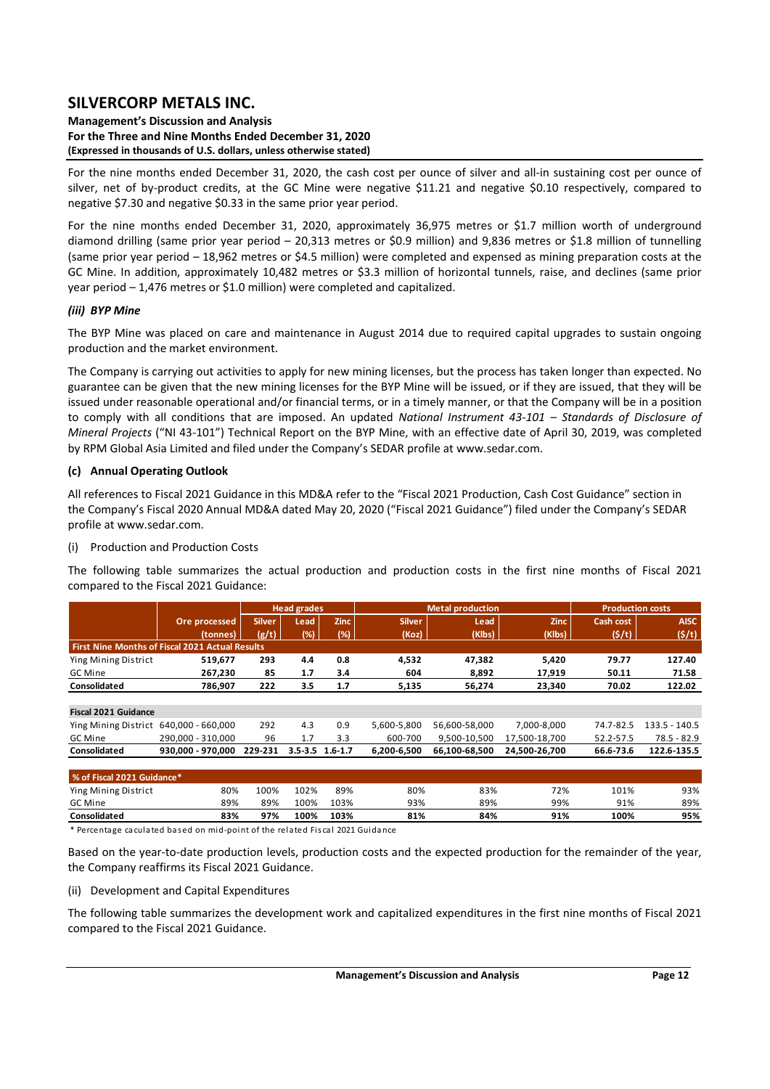#### **Management's Discussion and Analysis For the Three and Nine Months Ended December 31, 2020 (Expressed in thousands of U.S. dollars, unless otherwise stated)**

For the nine months ended December 31, 2020, the cash cost per ounce of silver and all-in sustaining cost per ounce of silver, net of by-product credits, at the GC Mine were negative \$11.21 and negative \$0.10 respectively, compared to negative \$7.30 and negative \$0.33 in the same prior year period.

For the nine months ended December 31, 2020, approximately 36,975 metres or \$1.7 million worth of underground diamond drilling (same prior year period – 20,313 metres or \$0.9 million) and 9,836 metres or \$1.8 million of tunnelling (same prior year period – 18,962 metres or \$4.5 million) were completed and expensed as mining preparation costs at the GC Mine. In addition, approximately 10,482 metres or \$3.3 million of horizontal tunnels, raise, and declines (same prior year period – 1,476 metres or \$1.0 million) were completed and capitalized.

### *(iii) BYP Mine*

The BYP Mine was placed on care and maintenance in August 2014 due to required capital upgrades to sustain ongoing production and the market environment.

The Company is carrying out activities to apply for new mining licenses, but the process has taken longer than expected. No guarantee can be given that the new mining licenses for the BYP Mine will be issued, or if they are issued, that they will be issued under reasonable operational and/or financial terms, or in a timely manner, or that the Company will be in a position to comply with all conditions that are imposed. An updated *National Instrument 43-101 - Standards of Disclosure of Mineral Projects* ("NI 43‐101") Technical Report on the BYP Mine, with an effective date of April 30, 2019, was completed by RPM Global Asia Limited and filed under the Company's SEDAR profile at www.sedar.com.

### **(c) Annual Operating Outlook**

All references to Fiscal 2021 Guidance in this MD&A refer to the "Fiscal 2021 Production, Cash Cost Guidance" section in the Company's Fiscal 2020 Annual MD&A dated May 20, 2020 ("Fiscal 2021 Guidance") filed under the Company's SEDAR profile at www.sedar.com.

## (i) Production and Production Costs

The following table summarizes the actual production and production costs in the first nine months of Fiscal 2021 compared to the Fiscal 2021 Guidance:

|                                                        |                   |               | <b>Head grades</b>  |             |               | <b>Metal production</b> |               | <b>Production costs</b> |               |
|--------------------------------------------------------|-------------------|---------------|---------------------|-------------|---------------|-------------------------|---------------|-------------------------|---------------|
|                                                        | Ore processed     | <b>Silver</b> | Lead                | <b>Zinc</b> | <b>Silver</b> | Lead                    | Zinc          | Cash cost               | <b>AISC</b>   |
|                                                        | (tonnes)          | (g/t)         | (%)                 | (%)         | (Koz)         | (Klbs)                  | (Klbs)        | (S/t)                   | (5/t)         |
| <b>First Nine Months of Fiscal 2021 Actual Results</b> |                   |               |                     |             |               |                         |               |                         |               |
| Ying Mining District                                   | 519,677           | 293           | 4.4                 | 0.8         | 4,532         | 47,382                  | 5,420         | 79.77                   | 127.40        |
| GC Mine                                                | 267.230           | 85            | 1.7                 | 3.4         | 604           | 8,892                   | 17,919        | 50.11                   | 71.58         |
| Consolidated                                           | 786.907           | 222           | 3.5                 | 1.7         | 5,135         | 56.274                  | 23,340        | 70.02                   | 122.02        |
|                                                        |                   |               |                     |             |               |                         |               |                         |               |
| <b>Fiscal 2021 Guidance</b>                            |                   |               |                     |             |               |                         |               |                         |               |
| Ying Mining District                                   | 640.000 - 660.000 | 292           | 4.3                 | 0.9         | 5,600-5,800   | 56,600-58,000           | 7.000-8.000   | 74.7-82.5               | 133.5 - 140.5 |
| GC Mine                                                | 290.000 - 310.000 | 96            | 1.7                 | 3.3         | 600-700       | 9,500-10,500            | 17.500-18.700 | 52.2-57.5               | $78.5 - 82.9$ |
| Consolidated                                           | 930.000 - 970.000 | 229-231       | $3.5 - 3.5$ 1.6-1.7 |             | 6,200-6,500   | 66,100-68,500           | 24,500-26,700 | 66.6-73.6               | 122.6-135.5   |
|                                                        |                   |               |                     |             |               |                         |               |                         |               |
| % of Fiscal 2021 Guidance*                             |                   |               |                     |             |               |                         |               |                         |               |

**Consolidated 83% 97% 100% 103% 81% 84% 91% 100% 95%** \* Percentage cacula ted ba sed on mid‐point of the rela ted Fi s cal 2021 Guida nce

Based on the year-to-date production levels, production costs and the expected production for the remainder of the year, the Company reaffirms its Fiscal 2021 Guidance.

Ying Mining District 80% 100% 102% 89% 80% 83% 72% 101% 93% GC Mine 89% 89% 100% 103% 93% 89% 99% 91% 89%

(ii) Development and Capital Expenditures

The following table summarizes the development work and capitalized expenditures in the first nine months of Fiscal 2021 compared to the Fiscal 2021 Guidance.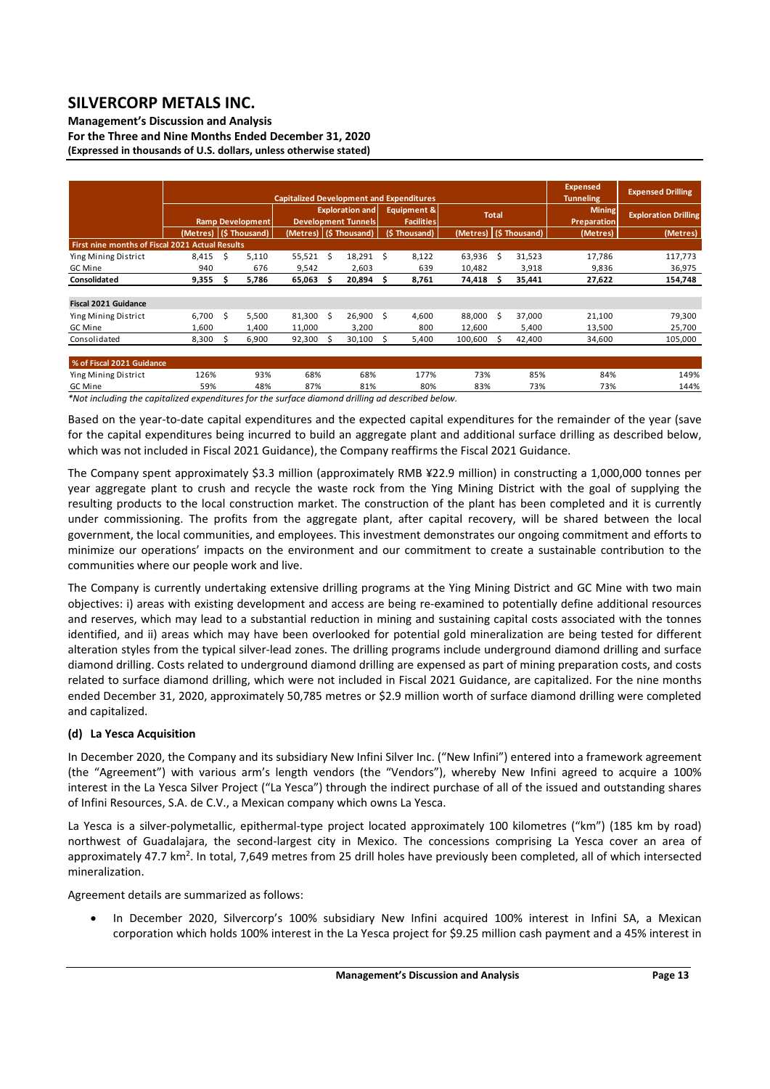### **Management's Discussion and Analysis**

**For the Three and Nine Months Ended December 31, 2020 (Expressed in thousands of U.S. dollars, unless otherwise stated)** 

|                                                 |       |    |                        |        |                            |                        |               | <b>Capitalized Development and Expenditures</b> |                        |     |          | <b>Expensed</b><br><b>Tunneling</b> | <b>Expensed Drilling</b>    |
|-------------------------------------------------|-------|----|------------------------|--------|----------------------------|------------------------|---------------|-------------------------------------------------|------------------------|-----|----------|-------------------------------------|-----------------------------|
|                                                 |       |    |                        |        |                            | <b>Exploration and</b> |               | <b>Equipment &amp;</b>                          |                        |     |          | <b>Mining</b>                       |                             |
|                                                 |       |    | Ramp Development       |        | <b>Development Tunnels</b> |                        |               | <b>Facilities</b>                               | <b>Total</b>           |     |          | <b>Preparation</b>                  | <b>Exploration Drilling</b> |
|                                                 |       |    | (Metres) (\$ Thousand) |        | (Metres) (\$ Thousand)     |                        | (\$ Thousand) |                                                 | (Metres) (\$ Thousand) |     | (Metres) | (Metres)                            |                             |
| First nine months of Fiscal 2021 Actual Results |       |    |                        |        |                            |                        |               |                                                 |                        |     |          |                                     |                             |
| Ying Mining District                            | 8,415 | Ŝ  | 5,110                  | 55,521 | - S                        | 18,291                 | Ś.            | 8,122                                           | 63,936                 | - Ś | 31,523   | 17,786                              | 117,773                     |
| GC Mine                                         | 940   |    | 676                    | 9,542  |                            | 2,603                  |               | 639                                             | 10,482                 |     | 3,918    | 9,836                               | 36,975                      |
| Consolidated                                    | 9,355 | S  | 5,786                  | 65,063 |                            | 20,894                 | s             | 8,761                                           | 74,418                 | s   | 35,441   | 27,622                              | 154,748                     |
|                                                 |       |    |                        |        |                            |                        |               |                                                 |                        |     |          |                                     |                             |
| <b>Fiscal 2021 Guidance</b>                     |       |    |                        |        |                            |                        |               |                                                 |                        |     |          |                                     |                             |
| Ying Mining District                            | 6,700 | -S | 5,500                  | 81,300 | Ŝ                          | 26.900                 | Ŝ             | 4,600                                           | 88,000                 | Ŝ.  | 37,000   | 21,100                              | 79,300                      |
| GC Mine                                         | 1,600 |    | 1,400                  | 11,000 |                            | 3,200                  |               | 800                                             | 12,600                 |     | 5,400    | 13,500                              | 25,700                      |
| Consolidated                                    | 8,300 |    | 6,900                  | 92,300 |                            | 30,100                 | s             | 5,400                                           | 100,600                |     | 42,400   | 34,600                              | 105,000                     |
|                                                 |       |    |                        |        |                            |                        |               |                                                 |                        |     |          |                                     |                             |
| % of Fiscal 2021 Guidance                       |       |    |                        |        |                            |                        |               |                                                 |                        |     |          |                                     |                             |
| Ying Mining District                            | 126%  |    | 93%                    | 68%    |                            | 68%                    |               | 177%                                            | 73%                    |     | 85%      | 84%                                 | 149%                        |
| GC Mine                                         | 59%   |    | 48%                    | 87%    |                            | 81%                    |               | 80%                                             | 83%                    |     | 73%      | 73%                                 | 144%                        |

*\*Not including the capitalized expenditures for the surface diamond drilling ad described below.* 

Based on the year‐to‐date capital expenditures and the expected capital expenditures for the remainder of the year (save for the capital expenditures being incurred to build an aggregate plant and additional surface drilling as described below, which was not included in Fiscal 2021 Guidance), the Company reaffirms the Fiscal 2021 Guidance.

The Company spent approximately \$3.3 million (approximately RMB ¥22.9 million) in constructing a 1,000,000 tonnes per year aggregate plant to crush and recycle the waste rock from the Ying Mining District with the goal of supplying the resulting products to the local construction market. The construction of the plant has been completed and it is currently under commissioning. The profits from the aggregate plant, after capital recovery, will be shared between the local government, the local communities, and employees. This investment demonstrates our ongoing commitment and efforts to minimize our operations' impacts on the environment and our commitment to create a sustainable contribution to the communities where our people work and live.

The Company is currently undertaking extensive drilling programs at the Ying Mining District and GC Mine with two main objectives: i) areas with existing development and access are being re‐examined to potentially define additional resources and reserves, which may lead to a substantial reduction in mining and sustaining capital costs associated with the tonnes identified, and ii) areas which may have been overlooked for potential gold mineralization are being tested for different alteration styles from the typical silver-lead zones. The drilling programs include underground diamond drilling and surface diamond drilling. Costs related to underground diamond drilling are expensed as part of mining preparation costs, and costs related to surface diamond drilling, which were not included in Fiscal 2021 Guidance, are capitalized. For the nine months ended December 31, 2020, approximately 50,785 metres or \$2.9 million worth of surface diamond drilling were completed and capitalized.

## **(d) La Yesca Acquisition**

In December 2020, the Company and its subsidiary New Infini Silver Inc. ("New Infini") entered into a framework agreement (the "Agreement") with various arm's length vendors (the "Vendors"), whereby New Infini agreed to acquire a 100% interest in the La Yesca Silver Project ("La Yesca") through the indirect purchase of all of the issued and outstanding shares of Infini Resources, S.A. de C.V., a Mexican company which owns La Yesca.

La Yesca is a silver-polymetallic, epithermal-type project located approximately 100 kilometres ("km") (185 km by road) northwest of Guadalajara, the second-largest city in Mexico. The concessions comprising La Yesca cover an area of approximately 47.7 km<sup>2</sup>. In total, 7,649 metres from 25 drill holes have previously been completed, all of which intersected mineralization.

Agreement details are summarized as follows:

 In December 2020, Silvercorp's 100% subsidiary New Infini acquired 100% interest in Infini SA, a Mexican corporation which holds 100% interest in the La Yesca project for \$9.25 million cash payment and a 45% interest in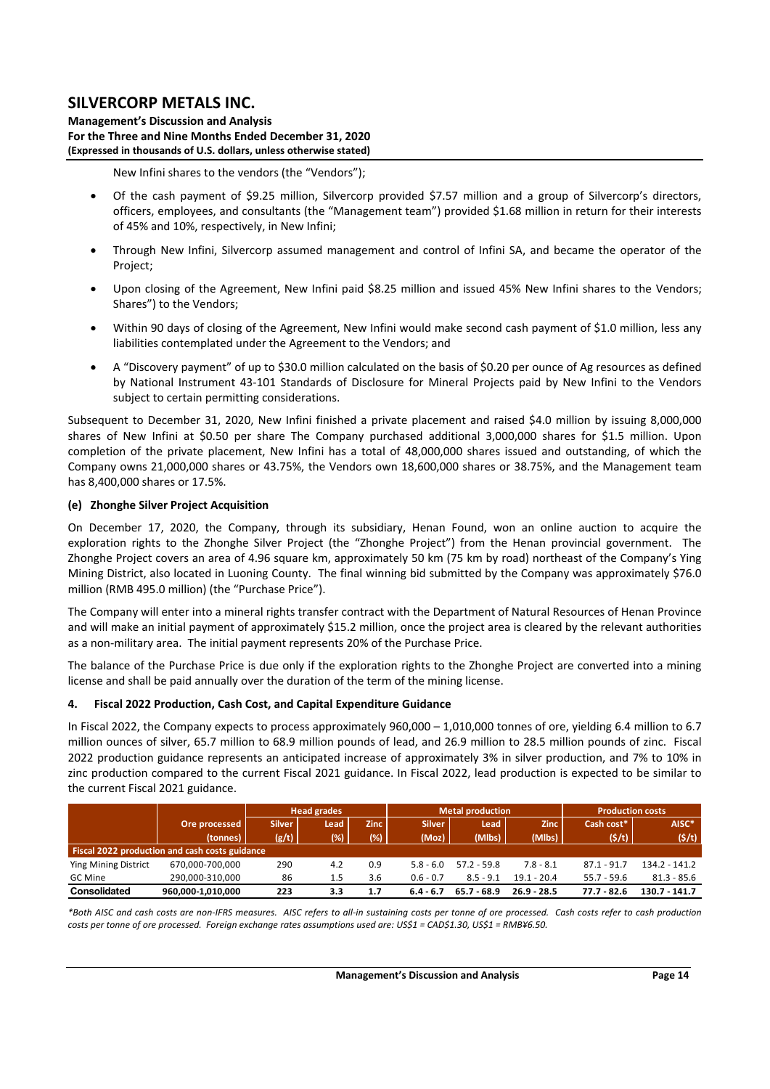**Management's Discussion and Analysis For the Three and Nine Months Ended December 31, 2020 (Expressed in thousands of U.S. dollars, unless otherwise stated)** 

New Infini shares to the vendors (the "Vendors");

- Of the cash payment of \$9.25 million, Silvercorp provided \$7.57 million and a group of Silvercorp's directors, officers, employees, and consultants (the "Management team") provided \$1.68 million in return for their interests of 45% and 10%, respectively, in New Infini;
- Through New Infini, Silvercorp assumed management and control of Infini SA, and became the operator of the Project;
- Upon closing of the Agreement, New Infini paid \$8.25 million and issued 45% New Infini shares to the Vendors; Shares") to the Vendors;
- Within 90 days of closing of the Agreement, New Infini would make second cash payment of \$1.0 million, less any liabilities contemplated under the Agreement to the Vendors; and
- A "Discovery payment" of up to \$30.0 million calculated on the basis of \$0.20 per ounce of Ag resources as defined by National Instrument 43‐101 Standards of Disclosure for Mineral Projects paid by New Infini to the Vendors subject to certain permitting considerations.

Subsequent to December 31, 2020, New Infini finished a private placement and raised \$4.0 million by issuing 8,000,000 shares of New Infini at \$0.50 per share The Company purchased additional 3,000,000 shares for \$1.5 million. Upon completion of the private placement, New Infini has a total of 48,000,000 shares issued and outstanding, of which the Company owns 21,000,000 shares or 43.75%, the Vendors own 18,600,000 shares or 38.75%, and the Management team has 8,400,000 shares or 17.5%.

### **(e) Zhonghe Silver Project Acquisition**

On December 17, 2020, the Company, through its subsidiary, Henan Found, won an online auction to acquire the exploration rights to the Zhonghe Silver Project (the "Zhonghe Project") from the Henan provincial government. The Zhonghe Project covers an area of 4.96 square km, approximately 50 km (75 km by road) northeast of the Company's Ying Mining District, also located in Luoning County. The final winning bid submitted by the Company was approximately \$76.0 million (RMB 495.0 million) (the "Purchase Price").

The Company will enter into a mineral rights transfer contract with the Department of Natural Resources of Henan Province and will make an initial payment of approximately \$15.2 million, once the project area is cleared by the relevant authorities as a non-military area. The initial payment represents 20% of the Purchase Price.

The balance of the Purchase Price is due only if the exploration rights to the Zhonghe Project are converted into a mining license and shall be paid annually over the duration of the term of the mining license.

### **4. Fiscal 2022 Production, Cash Cost, and Capital Expenditure Guidance**

In Fiscal 2022, the Company expects to process approximately 960,000 – 1,010,000 tonnes of ore, yielding 6.4 million to 6.7 million ounces of silver, 65.7 million to 68.9 million pounds of lead, and 26.9 million to 28.5 million pounds of zinc. Fiscal 2022 production guidance represents an anticipated increase of approximately 3% in silver production, and 7% to 10% in zinc production compared to the current Fiscal 2021 guidance. In Fiscal 2022, lead production is expected to be similar to the current Fiscal 2021 guidance.

|                             |                                                       |       | <b>Head grades</b> |        |               | <b>Metal production</b> |               | <b>Production costs</b> |                 |  |  |  |
|-----------------------------|-------------------------------------------------------|-------|--------------------|--------|---------------|-------------------------|---------------|-------------------------|-----------------|--|--|--|
|                             | Ore processed                                         |       | Lead .             | Zinc 1 | <b>Silver</b> | Lead                    | <b>Zinc</b>   | Cash cost*              | AISC*           |  |  |  |
|                             | (tonnes)                                              | (g/t) | (%)                | (%)    | (Moz)         | (Mlbs)                  | (Mlbs)        | (5/t)                   | (5/t)           |  |  |  |
|                             | <b>Fiscal 2022 production and cash costs guidance</b> |       |                    |        |               |                         |               |                         |                 |  |  |  |
| <b>Ying Mining District</b> | 670.000-700.000                                       | 290   | 4.2                | 0.9    | $5.8 - 6.0$   | $57.2 - 59.8$           | $7.8 - 8.1$   | $87.1 - 91.7$           | $134.2 - 141.2$ |  |  |  |
| GC Mine                     | 290.000-310.000                                       | 86    | 1.5                | 3.6    | $0.6 - 0.7$   | $8.5 - 9.1$             | $19.1 - 20.4$ | $55.7 - 59.6$           | $81.3 - 85.6$   |  |  |  |
| Consolidated                | 960,000-1,010,000                                     | 223   | 3.3                | 1.7    | $6.4 - 6.7$   | $65.7 - 68.9$           | $26.9 - 28.5$ | 77.7 - 82.6             | 130.7 - 141.7   |  |  |  |

*\*Both AISC and cash costs are non‐IFRS measures. AISC refers to all‐in sustaining costs per tonne of ore processed. Cash costs refer to cash production costs per tonne of ore processed. Foreign exchange rates assumptions used are: US\$1 = CAD\$1.30, US\$1 = RMB¥6.50.*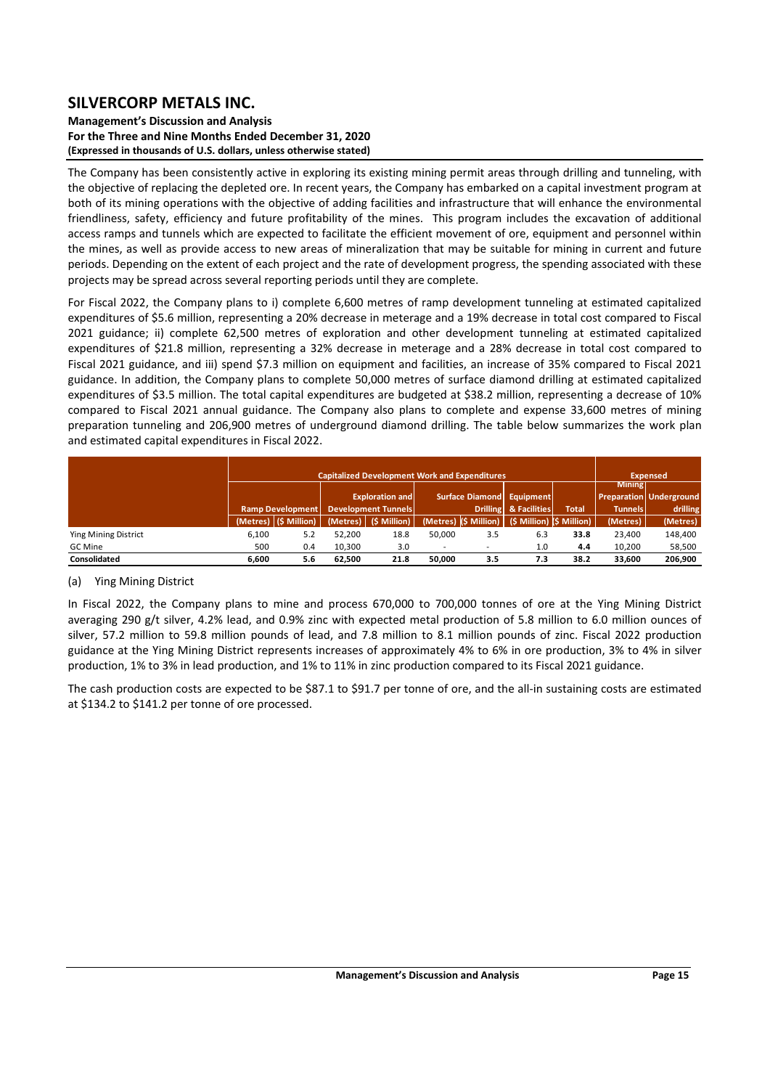### **Management's Discussion and Analysis For the Three and Nine Months Ended December 31, 2020 (Expressed in thousands of U.S. dollars, unless otherwise stated)**

The Company has been consistently active in exploring its existing mining permit areas through drilling and tunneling, with the objective of replacing the depleted ore. In recent years, the Company has embarked on a capital investment program at both of its mining operations with the objective of adding facilities and infrastructure that will enhance the environmental friendliness, safety, efficiency and future profitability of the mines. This program includes the excavation of additional access ramps and tunnels which are expected to facilitate the efficient movement of ore, equipment and personnel within the mines, as well as provide access to new areas of mineralization that may be suitable for mining in current and future periods. Depending on the extent of each project and the rate of development progress, the spending associated with these projects may be spread across several reporting periods until they are complete.

For Fiscal 2022, the Company plans to i) complete 6,600 metres of ramp development tunneling at estimated capitalized expenditures of \$5.6 million, representing a 20% decrease in meterage and a 19% decrease in total cost compared to Fiscal 2021 guidance; ii) complete 62,500 metres of exploration and other development tunneling at estimated capitalized expenditures of \$21.8 million, representing a 32% decrease in meterage and a 28% decrease in total cost compared to Fiscal 2021 guidance, and iii) spend \$7.3 million on equipment and facilities, an increase of 35% compared to Fiscal 2021 guidance. In addition, the Company plans to complete 50,000 metres of surface diamond drilling at estimated capitalized expenditures of \$3.5 million. The total capital expenditures are budgeted at \$38.2 million, representing a decrease of 10% compared to Fiscal 2021 annual guidance. The Company also plans to complete and expense 33,600 metres of mining preparation tunneling and 206,900 metres of underground diamond drilling. The table below summarizes the work plan and estimated capital expenditures in Fiscal 2022.

|                      |          |                  |                                                      | <b>Capitalized Development Work and Expenditures</b> |        |     |                                                   |              |                | <b>Expensed</b>                |
|----------------------|----------|------------------|------------------------------------------------------|------------------------------------------------------|--------|-----|---------------------------------------------------|--------------|----------------|--------------------------------|
|                      |          |                  |                                                      |                                                      |        |     | Surface Diamond Equipment                         |              | <b>Mining</b>  | <b>Preparation Underground</b> |
|                      |          | Ramp Development | <b>Exploration and</b><br><b>Development Tunnels</b> |                                                      |        |     | Drilling & Facilities                             | <b>Total</b> | <b>Tunnels</b> | drilling                       |
|                      | (Metres) | (\$ Million)     |                                                      | (Metres) (\$ Million)                                |        |     | (Metres) (\$ Million)   (\$ Million)  \$ Million) |              | (Metres)       | (Metres)                       |
| Ying Mining District | 6,100    | 5.2              | 52,200                                               | 18.8                                                 | 50,000 | 3.5 | 6.3                                               | 33.8         | 23,400         | 148,400                        |
| GC Mine              | 500      | 0.4              | 10,300                                               | 3.0                                                  |        |     | 1.0                                               | 4.4          | 10,200         | 58,500                         |
| Consolidated         | 6.600    | 5.6              | 62,500                                               | 21.8                                                 | 50.000 | 3.5 | 7.3                                               | 38.2         | 33,600         | 206,900                        |

### (a) Ying Mining District

In Fiscal 2022, the Company plans to mine and process 670,000 to 700,000 tonnes of ore at the Ying Mining District averaging 290 g/t silver, 4.2% lead, and 0.9% zinc with expected metal production of 5.8 million to 6.0 million ounces of silver, 57.2 million to 59.8 million pounds of lead, and 7.8 million to 8.1 million pounds of zinc. Fiscal 2022 production guidance at the Ying Mining District represents increases of approximately 4% to 6% in ore production, 3% to 4% in silver production, 1% to 3% in lead production, and 1% to 11% in zinc production compared to its Fiscal 2021 guidance.

The cash production costs are expected to be \$87.1 to \$91.7 per tonne of ore, and the all-in sustaining costs are estimated at \$134.2 to \$141.2 per tonne of ore processed.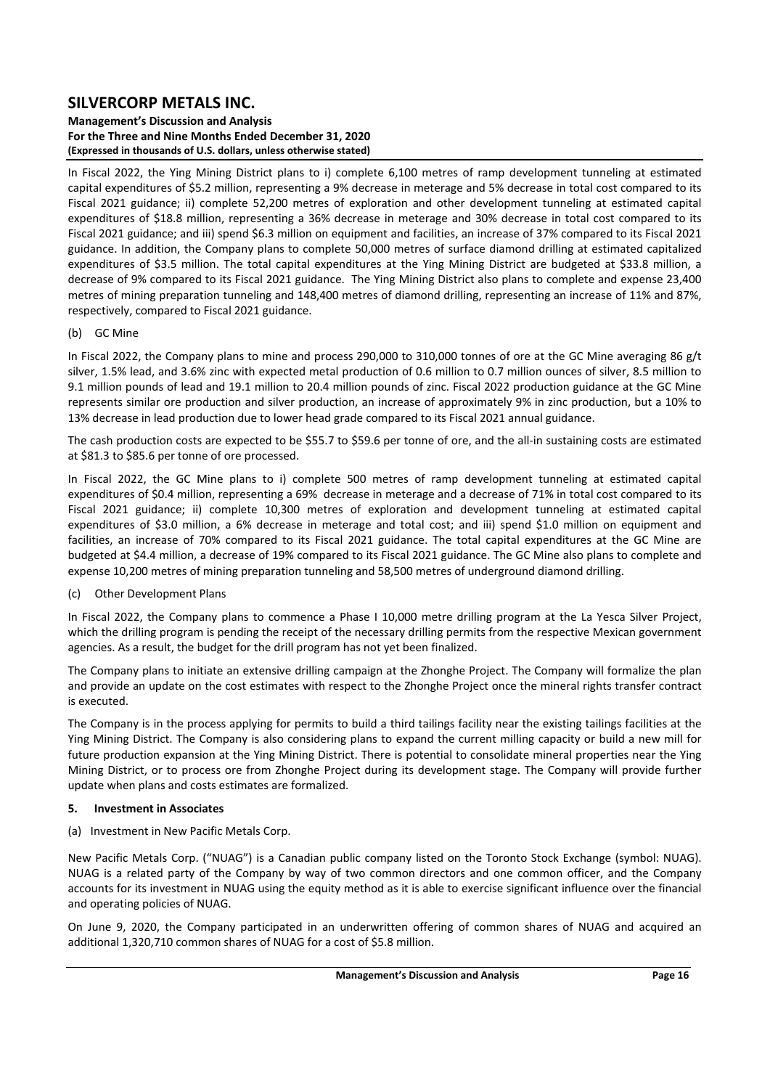### **Management's Discussion and Analysis For the Three and Nine Months Ended December 31, 2020 (Expressed in thousands of U.S. dollars, unless otherwise stated)**

In Fiscal 2022, the Ying Mining District plans to i) complete 6,100 metres of ramp development tunneling at estimated capital expenditures of \$5.2 million, representing a 9% decrease in meterage and 5% decrease in total cost compared to its Fiscal 2021 guidance; ii) complete 52,200 metres of exploration and other development tunneling at estimated capital expenditures of \$18.8 million, representing a 36% decrease in meterage and 30% decrease in total cost compared to its Fiscal 2021 guidance; and iii) spend \$6.3 million on equipment and facilities, an increase of 37% compared to its Fiscal 2021 guidance. In addition, the Company plans to complete 50,000 metres of surface diamond drilling at estimated capitalized expenditures of \$3.5 million. The total capital expenditures at the Ying Mining District are budgeted at \$33.8 million, a decrease of 9% compared to its Fiscal 2021 guidance. The Ying Mining District also plans to complete and expense 23,400 metres of mining preparation tunneling and 148,400 metres of diamond drilling, representing an increase of 11% and 87%, respectively, compared to Fiscal 2021 guidance.

## (b) GC Mine

In Fiscal 2022, the Company plans to mine and process 290,000 to 310,000 tonnes of ore at the GC Mine averaging 86  $g/t$ silver, 1.5% lead, and 3.6% zinc with expected metal production of 0.6 million to 0.7 million ounces of silver, 8.5 million to 9.1 million pounds of lead and 19.1 million to 20.4 million pounds of zinc. Fiscal 2022 production guidance at the GC Mine represents similar ore production and silver production, an increase of approximately 9% in zinc production, but a 10% to 13% decrease in lead production due to lower head grade compared to its Fiscal 2021 annual guidance.

The cash production costs are expected to be \$55.7 to \$59.6 per tonne of ore, and the all-in sustaining costs are estimated at \$81.3 to \$85.6 per tonne of ore processed.

In Fiscal 2022, the GC Mine plans to i) complete 500 metres of ramp development tunneling at estimated capital expenditures of \$0.4 million, representing a 69% decrease in meterage and a decrease of 71% in total cost compared to its Fiscal 2021 guidance; ii) complete 10,300 metres of exploration and development tunneling at estimated capital expenditures of \$3.0 million, a 6% decrease in meterage and total cost; and iii) spend \$1.0 million on equipment and facilities, an increase of 70% compared to its Fiscal 2021 guidance. The total capital expenditures at the GC Mine are budgeted at \$4.4 million, a decrease of 19% compared to its Fiscal 2021 guidance. The GC Mine also plans to complete and expense 10,200 metres of mining preparation tunneling and 58,500 metres of underground diamond drilling.

## (c) Other Development Plans

In Fiscal 2022, the Company plans to commence a Phase I 10,000 metre drilling program at the La Yesca Silver Project, which the drilling program is pending the receipt of the necessary drilling permits from the respective Mexican government agencies. As a result, the budget for the drill program has not yet been finalized.

The Company plans to initiate an extensive drilling campaign at the Zhonghe Project. The Company will formalize the plan and provide an update on the cost estimates with respect to the Zhonghe Project once the mineral rights transfer contract is executed.

The Company is in the process applying for permits to build a third tailings facility near the existing tailings facilities at the Ying Mining District. The Company is also considering plans to expand the current milling capacity or build a new mill for future production expansion at the Ying Mining District. There is potential to consolidate mineral properties near the Ying Mining District, or to process ore from Zhonghe Project during its development stage. The Company will provide further update when plans and costs estimates are formalized.

### **5. Investment in Associates**

(a) Investment in New Pacific Metals Corp.

New Pacific Metals Corp. ("NUAG") is a Canadian public company listed on the Toronto Stock Exchange (symbol: NUAG). NUAG is a related party of the Company by way of two common directors and one common officer, and the Company accounts for its investment in NUAG using the equity method as it is able to exercise significant influence over the financial and operating policies of NUAG.

On June 9, 2020, the Company participated in an underwritten offering of common shares of NUAG and acquired an additional 1,320,710 common shares of NUAG for a cost of \$5.8 million.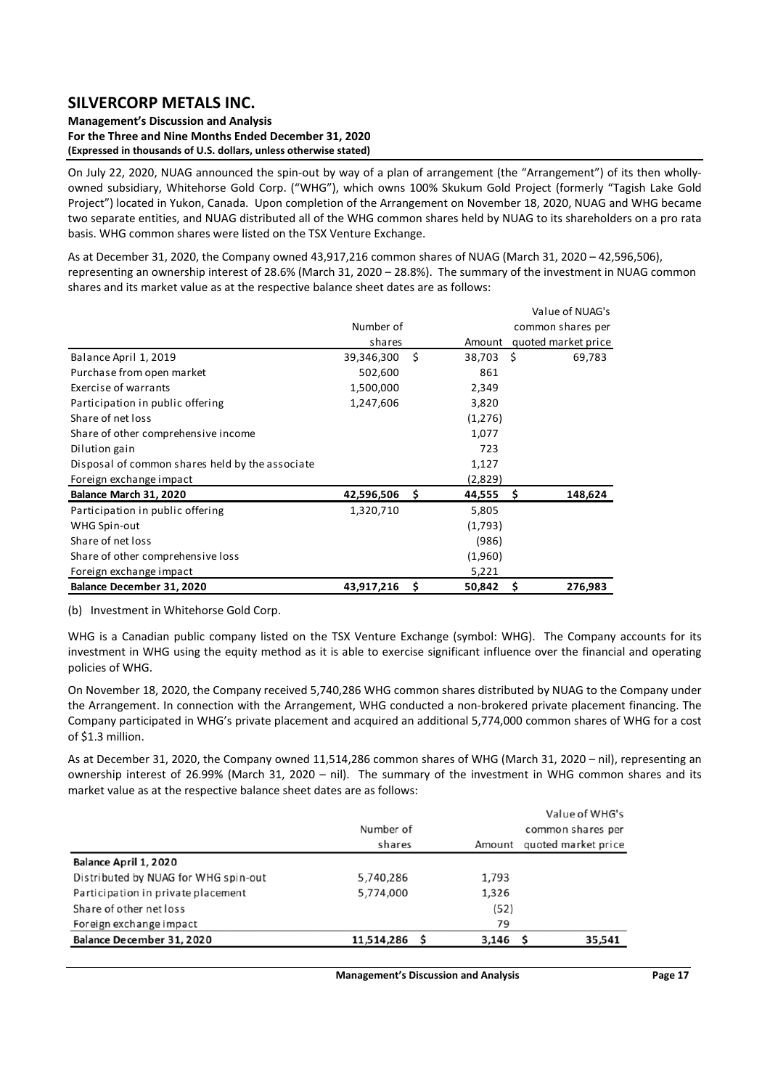#### **Management's Discussion and Analysis For the Three and Nine Months Ended December 31, 2020 (Expressed in thousands of U.S. dollars, unless otherwise stated)**

On July 22, 2020, NUAG announced the spin-out by way of a plan of arrangement (the "Arrangement") of its then whollyowned subsidiary, Whitehorse Gold Corp. ("WHG"), which owns 100% Skukum Gold Project (formerly "Tagish Lake Gold Project") located in Yukon, Canada. Upon completion of the Arrangement on November 18, 2020, NUAG and WHG became two separate entities, and NUAG distributed all of the WHG common shares held by NUAG to its shareholders on a pro rata basis. WHG common shares were listed on the TSX Venture Exchange.

As at December 31, 2020, the Company owned 43,917,216 common shares of NUAG (March 31, 2020 – 42,596,506), representing an ownership interest of 28.6% (March 31, 2020 – 28.8%). The summary of the investment in NUAG common shares and its market value as at the respective balance sheet dates are as follows:

|                                                 |            |    |         |      | Value of NUAG's     |
|-------------------------------------------------|------------|----|---------|------|---------------------|
|                                                 | Number of  |    |         |      | common shares per   |
|                                                 | shares     |    | Amount  |      | quoted market price |
| Balance April 1, 2019                           | 39,346,300 | Ś  | 38,703  | - \$ | 69,783              |
| Purchase from open market                       | 502,600    |    | 861     |      |                     |
| Exercise of warrants                            | 1,500,000  |    | 2,349   |      |                     |
| Participation in public offering                | 1,247,606  |    | 3,820   |      |                     |
| Share of net loss                               |            |    | (1,276) |      |                     |
| Share of other comprehensive income             |            |    | 1,077   |      |                     |
| Dilution gain                                   |            |    | 723     |      |                     |
| Disposal of common shares held by the associate |            |    | 1,127   |      |                     |
| Foreign exchange impact                         |            |    | (2,829) |      |                     |
| Balance March 31, 2020                          | 42,596,506 | \$ | 44,555  | \$   | 148,624             |
| Participation in public offering                | 1,320,710  |    | 5,805   |      |                     |
| WHG Spin-out                                    |            |    | (1,793) |      |                     |
| Share of net loss                               |            |    | (986)   |      |                     |
| Share of other comprehensive loss               |            |    | (1,960) |      |                     |
| Foreign exchange impact                         |            |    | 5,221   |      |                     |
| Balance December 31, 2020                       | 43,917,216 | Ś  | 50,842  | Ś    | 276,983             |

(b) Investment in Whitehorse Gold Corp.

WHG is a Canadian public company listed on the TSX Venture Exchange (symbol: WHG). The Company accounts for its investment in WHG using the equity method as it is able to exercise significant influence over the financial and operating policies of WHG.

On November 18, 2020, the Company received 5,740,286 WHG common shares distributed by NUAG to the Company under the Arrangement. In connection with the Arrangement, WHG conducted a non‐brokered private placement financing. The Company participated in WHG's private placement and acquired an additional 5,774,000 common shares of WHG for a cost of \$1.3 million.

As at December 31, 2020, the Company owned 11,514,286 common shares of WHG (March 31, 2020 – nil), representing an ownership interest of 26.99% (March 31, 2020 - nil). The summary of the investment in WHG common shares and its market value as at the respective balance sheet dates are as follows:

|                                      |               |            | Value of WHG's      |
|--------------------------------------|---------------|------------|---------------------|
|                                      | Number of     |            | common shares per   |
|                                      | shares        | Amount     | quoted market price |
| Balance April 1, 2020                |               |            |                     |
| Distributed by NUAG for WHG spin-out | 5,740,286     | 1,793      |                     |
| Participation in private placement   | 5,774,000     | 1,326      |                     |
| Share of other net loss              |               | (52)       |                     |
| Foreign exchange impact              |               | 79         |                     |
| Balance December 31, 2020            | 11,514,286 \$ | $3,146$ \$ | 35,541              |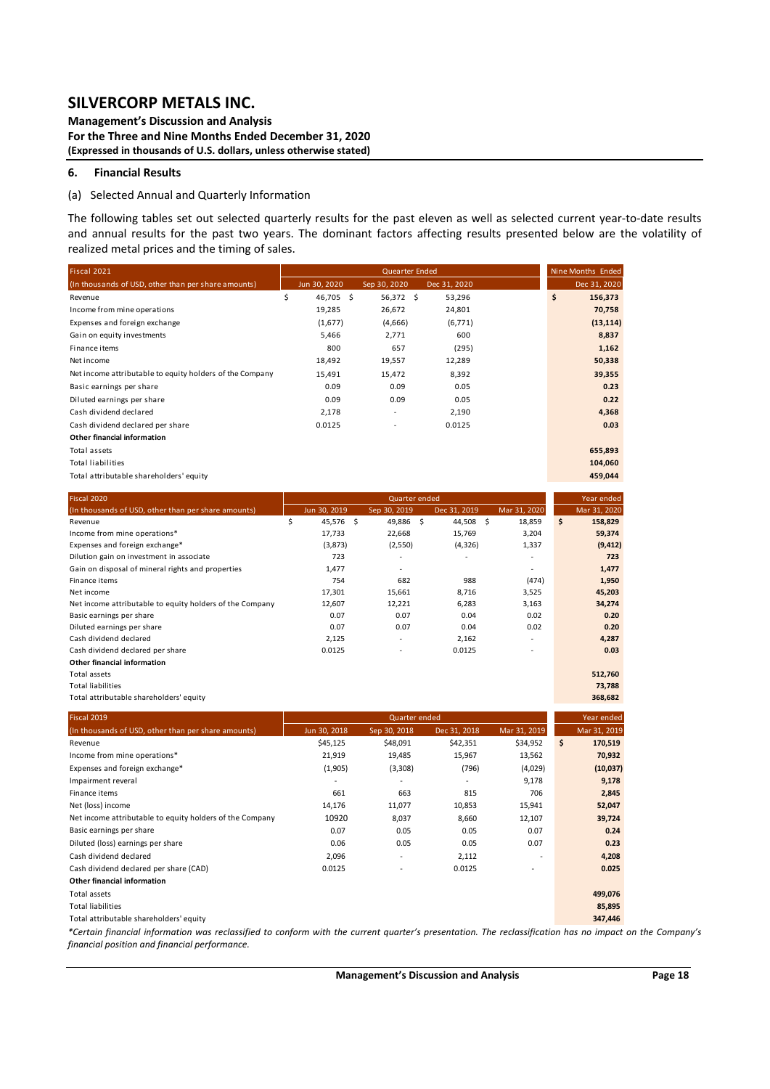**Management's Discussion and Analysis For the Three and Nine Months Ended December 31, 2020 (Expressed in thousands of U.S. dollars, unless otherwise stated)** 

#### **6. Financial Results**

#### (a) Selected Annual and Quarterly Information

The following tables set out selected quarterly results for the past eleven as well as selected current year-to-date results and annual results for the past two years. The dominant factors affecting results presented below are the volatility of realized metal prices and the timing of sales.

| Fiscal 2021                                                                                                                                                                                              |                 | Quearter Ended |                          |              | Nine Months Ended |
|----------------------------------------------------------------------------------------------------------------------------------------------------------------------------------------------------------|-----------------|----------------|--------------------------|--------------|-------------------|
| (In thousands of USD, other than per share amounts)                                                                                                                                                      | Jun 30, 2020    | Sep 30, 2020   | Dec 31, 2020             |              | Dec 31, 2020      |
| Revenue                                                                                                                                                                                                  | \$<br>46,705 \$ | 56,372 \$      | 53,296                   |              | \$<br>156,373     |
| Income from mine operations                                                                                                                                                                              | 19,285          | 26,672         | 24,801                   |              | 70,758            |
| Expenses and foreign exchange                                                                                                                                                                            | (1,677)         | (4,666)        | (6, 771)                 |              | (13, 114)         |
| Gain on equity investments                                                                                                                                                                               | 5,466           | 2,771          | 600                      |              | 8,837             |
| Finance items                                                                                                                                                                                            | 800             | 657            | (295)                    |              | 1,162             |
| Net income                                                                                                                                                                                               | 18,492          | 19,557         | 12,289                   |              | 50,338            |
| Net income attributable to equity holders of the Company                                                                                                                                                 | 15,491          | 15,472         | 8,392                    |              | 39,355            |
| Basic earnings per share                                                                                                                                                                                 | 0.09            | 0.09           | 0.05                     |              | 0.23              |
| Diluted earnings per share                                                                                                                                                                               | 0.09            | 0.09           | 0.05                     |              | 0.22              |
| Cash dividend declared                                                                                                                                                                                   | 2,178           |                | 2,190                    |              | 4,368             |
|                                                                                                                                                                                                          |                 |                |                          |              |                   |
| Cash dividend declared per share                                                                                                                                                                         | 0.0125          |                | 0.0125                   |              | 0.03              |
| Other financial information                                                                                                                                                                              |                 |                |                          |              |                   |
| Total assets                                                                                                                                                                                             |                 |                |                          |              | 655,893           |
| <b>Total liabilities</b>                                                                                                                                                                                 |                 |                |                          |              | 104,060           |
| Total attributable shareholders' equity                                                                                                                                                                  |                 |                |                          |              | 459,044           |
| Fiscal 2020                                                                                                                                                                                              |                 |                | Quarter ended            |              | Year ended        |
| (In thousands of USD, other than per share amounts)                                                                                                                                                      | Jun 30, 2019    | Sep 30, 2019   | Dec 31, 2019             | Mar 31, 2020 | Mar 31, 2020      |
| Revenue                                                                                                                                                                                                  | \$<br>45,576 \$ | 49,886 \$      | 44,508 \$                | 18,859       | \$<br>158,829     |
| Income from mine operations*                                                                                                                                                                             | 17,733          | 22,668         | 15,769                   | 3,204        | 59,374            |
| Expenses and foreign exchange*                                                                                                                                                                           | (3,873)         | (2,550)        | (4, 326)                 | 1,337        | (9, 412)          |
| Dilution gain on investment in associate                                                                                                                                                                 | 723             |                |                          | $\sim$       | 723               |
| Gain on disposal of mineral rights and properties                                                                                                                                                        | 1,477           |                |                          |              | 1,477             |
| Finance items                                                                                                                                                                                            | 754             | 682            | 988                      | (474)        | 1,950             |
| Net income                                                                                                                                                                                               | 17,301          | 15,661         | 8,716                    | 3,525        | 45,203            |
| Net income attributable to equity holders of the Company                                                                                                                                                 | 12,607          | 12,221         | 6,283                    | 3,163        | 34,274            |
| Basic earnings per share                                                                                                                                                                                 | 0.07            | 0.07           | 0.04                     | 0.02         | 0.20              |
| Diluted earnings per share                                                                                                                                                                               | 0.07            | 0.07           | 0.04                     | 0.02         | 0.20              |
| Cash dividend declared                                                                                                                                                                                   | 2,125           | ÷,             | 2,162                    |              | 4,287             |
| Cash dividend declared per share                                                                                                                                                                         | 0.0125          |                | 0.0125                   |              | 0.03              |
| Other financial information                                                                                                                                                                              |                 |                |                          |              |                   |
| <b>Total assets</b>                                                                                                                                                                                      |                 |                |                          |              | 512,760           |
| <b>Total liabilities</b>                                                                                                                                                                                 |                 |                |                          |              | 73,788            |
| Total attributable shareholders' equity                                                                                                                                                                  |                 |                |                          |              | 368,682           |
| Fiscal 2019                                                                                                                                                                                              |                 |                | Quarter ended            |              | Year ended        |
| (In thousands of USD, other than per share amounts)                                                                                                                                                      | Jun 30, 2018    | Sep 30, 2018   | Dec 31, 2018             | Mar 31, 2019 | Mar 31, 2019      |
| Revenue                                                                                                                                                                                                  | \$45,125        | \$48,091       | \$42,351                 | \$34,952     | \$<br>170,519     |
| Income from mine operations*                                                                                                                                                                             | 21,919          | 19,485         | 15,967                   | 13,562       | 70,932            |
| Expenses and foreign exchange*                                                                                                                                                                           | (1,905)         | (3,308)        | (796)                    | (4,029)      | (10, 037)         |
| Impairment reveral                                                                                                                                                                                       |                 |                | $\overline{\phantom{a}}$ | 9,178        | 9,178             |
|                                                                                                                                                                                                          |                 |                |                          | 706          |                   |
| Finance items                                                                                                                                                                                            | 661             | 663            | 815                      |              | 2,845             |
| Net (loss) income                                                                                                                                                                                        | 14,176          | 11,077         | 10,853                   | 15,941       | 52,047            |
| Net income attributable to equity holders of the Company                                                                                                                                                 | 10920           | 8,037          | 8,660                    | 12,107       | 39,724            |
| Basic earnings per share                                                                                                                                                                                 | 0.07            | 0.05           | 0.05                     | 0.07         | 0.24              |
| Diluted (loss) earnings per share                                                                                                                                                                        | $0.06\,$        | 0.05           | $0.05\,$                 | 0.07         | 0.23              |
| Cash dividend declared                                                                                                                                                                                   | 2,096           | $\blacksquare$ | 2,112                    |              | 4,208             |
| Cash dividend declared per share (CAD)                                                                                                                                                                   | 0.0125          |                | 0.0125                   |              | 0.025             |
| Other financial information                                                                                                                                                                              |                 |                |                          |              |                   |
| Total assets                                                                                                                                                                                             |                 |                |                          |              | 499,076           |
| <b>Total liabilities</b>                                                                                                                                                                                 |                 |                |                          |              | 85,895            |
| Total attributable shareholders' equity                                                                                                                                                                  |                 |                |                          |              | 347,446           |
| *Certain financial information was reclassified to conform with the current quarter's presentation. The reclassification has no impact on the Company's<br>financial position and financial performance. |                 |                |                          |              |                   |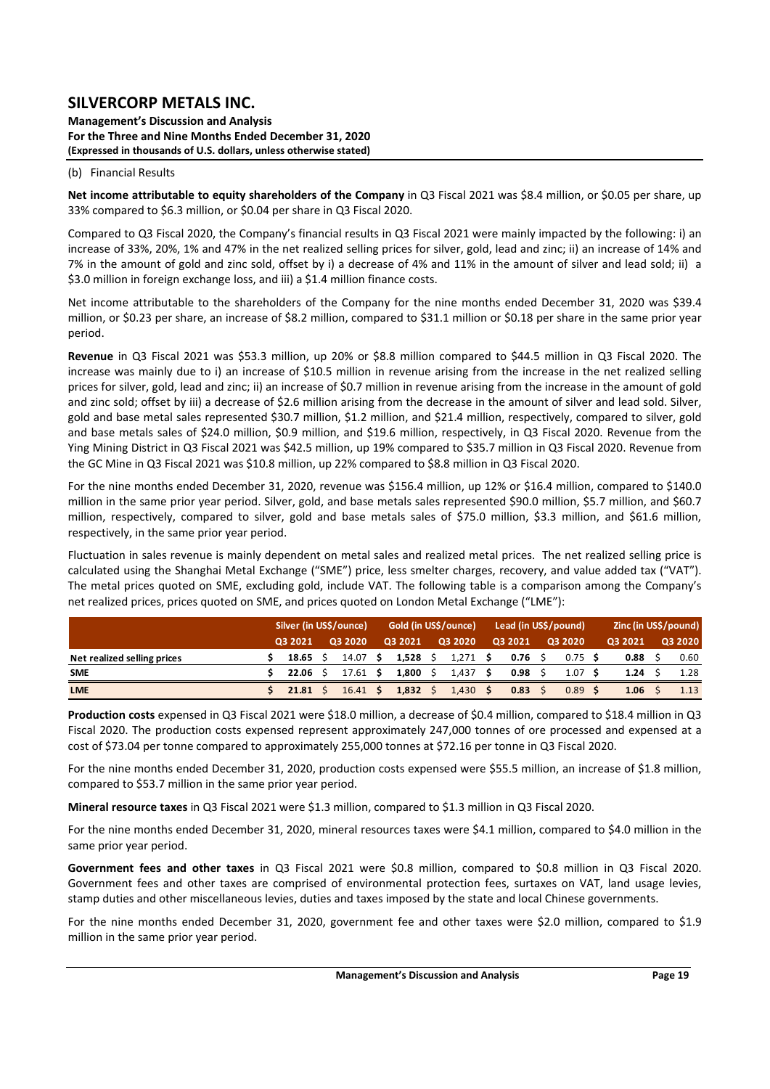**Management's Discussion and Analysis For the Three and Nine Months Ended December 31, 2020 (Expressed in thousands of U.S. dollars, unless otherwise stated)** 

#### (b) Financial Results

**Net income attributable to equity shareholders of the Company** in Q3 Fiscal 2021 was \$8.4 million, or \$0.05 per share, up 33% compared to \$6.3 million, or \$0.04 per share in Q3 Fiscal 2020.

Compared to Q3 Fiscal 2020, the Company's financial results in Q3 Fiscal 2021 were mainly impacted by the following: i) an increase of 33%, 20%, 1% and 47% in the net realized selling prices for silver, gold, lead and zinc; ii) an increase of 14% and 7% in the amount of gold and zinc sold, offset by i) a decrease of 4% and 11% in the amount of silver and lead sold; ii) a \$3.0 million in foreign exchange loss, and iii) a \$1.4 million finance costs.

Net income attributable to the shareholders of the Company for the nine months ended December 31, 2020 was \$39.4 million, or \$0.23 per share, an increase of \$8.2 million, compared to \$31.1 million or \$0.18 per share in the same prior year period.

Revenue in Q3 Fiscal 2021 was \$53.3 million, up 20% or \$8.8 million compared to \$44.5 million in Q3 Fiscal 2020. The increase was mainly due to i) an increase of \$10.5 million in revenue arising from the increase in the net realized selling prices for silver, gold, lead and zinc; ii) an increase of \$0.7 million in revenue arising from the increase in the amount of gold and zinc sold; offset by iii) a decrease of \$2.6 million arising from the decrease in the amount of silver and lead sold. Silver, gold and base metal sales represented \$30.7 million, \$1.2 million, and \$21.4 million, respectively, compared to silver, gold and base metals sales of \$24.0 million, \$0.9 million, and \$19.6 million, respectively, in Q3 Fiscal 2020. Revenue from the Ying Mining District in Q3 Fiscal 2021 was \$42.5 million, up 19% compared to \$35.7 million in Q3 Fiscal 2020. Revenue from the GC Mine in Q3 Fiscal 2021 was \$10.8 million, up 22% compared to \$8.8 million in Q3 Fiscal 2020.

For the nine months ended December 31, 2020, revenue was \$156.4 million, up 12% or \$16.4 million, compared to \$140.0 million in the same prior year period. Silver, gold, and base metals sales represented \$90.0 million, \$5.7 million, and \$60.7 million, respectively, compared to silver, gold and base metals sales of \$75.0 million, \$3.3 million, and \$61.6 million, respectively, in the same prior year period.

Fluctuation in sales revenue is mainly dependent on metal sales and realized metal prices. The net realized selling price is calculated using the Shanghai Metal Exchange ("SME") price, less smelter charges, recovery, and value added tax ("VAT"). The metal prices quoted on SME, excluding gold, include VAT. The following table is a comparison among the Company's net realized prices, prices quoted on SME, and prices quoted on London Metal Exchange ("LME"):

|                             | Silver (in US\$/ounce) |  |                  |       | Gold (in US\$/ounce) |       |         |      | Lead (in US\$/pound) |      |           | Zinc (in US\$/pound) |         |  |         |
|-----------------------------|------------------------|--|------------------|-------|----------------------|-------|---------|------|----------------------|------|-----------|----------------------|---------|--|---------|
|                             | 03 2021                |  | 03 2020          |       | Q3 2021              |       | Q3 2020 |      | 03 2021              |      | Q3 2020   |                      | 03 2021 |  | Q3 2020 |
| Net realized selling prices | 18.65                  |  | 14.07 S          |       | $1.528 \pm 5$        |       | 1.271   |      | 0.76                 | - \$ | $0.75$ \$ |                      | 0.88    |  | 0.60    |
| <b>SME</b>                  | 22.06                  |  | $17.61 \text{ }$ |       | 1,800                |       | 1,437   |      | 0.98                 |      | 1.07      |                      | 1.24    |  | 1.28    |
| <b>LME</b>                  | 21.81<br>16.41 S       |  |                  | 1,832 |                      | 1,430 |         | 0.83 |                      | 0.89 |           | 1.06                 |         |  |         |

**Production costs** expensed in Q3 Fiscal 2021 were \$18.0 million, a decrease of \$0.4 million, compared to \$18.4 million in Q3 Fiscal 2020. The production costs expensed represent approximately 247,000 tonnes of ore processed and expensed at a cost of \$73.04 per tonne compared to approximately 255,000 tonnes at \$72.16 per tonne in Q3 Fiscal 2020.

For the nine months ended December 31, 2020, production costs expensed were \$55.5 million, an increase of \$1.8 million, compared to \$53.7 million in the same prior year period.

**Mineral resource taxes** in Q3 Fiscal 2021 were \$1.3 million, compared to \$1.3 million in Q3 Fiscal 2020.

For the nine months ended December 31, 2020, mineral resources taxes were \$4.1 million, compared to \$4.0 million in the same prior year period.

Government fees and other taxes in Q3 Fiscal 2021 were \$0.8 million, compared to \$0.8 million in Q3 Fiscal 2020. Government fees and other taxes are comprised of environmental protection fees, surtaxes on VAT, land usage levies, stamp duties and other miscellaneous levies, duties and taxes imposed by the state and local Chinese governments.

For the nine months ended December 31, 2020, government fee and other taxes were \$2.0 million, compared to \$1.9 million in the same prior year period.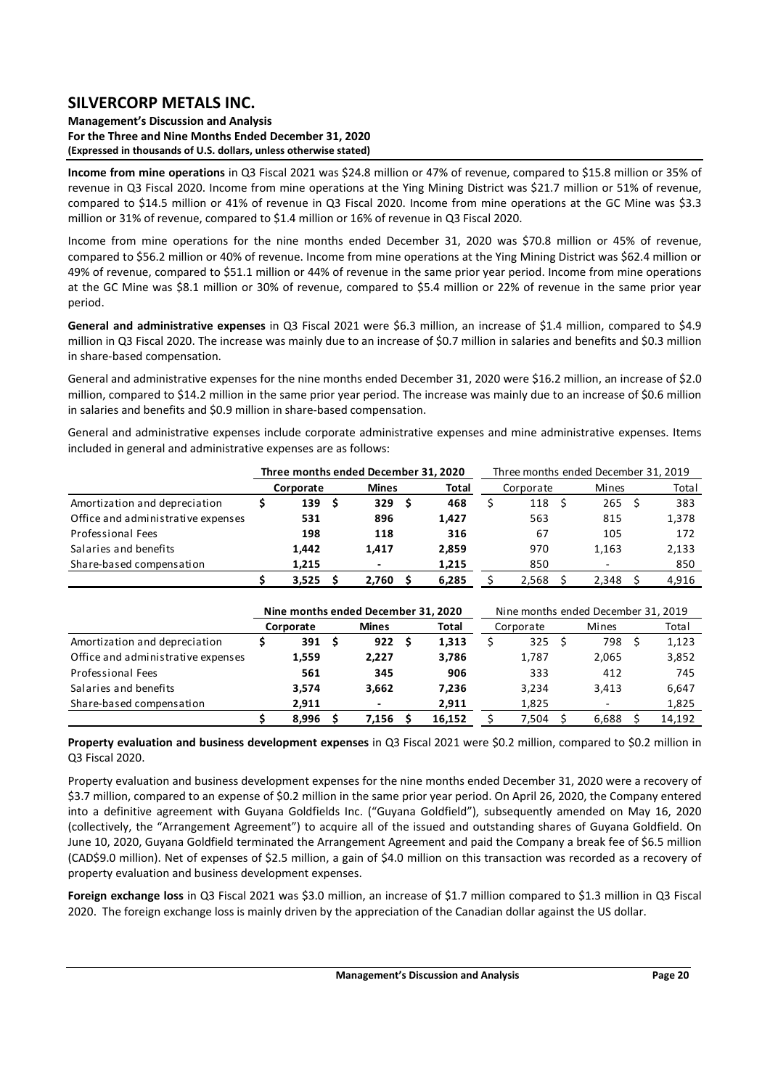#### **Management's Discussion and Analysis For the Three and Nine Months Ended December 31, 2020 (Expressed in thousands of U.S. dollars, unless otherwise stated)**

**Income from mine operations** in Q3 Fiscal 2021 was \$24.8 million or 47% of revenue, compared to \$15.8 million or 35% of revenue in Q3 Fiscal 2020. Income from mine operations at the Ying Mining District was \$21.7 million or 51% of revenue, compared to \$14.5 million or 41% of revenue in Q3 Fiscal 2020. Income from mine operations at the GC Mine was \$3.3 million or 31% of revenue, compared to \$1.4 million or 16% of revenue in Q3 Fiscal 2020.

Income from mine operations for the nine months ended December 31, 2020 was \$70.8 million or 45% of revenue, compared to \$56.2 million or 40% of revenue. Income from mine operations at the Ying Mining District was \$62.4 million or 49% of revenue, compared to \$51.1 million or 44% of revenue in the same prior year period. Income from mine operations at the GC Mine was \$8.1 million or 30% of revenue, compared to \$5.4 million or 22% of revenue in the same prior year period.

**General and administrative expenses** in Q3 Fiscal 2021 were \$6.3 million, an increase of \$1.4 million, compared to \$4.9 million in Q3 Fiscal 2020. The increase was mainly due to an increase of \$0.7 million in salaries and benefits and \$0.3 million in share‐based compensation.

General and administrative expenses for the nine months ended December 31, 2020 were \$16.2 million, an increase of \$2.0 million, compared to \$14.2 million in the same prior year period. The increase was mainly due to an increase of \$0.6 million in salaries and benefits and \$0.9 million in share‐based compensation.

General and administrative expenses include corporate administrative expenses and mine administrative expenses. Items included in general and administrative expenses are as follows:

|                                    | Three months ended December 31, 2020 |                |       |  | Three months ended December 31, 2019 |                          |       |       |
|------------------------------------|--------------------------------------|----------------|-------|--|--------------------------------------|--------------------------|-------|-------|
|                                    | Corporate                            | <b>Mines</b>   | Total |  | Corporate                            | Mines                    | Total |       |
| Amortization and depreciation      | 139                                  | 329S           | 468   |  | 118                                  | 265 <sup>5</sup>         |       | 383   |
| Office and administrative expenses | 531                                  | 896            | 1.427 |  | 563                                  | 815                      |       | 1,378 |
| Professional Fees                  | 198                                  | 118            | 316   |  | 67                                   | 105                      |       | 172   |
| Salaries and benefits              | 1.442                                | 1.417          | 2,859 |  | 970                                  | 1.163                    |       | 2,133 |
| Share-based compensation           | 1,215                                | $\overline{a}$ | 1,215 |  | 850                                  | $\overline{\phantom{0}}$ |       | 850   |
|                                    | 3,525                                | 2.760          | 6,285 |  | 2,568                                | 2.348                    |       | 4,916 |

|                                    |           |       |              | Nine months ended December 31, 2020 |  |           | Nine months ended December 31, 2019 |                  |       |       |  |        |  |  |  |  |  |  |
|------------------------------------|-----------|-------|--------------|-------------------------------------|--|-----------|-------------------------------------|------------------|-------|-------|--|--------|--|--|--|--|--|--|
|                                    | Corporate |       | <b>Mines</b> | Total                               |  | Corporate |                                     | Mines            | Total |       |  |        |  |  |  |  |  |  |
| Amortization and depreciation      |           | 391   | S            | 922 <sub>5</sub>                    |  | 1,313     |                                     | 325 <sub>5</sub> |       | 798   |  | 1,123  |  |  |  |  |  |  |
| Office and administrative expenses |           | 1,559 |              | 2,227                               |  | 3.786     |                                     | 1,787            |       | 2,065 |  | 3,852  |  |  |  |  |  |  |
| Professional Fees                  |           | 561   |              | 345                                 |  | 906       |                                     | 333              |       | 412   |  | 745    |  |  |  |  |  |  |
| Salaries and benefits              |           | 3.574 |              | 3,662                               |  | 7,236     |                                     | 3,234            |       | 3.413 |  | 6,647  |  |  |  |  |  |  |
| Share-based compensation           |           | 2,911 |              | ٠                                   |  | 2,911     |                                     | 1,825            |       | -     |  | 1,825  |  |  |  |  |  |  |
|                                    |           | 8,996 |              | 7,156                               |  | 16,152    |                                     | 7,504            |       | 6,688 |  | 14,192 |  |  |  |  |  |  |

**Property evaluation and business development expenses** in Q3 Fiscal 2021 were \$0.2 million, compared to \$0.2 million in Q3 Fiscal 2020.

Property evaluation and business development expenses for the nine months ended December 31, 2020 were a recovery of \$3.7 million, compared to an expense of \$0.2 million in the same prior year period. On April 26, 2020, the Company entered into a definitive agreement with Guyana Goldfields Inc. ("Guyana Goldfield"), subsequently amended on May 16, 2020 (collectively, the "Arrangement Agreement") to acquire all of the issued and outstanding shares of Guyana Goldfield. On June 10, 2020, Guyana Goldfield terminated the Arrangement Agreement and paid the Company a break fee of \$6.5 million (CAD\$9.0 million). Net of expenses of \$2.5 million, a gain of \$4.0 million on this transaction was recorded as a recovery of property evaluation and business development expenses.

**Foreign exchange loss** in Q3 Fiscal 2021 was \$3.0 million, an increase of \$1.7 million compared to \$1.3 million in Q3 Fiscal 2020. The foreign exchange loss is mainly driven by the appreciation of the Canadian dollar against the US dollar.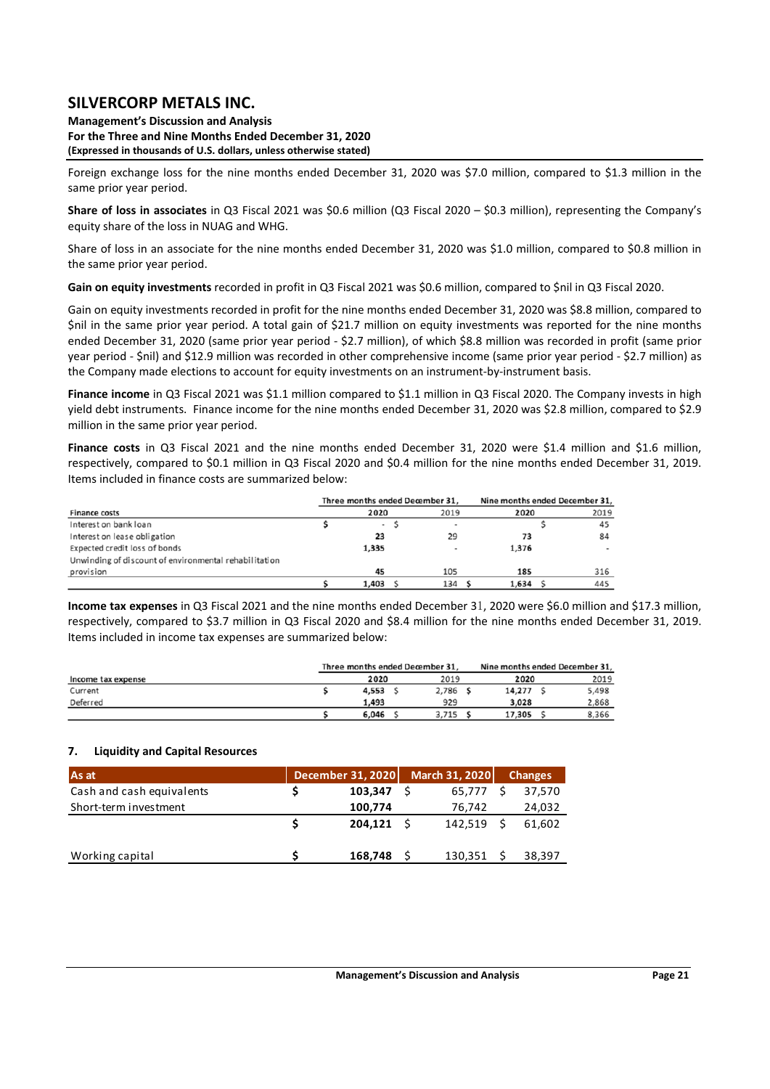**Management's Discussion and Analysis For the Three and Nine Months Ended December 31, 2020 (Expressed in thousands of U.S. dollars, unless otherwise stated)** 

Foreign exchange loss for the nine months ended December 31, 2020 was \$7.0 million, compared to \$1.3 million in the same prior year period.

**Share of loss in associates** in Q3 Fiscal 2021 was \$0.6 million (Q3 Fiscal 2020 – \$0.3 million), representing the Company's equity share of the loss in NUAG and WHG.

Share of loss in an associate for the nine months ended December 31, 2020 was \$1.0 million, compared to \$0.8 million in the same prior year period.

**Gain on equity investments** recorded in profit in Q3 Fiscal 2021 was \$0.6 million, compared to \$nil in Q3 Fiscal 2020.

Gain on equity investments recorded in profit for the nine months ended December 31, 2020 was \$8.8 million, compared to \$nil in the same prior year period. A total gain of \$21.7 million on equity investments was reported for the nine months ended December 31, 2020 (same prior year period ‐ \$2.7 million), of which \$8.8 million was recorded in profit (same prior year period ‐ \$nil) and \$12.9 million was recorded in other comprehensive income (same prior year period ‐ \$2.7 million) as the Company made elections to account for equity investments on an instrument-by-instrument basis.

**Finance income** in Q3 Fiscal 2021 was \$1.1 million compared to \$1.1 million in Q3 Fiscal 2020. The Company invests in high yield debt instruments. Finance income for the nine months ended December 31, 2020 was \$2.8 million, compared to \$2.9 million in the same prior year period.

Finance costs in Q3 Fiscal 2021 and the nine months ended December 31, 2020 were \$1.4 million and \$1.6 million, respectively, compared to \$0.1 million in Q3 Fiscal 2020 and \$0.4 million for the nine months ended December 31, 2019. Items included in finance costs are summarized below:

|                                                       |                          | Three months ended December 31, |       | Nine months ended December 31, |      |
|-------------------------------------------------------|--------------------------|---------------------------------|-------|--------------------------------|------|
| <b>Finance costs</b>                                  | 2020                     | 2019                            | 2020  |                                | 2019 |
| Interest on bank loan                                 | $\overline{\phantom{a}}$ |                                 |       |                                | 45   |
| Interest on lease obligation                          | 23                       | 29                              | 73    |                                | 84   |
| Expected credit loss of bonds                         | 1,335                    |                                 | 1,376 |                                | $\,$ |
| Unwinding of discount of environmental rehabilitation |                          |                                 |       |                                |      |
| provision                                             | 45                       | 105                             | 185   |                                | 316  |
|                                                       | 1,403                    | 134                             | 1,634 |                                | 445  |

**Income tax expenses** in Q3 Fiscal 2021 and the nine months ended December 31, 2020 were \$6.0 million and \$17.3 million, respectively, compared to \$3.7 million in Q3 Fiscal 2020 and \$8.4 million for the nine months ended December 31, 2019. Items included in income tax expenses are summarized below:

|                    | Three months ended December 31, |       | Nine months ended December 31, |       |  |  |  |
|--------------------|---------------------------------|-------|--------------------------------|-------|--|--|--|
| Income tax expense | 2020                            | 2019  | 2020                           | 2019  |  |  |  |
| Current            | 4,553                           | 2,786 | 14,277                         | 5,498 |  |  |  |
| Deferred           | 1.493                           | 929   | 3.028                          | 2,868 |  |  |  |
|                    | 6,046                           | 3,715 | 17,305                         | 8,366 |  |  |  |

### **7. Liquidity and Capital Resources**

| As at                     | December 31, 2020 | March 31, 2020 | <b>Changes</b> |
|---------------------------|-------------------|----------------|----------------|
| Cash and cash equivalents | 103,347           | 65,777         | 37,570         |
| Short-term investment     | 100,774           | 76,742         | 24,032         |
|                           | 204.121 S         | 142.519        | 61.602         |
| Working capital           | 168,748           | 130,351        | 38,397         |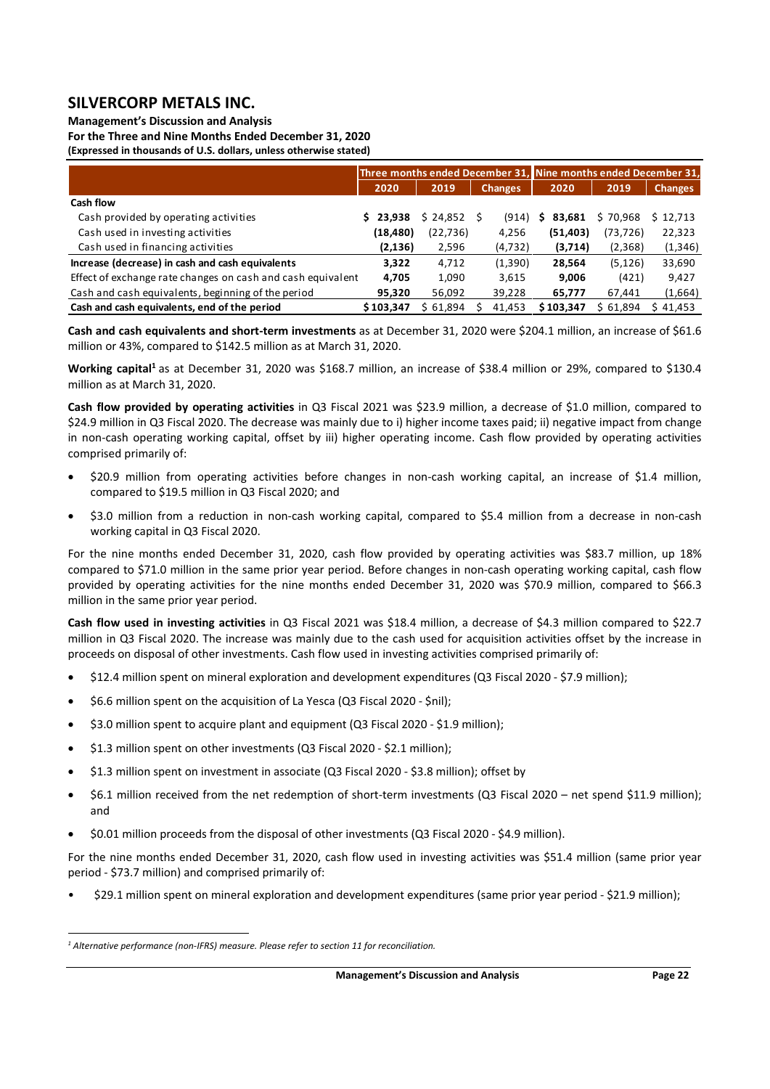**Management's Discussion and Analysis** 

**For the Three and Nine Months Ended December 31, 2020 (Expressed in thousands of U.S. dollars, unless otherwise stated)** 

|                                                             |           |           | Three months ended December 31, Nine months ended December 31, |             |           |                |
|-------------------------------------------------------------|-----------|-----------|----------------------------------------------------------------|-------------|-----------|----------------|
|                                                             | 2020      | 2019      | <b>Changes</b>                                                 | 2020        | 2019      | <b>Changes</b> |
| Cash flow                                                   |           |           |                                                                |             |           |                |
| Cash provided by operating activities                       | 23.938    | \$24,852  | (914)                                                          | 83.681<br>S | \$70.968  | \$12,713       |
| Cash used in investing activities                           | (18,480)  | (22, 736) | 4,256                                                          | (51, 403)   | (73, 726) | 22,323         |
| Cash used in financing activities                           | (2, 136)  | 2,596     | (4, 732)                                                       | (3,714)     | (2,368)   | (1, 346)       |
| Increase (decrease) in cash and cash equivalents            | 3.322     | 4.712     | (1,390)                                                        | 28,564      | (5, 126)  | 33,690         |
| Effect of exchange rate changes on cash and cash equivalent | 4,705     | 1,090     | 3,615                                                          | 9,006       | (421)     | 9,427          |
| Cash and cash equivalents, beginning of the period          | 95,320    | 56,092    | 39,228                                                         | 65,777      | 67,441    | (1,664)        |
| Cash and cash equivalents, end of the period                | \$103,347 | \$61,894  | 41,453                                                         | \$103,347   | \$61,894  | \$41,453       |

**Cash and cash equivalents and short‐term investments** as at December 31, 2020 were \$204.1 million, an increase of \$61.6 million or 43%, compared to \$142.5 million as at March 31, 2020.

Working capital<sup>1</sup> as at December 31, 2020 was \$168.7 million, an increase of \$38.4 million or 29%, compared to \$130.4 million as at March 31, 2020.

**Cash flow provided by operating activities** in Q3 Fiscal 2021 was \$23.9 million, a decrease of \$1.0 million, compared to \$24.9 million in Q3 Fiscal 2020. The decrease was mainly due to i) higher income taxes paid; ii) negative impact from change in non-cash operating working capital, offset by iii) higher operating income. Cash flow provided by operating activities comprised primarily of:

- \$20.9 million from operating activities before changes in non‐cash working capital, an increase of \$1.4 million, compared to \$19.5 million in Q3 Fiscal 2020; and
- \$3.0 million from a reduction in non-cash working capital, compared to \$5.4 million from a decrease in non-cash working capital in Q3 Fiscal 2020.

For the nine months ended December 31, 2020, cash flow provided by operating activities was \$83.7 million, up 18% compared to \$71.0 million in the same prior year period. Before changes in non-cash operating working capital, cash flow provided by operating activities for the nine months ended December 31, 2020 was \$70.9 million, compared to \$66.3 million in the same prior year period.

**Cash flow used in investing activities** in Q3 Fiscal 2021 was \$18.4 million, a decrease of \$4.3 million compared to \$22.7 million in Q3 Fiscal 2020. The increase was mainly due to the cash used for acquisition activities offset by the increase in proceeds on disposal of other investments. Cash flow used in investing activities comprised primarily of:

- \$12.4 million spent on mineral exploration and development expenditures (Q3 Fiscal 2020 ‐ \$7.9 million);
- \$6.6 million spent on the acquisition of La Yesca (Q3 Fiscal 2020 ‐ \$nil);
- \$3.0 million spent to acquire plant and equipment (Q3 Fiscal 2020 \$1.9 million);
- \$1.3 million spent on other investments (Q3 Fiscal 2020 \$2.1 million);
- \$1.3 million spent on investment in associate (Q3 Fiscal 2020 ‐ \$3.8 million); offset by
- \$6.1 million received from the net redemption of short-term investments (Q3 Fiscal 2020 net spend \$11.9 million); and
- \$0.01 million proceeds from the disposal of other investments (Q3 Fiscal 2020 ‐ \$4.9 million).

For the nine months ended December 31, 2020, cash flow used in investing activities was \$51.4 million (same prior year period ‐ \$73.7 million) and comprised primarily of:

• \$29.1 million spent on mineral exploration and development expenditures (same prior year period ‐ \$21.9 million);

<sup>&</sup>lt;sup>1</sup> Alternative performance (non-IFRS) measure. Please refer to section 11 for reconciliation.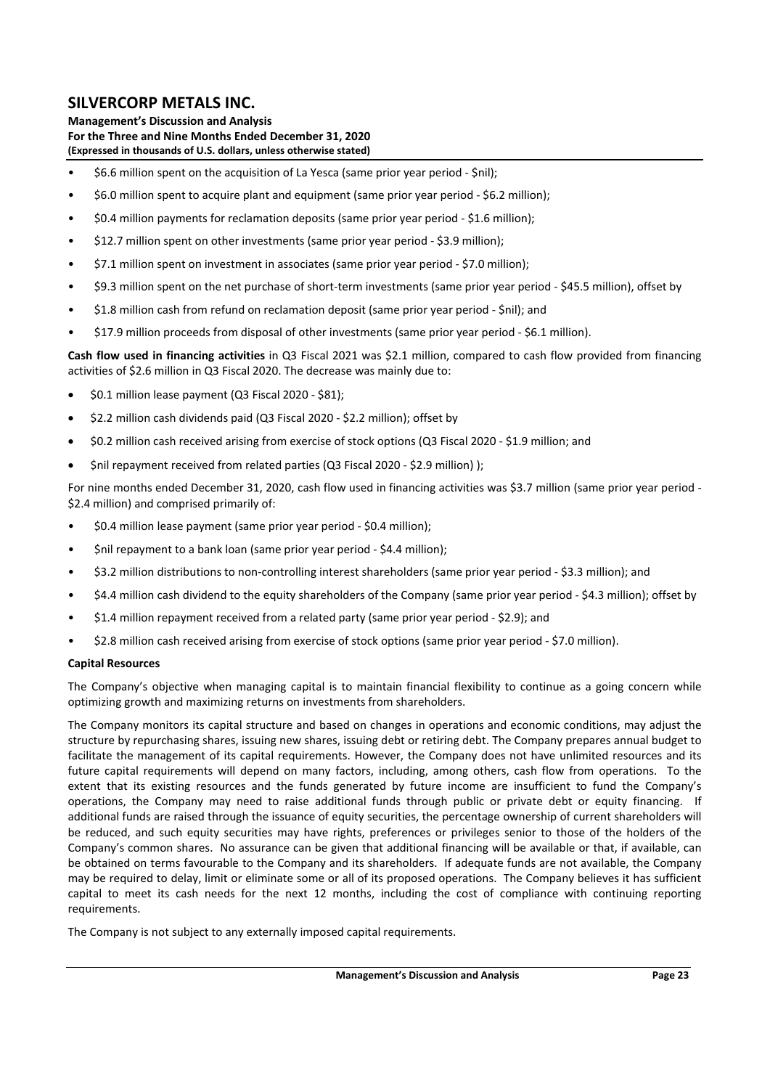**Management's Discussion and Analysis For the Three and Nine Months Ended December 31, 2020 (Expressed in thousands of U.S. dollars, unless otherwise stated)** 

- \$6.6 million spent on the acquisition of La Yesca (same prior year period ‐ \$nil);
- \$6.0 million spent to acquire plant and equipment (same prior year period ‐ \$6.2 million);
- \$0.4 million payments for reclamation deposits (same prior year period ‐ \$1.6 million);
- \$12.7 million spent on other investments (same prior year period ‐ \$3.9 million);
- \$7.1 million spent on investment in associates (same prior year period ‐ \$7.0 million);
- \$9.3 million spent on the net purchase of short‐term investments (same prior year period ‐ \$45.5 million), offset by
- \$1.8 million cash from refund on reclamation deposit (same prior year period ‐ \$nil); and
- \$17.9 million proceeds from disposal of other investments (same prior year period ‐ \$6.1 million).

**Cash flow used in financing activities** in Q3 Fiscal 2021 was \$2.1 million, compared to cash flow provided from financing activities of \$2.6 million in Q3 Fiscal 2020. The decrease was mainly due to:

- \$0.1 million lease payment (Q3 Fiscal 2020 ‐ \$81);
- \$2.2 million cash dividends paid (Q3 Fiscal 2020 ‐ \$2.2 million); offset by
- \$0.2 million cash received arising from exercise of stock options (Q3 Fiscal 2020 ‐ \$1.9 million; and
- \$nil repayment received from related parties (Q3 Fiscal 2020 \$2.9 million) );

For nine months ended December 31, 2020, cash flow used in financing activities was \$3.7 million (same prior year period -\$2.4 million) and comprised primarily of:

- \$0.4 million lease payment (same prior year period ‐ \$0.4 million);
- \$nil repayment to a bank loan (same prior year period ‐ \$4.4 million);
- \$3.2 million distributions to non‐controlling interest shareholders (same prior year period ‐ \$3.3 million); and
- \$4.4 million cash dividend to the equity shareholders of the Company (same prior year period ‐ \$4.3 million); offset by
- \$1.4 million repayment received from a related party (same prior year period ‐ \$2.9); and
- \$2.8 million cash received arising from exercise of stock options (same prior year period ‐ \$7.0 million).

### **Capital Resources**

The Company's objective when managing capital is to maintain financial flexibility to continue as a going concern while optimizing growth and maximizing returns on investments from shareholders.

The Company monitors its capital structure and based on changes in operations and economic conditions, may adjust the structure by repurchasing shares, issuing new shares, issuing debt or retiring debt. The Company prepares annual budget to facilitate the management of its capital requirements. However, the Company does not have unlimited resources and its future capital requirements will depend on many factors, including, among others, cash flow from operations. To the extent that its existing resources and the funds generated by future income are insufficient to fund the Company's operations, the Company may need to raise additional funds through public or private debt or equity financing. If additional funds are raised through the issuance of equity securities, the percentage ownership of current shareholders will be reduced, and such equity securities may have rights, preferences or privileges senior to those of the holders of the Company's common shares. No assurance can be given that additional financing will be available or that, if available, can be obtained on terms favourable to the Company and its shareholders. If adequate funds are not available, the Company may be required to delay, limit or eliminate some or all of its proposed operations. The Company believes it has sufficient capital to meet its cash needs for the next 12 months, including the cost of compliance with continuing reporting requirements.

The Company is not subject to any externally imposed capital requirements.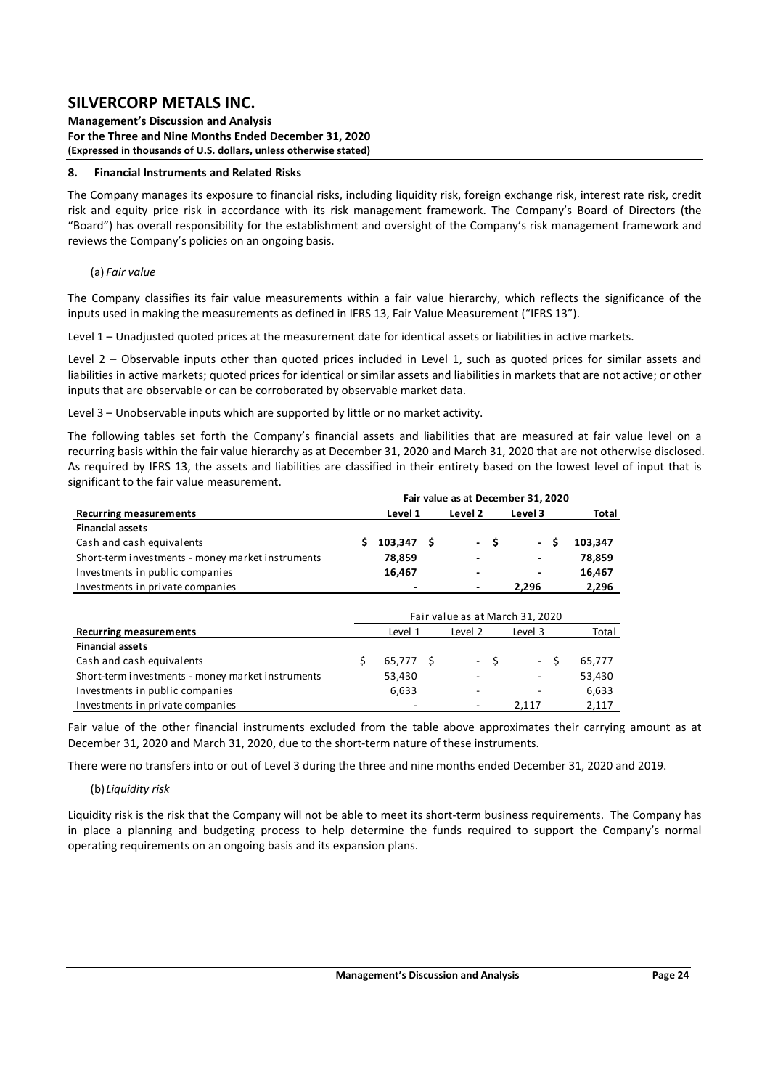#### **Management's Discussion and Analysis For the Three and Nine Months Ended December 31, 2020 (Expressed in thousands of U.S. dollars, unless otherwise stated)**

#### **8. Financial Instruments and Related Risks**

The Company manages its exposure to financial risks, including liquidity risk, foreign exchange risk, interest rate risk, credit risk and equity price risk in accordance with its risk management framework. The Company's Board of Directors (the "Board") has overall responsibility for the establishment and oversight of the Company's risk management framework and reviews the Company's policies on an ongoing basis.

#### (a) *Fair value*

The Company classifies its fair value measurements within a fair value hierarchy, which reflects the significance of the inputs used in making the measurements as defined in IFRS 13, Fair Value Measurement ("IFRS 13").

Level 1 – Unadjusted quoted prices at the measurement date for identical assets or liabilities in active markets.

Level 2 - Observable inputs other than quoted prices included in Level 1, such as quoted prices for similar assets and liabilities in active markets; quoted prices for identical or similar assets and liabilities in markets that are not active; or other inputs that are observable or can be corroborated by observable market data.

Level 3 – Unobservable inputs which are supported by little or no market activity.

The following tables set forth the Company's financial assets and liabilities that are measured at fair value level on a recurring basis within the fair value hierarchy as at December 31, 2020 and March 31, 2020 that are not otherwise disclosed. As required by IFRS 13, the assets and liabilities are classified in their entirety based on the lowest level of input that is significant to the fair value measurement.

|                                                   |    |           |   |                |      | Fair value as at December 31, 2020 |    |         |
|---------------------------------------------------|----|-----------|---|----------------|------|------------------------------------|----|---------|
| <b>Recurring measurements</b>                     |    | Level 1   |   | Level 2        |      | Level 3                            |    | Total   |
| <b>Financial assets</b>                           |    |           |   |                |      |                                    |    |         |
| Cash and cash equivalents                         | S  | 103,347   | S |                | - \$ | - \$                               |    | 103,347 |
| Short-term investments - money market instruments |    | 78,859    |   |                |      |                                    |    | 78,859  |
| Investments in public companies                   |    | 16,467    |   | $\blacksquare$ |      |                                    |    | 16,467  |
| Investments in private companies                  |    |           |   |                |      | 2,296                              |    | 2,296   |
|                                                   |    |           |   |                |      |                                    |    |         |
|                                                   |    |           |   |                |      | Fair value as at March 31, 2020    |    |         |
| <b>Recurring measurements</b>                     |    | Level 1   |   | Level 2        |      | Level 3                            |    | Total   |
| <b>Financial assets</b>                           |    |           |   |                |      |                                    |    |         |
| Cash and cash equivalents                         | \$ | 65,777 \$ |   |                | - \$ | $\sim 10$                          | Ŝ. | 65,777  |
| Short-term investments - money market instruments |    | 53,430    |   | $\blacksquare$ |      |                                    |    | 53,430  |
| Investments in public companies                   |    | 6,633     |   | ٠              |      |                                    |    | 6,633   |
| Investments in private companies                  |    |           |   |                |      | 2.117                              |    | 2.117   |

Fair value of the other financial instruments excluded from the table above approximates their carrying amount as at December 31, 2020 and March 31, 2020, due to the short-term nature of these instruments.

There were no transfers into or out of Level 3 during the three and nine months ended December 31, 2020 and 2019.

### (b)*Liquidity risk*

Liquidity risk is the risk that the Company will not be able to meet its short‐term business requirements. The Company has in place a planning and budgeting process to help determine the funds required to support the Company's normal operating requirements on an ongoing basis and its expansion plans.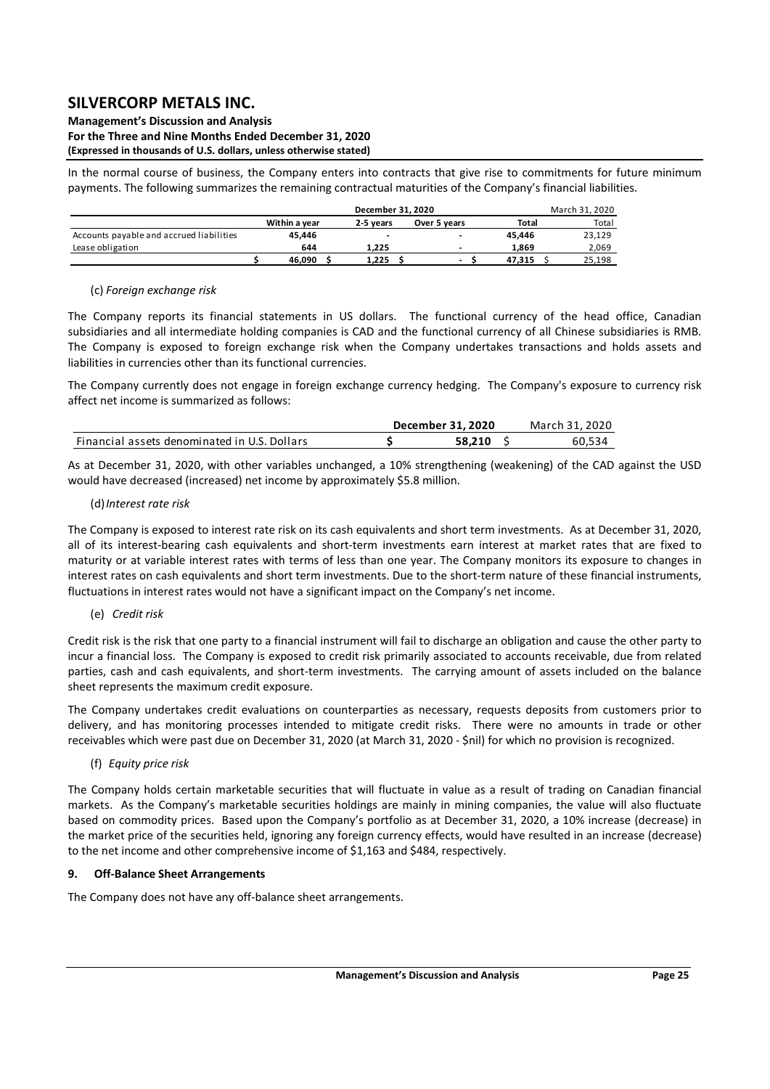#### **Management's Discussion and Analysis For the Three and Nine Months Ended December 31, 2020 (Expressed in thousands of U.S. dollars, unless otherwise stated)**

In the normal course of business, the Company enters into contracts that give rise to commitments for future minimum payments. The following summarizes the remaining contractual maturities of the Company's financial liabilities.

|                                          |               | December 31, 2020 |                          |        | March 31, 2020 |  |  |  |  |
|------------------------------------------|---------------|-------------------|--------------------------|--------|----------------|--|--|--|--|
|                                          | Within a vear | 2-5 years         | Over 5 years             | Total  | Total          |  |  |  |  |
| Accounts payable and accrued liabilities | 45.446        |                   | -                        | 45.446 | 23,129         |  |  |  |  |
| Lease obligation                         | 644           | 1.225             | -                        | 1.869  | 2.069          |  |  |  |  |
|                                          | 46.090        | 1.225             | $\overline{\phantom{0}}$ | 47.315 | 25.198         |  |  |  |  |

## (c) *Foreign exchange risk*

The Company reports its financial statements in US dollars. The functional currency of the head office, Canadian subsidiaries and all intermediate holding companies is CAD and the functional currency of all Chinese subsidiaries is RMB. The Company is exposed to foreign exchange risk when the Company undertakes transactions and holds assets and liabilities in currencies other than its functional currencies.

The Company currently does not engage in foreign exchange currency hedging. The Company's exposure to currency risk affect net income is summarized as follows:

|                                              | December 31, 2020 | March 31. 2020 |
|----------------------------------------------|-------------------|----------------|
| Financial assets denominated in U.S. Dollars | 58.210            | 60.534         |

As at December 31, 2020, with other variables unchanged, a 10% strengthening (weakening) of the CAD against the USD would have decreased (increased) net income by approximately \$5.8 million.

### (d)*Interest rate risk*

The Company is exposed to interest rate risk on its cash equivalents and short term investments. As at December 31, 2020, all of its interest-bearing cash equivalents and short-term investments earn interest at market rates that are fixed to maturity or at variable interest rates with terms of less than one year. The Company monitors its exposure to changes in interest rates on cash equivalents and short term investments. Due to the short-term nature of these financial instruments, fluctuations in interest rates would not have a significant impact on the Company's net income.

## (e) *Credit risk*

Credit risk is the risk that one party to a financial instrument will fail to discharge an obligation and cause the other party to incur a financial loss. The Company is exposed to credit risk primarily associated to accounts receivable, due from related parties, cash and cash equivalents, and short-term investments. The carrying amount of assets included on the balance sheet represents the maximum credit exposure.

The Company undertakes credit evaluations on counterparties as necessary, requests deposits from customers prior to delivery, and has monitoring processes intended to mitigate credit risks. There were no amounts in trade or other receivables which were past due on December 31, 2020 (at March 31, 2020 ‐ \$nil) for which no provision is recognized.

## (f)  *Equity price risk*

The Company holds certain marketable securities that will fluctuate in value as a result of trading on Canadian financial markets. As the Company's marketable securities holdings are mainly in mining companies, the value will also fluctuate based on commodity prices. Based upon the Company's portfolio as at December 31, 2020, a 10% increase (decrease) in the market price of the securities held, ignoring any foreign currency effects, would have resulted in an increase (decrease) to the net income and other comprehensive income of \$1,163 and \$484, respectively.

### **9. Off‐Balance Sheet Arrangements**

The Company does not have any off‐balance sheet arrangements.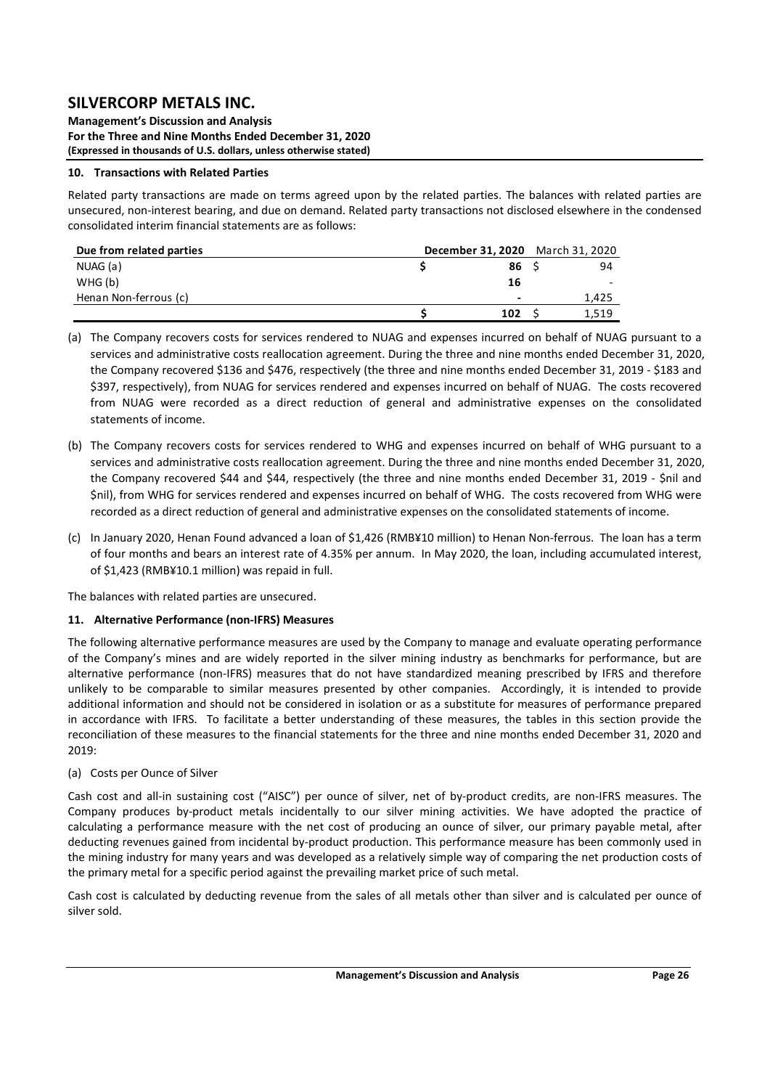**Management's Discussion and Analysis For the Three and Nine Months Ended December 31, 2020 (Expressed in thousands of U.S. dollars, unless otherwise stated)** 

### **10. Transactions with Related Parties**

Related party transactions are made on terms agreed upon by the related parties. The balances with related parties are unsecured, non‐interest bearing, and due on demand. Related party transactions not disclosed elsewhere in the condensed consolidated interim financial statements are as follows:

| Due from related parties |  | December 31, 2020 March 31, 2020 |       |
|--------------------------|--|----------------------------------|-------|
| NUAG (a)                 |  | 86                               | 94    |
| WHG(b)                   |  | 16                               |       |
| Henan Non-ferrous (c)    |  | $\overline{\phantom{0}}$         | 1,425 |
|                          |  | 102                              | 1.519 |

- (a) The Company recovers costs for services rendered to NUAG and expenses incurred on behalf of NUAG pursuant to a services and administrative costs reallocation agreement. During the three and nine months ended December 31, 2020, the Company recovered \$136 and \$476, respectively (the three and nine months ended December 31, 2019 ‐ \$183 and \$397, respectively), from NUAG for services rendered and expenses incurred on behalf of NUAG. The costs recovered from NUAG were recorded as a direct reduction of general and administrative expenses on the consolidated statements of income.
- (b) The Company recovers costs for services rendered to WHG and expenses incurred on behalf of WHG pursuant to a services and administrative costs reallocation agreement. During the three and nine months ended December 31, 2020, the Company recovered \$44 and \$44, respectively (the three and nine months ended December 31, 2019 - \$nil and \$nil), from WHG for services rendered and expenses incurred on behalf of WHG. The costs recovered from WHG were recorded as a direct reduction of general and administrative expenses on the consolidated statements of income.
- (c) In January 2020, Henan Found advanced a loan of \$1,426 (RMB¥10 million) to Henan Non‐ferrous. The loan has a term of four months and bears an interest rate of 4.35% per annum. In May 2020, the loan, including accumulated interest, of \$1,423 (RMB¥10.1 million) was repaid in full.

The balances with related parties are unsecured.

## **11. Alternative Performance (non‐IFRS) Measures**

The following alternative performance measures are used by the Company to manage and evaluate operating performance of the Company's mines and are widely reported in the silver mining industry as benchmarks for performance, but are alternative performance (non‐IFRS) measures that do not have standardized meaning prescribed by IFRS and therefore unlikely to be comparable to similar measures presented by other companies. Accordingly, it is intended to provide additional information and should not be considered in isolation or as a substitute for measures of performance prepared in accordance with IFRS. To facilitate a better understanding of these measures, the tables in this section provide the reconciliation of these measures to the financial statements for the three and nine months ended December 31, 2020 and 2019:

### (a) Costs per Ounce of Silver

Cash cost and all-in sustaining cost ("AISC") per ounce of silver, net of by-product credits, are non-IFRS measures. The Company produces by-product metals incidentally to our silver mining activities. We have adopted the practice of calculating a performance measure with the net cost of producing an ounce of silver, our primary payable metal, after deducting revenues gained from incidental by‐product production. This performance measure has been commonly used in the mining industry for many years and was developed as a relatively simple way of comparing the net production costs of the primary metal for a specific period against the prevailing market price of such metal.

Cash cost is calculated by deducting revenue from the sales of all metals other than silver and is calculated per ounce of silver sold.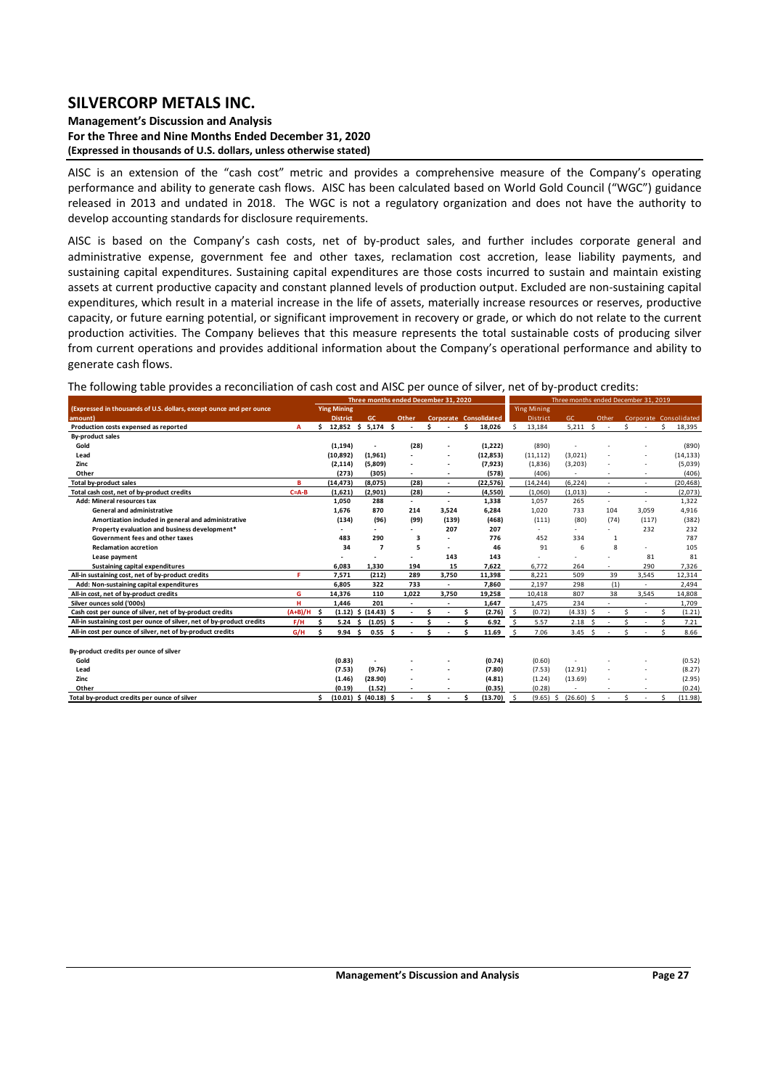#### **Management's Discussion and Analysis For the Three and Nine Months Ended December 31, 2020 (Expressed in thousands of U.S. dollars, unless otherwise stated)**

AISC is an extension of the "cash cost" metric and provides a comprehensive measure of the Company's operating performance and ability to generate cash flows. AISC has been calculated based on World Gold Council ("WGC") guidance released in 2013 and undated in 2018. The WGC is not a regulatory organization and does not have the authority to develop accounting standards for disclosure requirements.

AISC is based on the Company's cash costs, net of by-product sales, and further includes corporate general and administrative expense, government fee and other taxes, reclamation cost accretion, lease liability payments, and sustaining capital expenditures. Sustaining capital expenditures are those costs incurred to sustain and maintain existing assets at current productive capacity and constant planned levels of production output. Excluded are non‐sustaining capital expenditures, which result in a material increase in the life of assets, materially increase resources or reserves, productive capacity, or future earning potential, or significant improvement in recovery or grade, or which do not relate to the current production activities. The Company believes that this measure represents the total sustainable costs of producing silver from current operations and provides additional information about the Company's operational performance and ability to generate cash flows.

#### The following table provides a reconciliation of cash cost and AISC per ounce of silver, net of by-product credits:

|                                                                       |             | Three months ended December 31, 2020 |                 |    |                           |    |                          |   |                          | Three months ended December 31, 2019 |                               |         |                          |  |              |      |              |    |       |    |                        |
|-----------------------------------------------------------------------|-------------|--------------------------------------|-----------------|----|---------------------------|----|--------------------------|---|--------------------------|--------------------------------------|-------------------------------|---------|--------------------------|--|--------------|------|--------------|----|-------|----|------------------------|
| (Expressed in thousands of U.S. dollars, except ounce and per ounce   |             | <b>Ying Mining</b>                   |                 |    |                           |    |                          |   |                          | <b>Ying Mining</b>                   |                               |         |                          |  |              |      |              |    |       |    |                        |
| amount)                                                               |             |                                      | <b>District</b> |    | GC                        |    | Other                    |   |                          |                                      | <b>Corporate Consolidated</b> |         | <b>District</b>          |  | GC           |      | Other        |    |       |    | Corporate Consolidated |
| Production costs expensed as reported                                 | A           | Ś.                                   | 12,852          |    | \$5,174                   | Ŝ. |                          | Ś |                          | Ŝ                                    | 18,026                        | Š.      | 13,184                   |  | 5,211        | Ŝ.   | ٠            | Ś  |       | Ś. | 18,395                 |
| <b>By-product sales</b>                                               |             |                                      |                 |    |                           |    |                          |   |                          |                                      |                               |         |                          |  |              |      |              |    |       |    |                        |
| Gold                                                                  |             |                                      | (1, 194)        |    |                           |    | (28)                     |   |                          |                                      | (1,222)                       |         | (890)                    |  |              |      |              |    |       |    | (890)                  |
| Lead                                                                  |             |                                      | (10, 892)       |    | (1,961)                   |    |                          |   | ٠                        |                                      | (12, 853)                     |         | (11, 112)                |  | (3,021)      |      |              |    |       |    | (14, 133)              |
| Zinc                                                                  |             |                                      | (2, 114)        |    | (5,809)                   |    |                          |   |                          |                                      | (7, 923)                      |         | (1,836)                  |  | (3,203)      |      |              |    |       |    | (5,039)                |
| Other                                                                 |             |                                      | (273)           |    | (305)                     |    | $\overline{\phantom{a}}$ |   | $\overline{\phantom{a}}$ |                                      | (578)                         |         | (406)                    |  |              |      |              |    |       |    | (406)                  |
| <b>Total by-product sales</b>                                         | в           |                                      | (14, 473)       |    | (8,075)                   |    | (28)                     |   | $\overline{\phantom{a}}$ |                                      | (22, 576)                     |         | (14, 244)                |  | (6, 224)     |      |              |    |       |    | (20, 468)              |
| Total cash cost, net of by-product credits                            | $C = A - B$ |                                      | (1,621)         |    | (2,901)                   |    | (28)                     |   | $\overline{\phantom{a}}$ |                                      | (4,550)                       |         | (1.060)                  |  | (1,013)      |      | $\sim$       |    | ٠     |    | (2,073)                |
| Add: Mineral resources tax                                            |             |                                      | 1,050           |    | 288                       |    |                          |   | $\overline{\phantom{a}}$ |                                      | 1,338                         |         | 1,057                    |  | 265          |      | ٠            |    | ٠     |    | 1,322                  |
| General and administrative                                            |             |                                      | 1.676           |    | 870                       |    | 214                      |   | 3,524                    |                                      | 6,284                         |         | 1,020                    |  | 733          |      | 104          |    | 3,059 |    | 4,916                  |
| Amortization included in general and administrative                   |             |                                      | (134)           |    | (96)                      |    | (99)                     |   | (139)                    |                                      | (468)                         |         | (111)                    |  | (80)         |      | (74)         |    | (117) |    | (382)                  |
| Property evaluation and business development*                         |             |                                      |                 |    | $\overline{\phantom{a}}$  |    |                          |   | 207                      |                                      | 207                           |         | $\overline{\phantom{a}}$ |  | ٠            |      | L.           |    | 232   |    | 232                    |
| Government fees and other taxes                                       |             |                                      | 483             |    | 290                       |    | 3                        |   |                          |                                      | 776                           |         | 452                      |  | 334          |      | $\mathbf{1}$ |    |       |    | 787                    |
| <b>Reclamation accretion</b>                                          |             |                                      | 34              |    | $\overline{7}$            |    | 5                        |   | $\overline{\phantom{a}}$ |                                      | 46                            |         | 91                       |  | 6            |      | 8            |    | ٠     |    | 105                    |
| Lease payment                                                         |             |                                      |                 |    |                           |    |                          |   | 143                      |                                      | 143                           |         |                          |  |              |      |              |    | 81    |    | 81                     |
| Sustaining capital expenditures                                       |             |                                      | 6.083           |    | 1.330                     |    | 194                      |   | 15                       |                                      | 7.622                         |         | 6.772                    |  | 264          |      |              |    | 290   |    | 7,326                  |
| All-in sustaining cost, net of by-product credits                     | F.          |                                      | 7,571           |    | (212)                     |    | 289                      |   | 3,750                    |                                      | 11,398                        |         | 8.221                    |  | 509          |      | 39           |    | 3,545 |    | 12,314                 |
| Add: Non-sustaining capital expenditures                              |             |                                      | 6.805           |    | 322                       |    | 733                      |   | ٠                        |                                      | 7,860                         |         | 2,197                    |  | 298          |      | (1)          |    |       |    | 2,494                  |
| All-in cost, net of by-product credits                                | G           |                                      | 14,376          |    | 110                       |    | 1,022                    |   | 3,750                    |                                      | 19,258                        |         | 10,418                   |  | 807          |      | 38           |    | 3,545 |    | 14,808                 |
| Silver ounces sold ('000s)                                            | н           |                                      | 1,446           |    | 201                       |    |                          |   |                          |                                      | 1,647                         |         | 1,475                    |  | 234          |      |              |    |       |    | 1,709                  |
| Cash cost per ounce of silver, net of by-product credits              | $(A+B)/H$   | Ś.                                   | (1.12)          | Ŝ  | $(14.43)$ \$              |    | $\blacksquare$           |   | $\overline{\phantom{a}}$ | Ś                                    | (2.76)                        | S.      | (0.72)                   |  | $(4.33)$ \$  |      | ٠            | Ś. | ٠     | Ś. | (1.21)                 |
| All-in sustaining cost per ounce of silver, net of by-product credits | F/H         | S.                                   | 5.24            | Ŝ. | $(1.05)$ \$               |    | $\overline{\phantom{a}}$ |   |                          | Ŝ                                    | 6.92                          | Ŝ.      | 5.57                     |  | 2.18         | - \$ |              | ς  |       |    | 7.21                   |
| All-in cost per ounce of silver, net of by-product credits            | G/H         |                                      | 9.94            | Ŝ. | 0.55S                     |    |                          | Ś |                          | Ŝ                                    | 11.69                         | $\zeta$ | 7.06                     |  | $3.45$ \$    |      |              | Š. |       |    | 8.66                   |
| By-product credits per ounce of silver                                |             |                                      |                 |    |                           |    |                          |   |                          |                                      |                               |         |                          |  |              |      |              |    |       |    |                        |
| Gold                                                                  |             |                                      |                 |    |                           |    |                          |   |                          |                                      |                               |         |                          |  |              |      |              |    |       |    |                        |
|                                                                       |             |                                      | (0.83)          |    |                           |    |                          |   |                          |                                      | (0.74)                        |         | (0.60)                   |  |              |      |              |    |       |    | (0.52)                 |
| Lead                                                                  |             |                                      | (7.53)          |    | (9.76)                    |    |                          |   |                          |                                      | (7.80)                        |         | (7.53)                   |  | (12.91)      |      |              |    |       |    | (8.27)                 |
| Zinc                                                                  |             |                                      | (1.46)          |    | (28.90)                   |    |                          |   |                          |                                      | (4.81)                        |         | (1.24)                   |  | (13.69)      |      |              |    |       |    | (2.95)                 |
| Other                                                                 |             |                                      | (0.19)          |    | (1.52)                    |    |                          |   |                          |                                      | (0.35)                        |         | (0.28)                   |  |              |      |              |    |       |    | (0.24)                 |
| Total by-product credits per ounce of silver                          |             |                                      |                 |    | $(10.01)$ \$ $(40.18)$ \$ |    |                          |   |                          |                                      | (13.70)                       |         | $(9.65)$ \$              |  | $(26.60)$ \$ |      |              | Ś. |       |    | (11.98)                |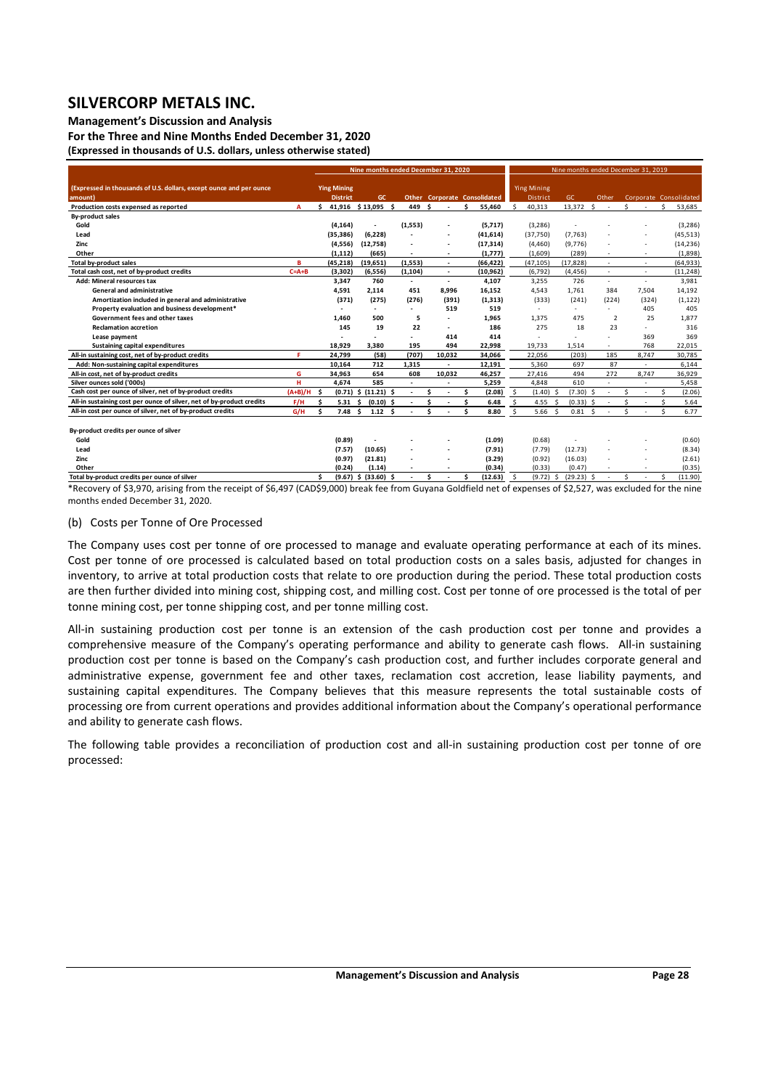**Management's Discussion and Analysis** 

**For the Three and Nine Months Ended December 31, 2020 (Expressed in thousands of U.S. dollars, unless otherwise stated)** 

|                                                                                |             | Nine months ended December 31, 2020 |                                       |                          |                          |    |                                     |    |           |         | Nine months ended December 31, 2019   |      |             |  |                          |    |        |    |                        |  |  |  |
|--------------------------------------------------------------------------------|-------------|-------------------------------------|---------------------------------------|--------------------------|--------------------------|----|-------------------------------------|----|-----------|---------|---------------------------------------|------|-------------|--|--------------------------|----|--------|----|------------------------|--|--|--|
| (Expressed in thousands of U.S. dollars, except ounce and per ounce<br>amount) |             |                                     | <b>Ying Mining</b><br><b>District</b> | GC.                      |                          |    | <b>Other Corporate Consolidated</b> |    |           |         | <b>Ying Mining</b><br><b>District</b> |      | <b>GC</b>   |  | Other                    |    |        |    | Corporate Consolidated |  |  |  |
| Production costs expensed as reported                                          | A           | \$                                  |                                       | 41,916 \$13,095 \$       | 449 \$                   |    |                                     | ¢  | 55,460    | $\zeta$ | 40,313                                |      | 13,372 \$   |  | ٠                        | Ś. |        | Š. | 53,685                 |  |  |  |
| <b>By-product sales</b>                                                        |             |                                     |                                       |                          |                          |    |                                     |    |           |         |                                       |      |             |  |                          |    |        |    |                        |  |  |  |
| Gold                                                                           |             |                                     | (4, 164)                              |                          | (1, 553)                 |    |                                     |    | (5,717)   |         | (3, 286)                              |      |             |  |                          |    |        |    | (3, 286)               |  |  |  |
| Lead                                                                           |             |                                     | (35, 386)                             | (6, 228)                 |                          |    |                                     |    | (41, 614) |         | (37,750)                              |      | (7, 763)    |  |                          |    |        |    | (45, 513)              |  |  |  |
| Zinc                                                                           |             |                                     | (4,556)                               | (12,758)                 |                          |    |                                     |    | (17, 314) |         | (4, 460)                              |      | (9,776)     |  |                          |    |        |    | (14, 236)              |  |  |  |
| Other                                                                          |             |                                     | (1, 112)                              | (665)                    |                          |    |                                     |    | (1,777)   |         | (1,609)                               |      | (289)       |  |                          |    |        |    | (1,898)                |  |  |  |
| Total by-product sales                                                         | в           |                                     | (45, 218)                             | (19, 651)                | (1, 553)                 |    |                                     |    | (66, 422) |         | (47, 105)                             |      | (17, 828)   |  |                          |    |        |    | (64, 933)              |  |  |  |
| Total cash cost, net of by-product credits                                     | $C = A + B$ |                                     | (3, 302)                              | (6, 556)                 | (1, 104)                 |    | $\overline{\phantom{a}}$            |    | (10, 962) |         | (6, 792)                              |      | (4, 456)    |  | ٠                        |    | $\sim$ |    | (11, 248)              |  |  |  |
| <b>Add: Mineral resources tax</b>                                              |             |                                     | 3,347                                 | 760                      | $\overline{\phantom{a}}$ |    | $\sim$                              |    | 4,107     |         | 3,255                                 |      | 726         |  | $\overline{\phantom{a}}$ |    | $\sim$ |    | 3,981                  |  |  |  |
| General and administrative                                                     |             |                                     | 4,591                                 | 2,114                    | 451                      |    | 8,996                               |    | 16.152    |         | 4,543                                 |      | 1,761       |  | 384                      |    | 7,504  |    | 14,192                 |  |  |  |
| Amortization included in general and administrative                            |             |                                     | (371)                                 | (275)                    | (276)                    |    | (391)                               |    | (1, 313)  |         | (333)                                 |      | (241)       |  | (224)                    |    | (324)  |    | (1, 122)               |  |  |  |
| Property evaluation and business development*                                  |             |                                     |                                       |                          |                          |    | 519                                 |    | 519       |         |                                       |      |             |  |                          |    | 405    |    | 405                    |  |  |  |
| Government fees and other taxes                                                |             |                                     | 1.460                                 | 500                      | 5                        |    |                                     |    | 1.965     |         | 1.375                                 |      | 475         |  | $\overline{2}$           |    | 25     |    | 1.877                  |  |  |  |
| <b>Reclamation accretion</b>                                                   |             |                                     | 145                                   | 19                       | 22                       |    | $\sim$                              |    | 186       |         | 275                                   |      | 18          |  | 23                       |    | $\sim$ |    | 316                    |  |  |  |
| Lease payment                                                                  |             |                                     |                                       |                          |                          |    | 414                                 |    | 414       |         |                                       |      |             |  |                          |    | 369    |    | 369                    |  |  |  |
| <b>Sustaining capital expenditures</b>                                         |             |                                     | 18,929                                | 3.380                    | 195                      |    | 494                                 |    | 22,998    |         | 19,733                                |      | 1.514       |  | $\overline{\phantom{0}}$ |    | 768    |    | 22,015                 |  |  |  |
| All-in sustaining cost, net of by-product credits                              | я           |                                     | 24,799                                | (58)                     | (707)                    |    | 10,032                              |    | 34,066    |         | 22,056                                |      | (203)       |  | 185                      |    | 8,747  |    | 30,785                 |  |  |  |
| Add: Non-sustaining capital expenditures                                       |             |                                     | 10.164                                | 712                      | 1,315                    |    | $\sim$                              |    | 12,191    |         | 5,360                                 |      | 697         |  | 87                       |    | $\sim$ |    | 6,144                  |  |  |  |
| All-in cost, net of by-product credits                                         | G           |                                     | 34,963                                | 654                      | 608                      |    | 10,032                              |    | 46,257    |         | 27,416                                |      | 494         |  | 272                      |    | 8,747  |    | 36,929                 |  |  |  |
| Silver ounces sold ('000s)                                                     | н           |                                     | 4.674                                 | 585                      | $\overline{\phantom{a}}$ |    |                                     |    | 5,259     |         | 4.848                                 |      | 610         |  | ٠                        |    |        |    | 5,458                  |  |  |  |
| Cash cost per ounce of silver, net of by-product credits                       | $(A+B)/H$   | $\ddot{\bm{s}}$                     |                                       | $(0.71)$ \$ $(11.21)$ \$ |                          | Ś  |                                     | Ś. | (2.08)    | \$      | $(1.40)$ \$                           |      | $(7.30)$ \$ |  | $\overline{\phantom{a}}$ | Ś  |        | Ś. | (2.06)                 |  |  |  |
| All-in sustaining cost per ounce of silver, net of by-product credits          | F/H         | Ś                                   | 5.31                                  | $(0.10)$ \$<br>\$.       |                          |    |                                     | Ś. | 6.48      | Š.      | 4.55                                  | - \$ | $(0.33)$ \$ |  |                          | Ś. |        | Ś. | 5.64                   |  |  |  |
| All-in cost per ounce of silver, net of by-product credits                     | G/H         | Ś.                                  | 7.48 <sub>5</sub>                     | 1.12 <sub>5</sub>        |                          | \$ |                                     | Ś. | 8.80      | .S      | 5.66 <sup>5</sup>                     |      | 0.81S       |  |                          | Ś. |        |    | 6.77                   |  |  |  |
| By-product credits per ounce of silver                                         |             |                                     |                                       |                          |                          |    |                                     |    |           |         |                                       |      |             |  |                          |    |        |    |                        |  |  |  |
| Gold                                                                           |             |                                     | (0.89)                                |                          |                          |    |                                     |    | (1.09)    |         | (0.68)                                |      |             |  |                          |    |        |    | (0.60)                 |  |  |  |
| Lead                                                                           |             |                                     | (7.57)                                | (10.65)                  |                          |    |                                     |    | (7.91)    |         | (7.79)                                |      | (12.73)     |  |                          |    |        |    | (8.34)                 |  |  |  |
| Zinc                                                                           |             |                                     | (0.97)                                | (21.81)                  |                          |    |                                     |    | (3.29)    |         | (0.92)                                |      | (16.03)     |  |                          |    |        |    | (2.61)                 |  |  |  |
| Other                                                                          |             |                                     | (0.24)                                | (1.14)                   |                          |    |                                     |    | (0.34)    |         | (0.33)                                |      | (0.47)      |  |                          |    |        |    | (0.35)                 |  |  |  |

Total by-product credits per ounce of silver<br>
\*Recovery of \$3,970, arising from the receipt of \$6,497 (CAD\$9,000) break fee from Guyana Goldfield net of expenses of \$2,527, was excluded for the nine months ended December 31, 2020. Total by-product credits per ounce of silver

#### (b) Costs per Tonne of Ore Processed

The Company uses cost per tonne of ore processed to manage and evaluate operating performance at each of its mines. Cost per tonne of ore processed is calculated based on total production costs on a sales basis, adjusted for changes in inventory, to arrive at total production costs that relate to ore production during the period. These total production costs are then further divided into mining cost, shipping cost, and milling cost. Cost per tonne of ore processed is the total of per tonne mining cost, per tonne shipping cost, and per tonne milling cost.

All-in sustaining production cost per tonne is an extension of the cash production cost per tonne and provides a comprehensive measure of the Company's operating performance and ability to generate cash flows. All-in sustaining production cost per tonne is based on the Company's cash production cost, and further includes corporate general and administrative expense, government fee and other taxes, reclamation cost accretion, lease liability payments, and sustaining capital expenditures. The Company believes that this measure represents the total sustainable costs of processing ore from current operations and provides additional information about the Company's operational performance and ability to generate cash flows.

The following table provides a reconciliation of production cost and all-in sustaining production cost per tonne of ore processed: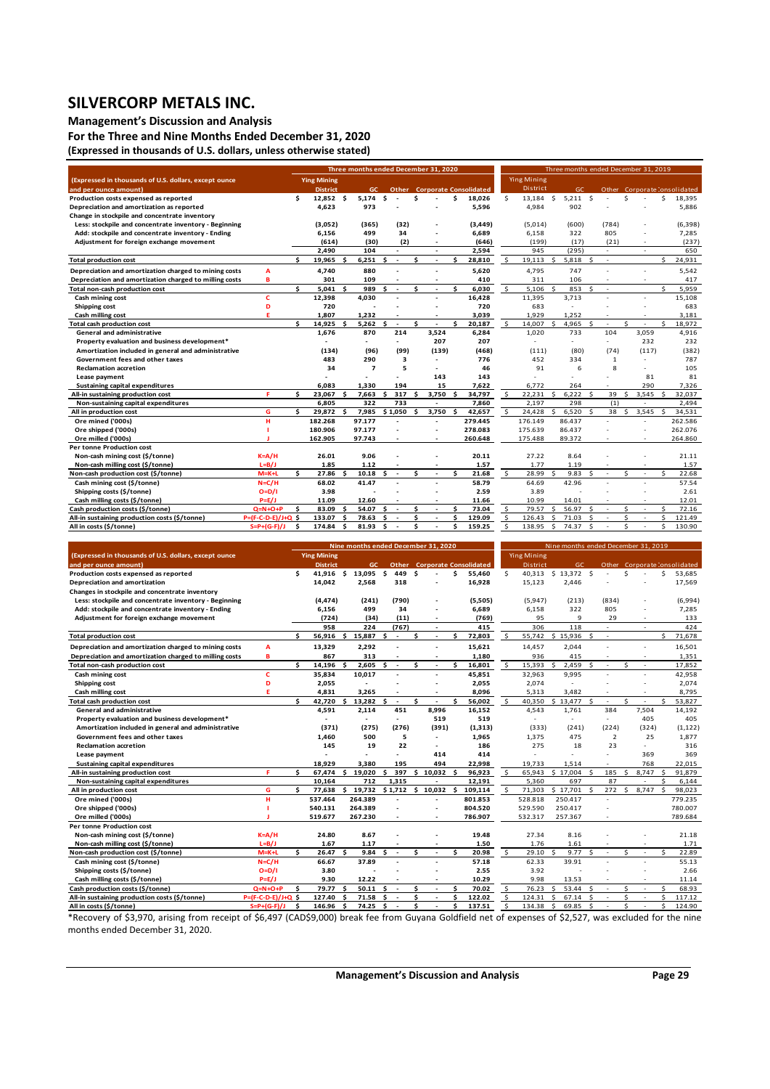### **Management's Discussion and Analysis**

**For the Three and Nine Months Ended December 31, 2020 (Expressed in thousands of U.S. dollars, unless otherwise stated)** 

|                                                        |                      |     |                    |         | Three months ended December 31, 2020 |    |                          |        |                      |     |                                     |              |                    |               | Three months ended December 31, 2019 |                    |                 |               |        |         |                              |
|--------------------------------------------------------|----------------------|-----|--------------------|---------|--------------------------------------|----|--------------------------|--------|----------------------|-----|-------------------------------------|--------------|--------------------|---------------|--------------------------------------|--------------------|-----------------|---------------|--------|---------|------------------------------|
| (Expressed in thousands of U.S. dollars, except ounce  |                      |     | <b>Ying Mining</b> |         |                                      |    |                          |        |                      |     |                                     |              | <b>Ying Mining</b> |               |                                      |                    |                 |               |        |         |                              |
| and per ounce amount)                                  |                      |     | <b>District</b>    |         | GC.                                  |    |                          |        |                      |     | <b>Other</b> Corporate Consolidated |              | District           |               | GC.                                  |                    |                 |               |        |         | Other Corporate Consolidated |
| Production costs expensed as reported                  |                      | \$. | 12,852 \$          |         | 5.174                                | \$ |                          | Ś      |                      | \$. | 18,026                              | Š.           | 13.184             | Ŝ.            | $5,211$ \$                           |                    |                 | $\mathsf{s}$  |        | Ś.      | 18,395                       |
| Depreciation and amortization as reported              |                      |     | 4,623              |         | 973                                  |    |                          |        |                      |     | 5,596                               |              | 4,984              |               | 902                                  |                    |                 |               |        |         | 5,886                        |
| Change in stockpile and concentrate inventory          |                      |     |                    |         |                                      |    |                          |        |                      |     |                                     |              |                    |               |                                      |                    |                 |               |        |         |                              |
| Less: stockpile and concentrate inventory - Beginning  |                      |     | (3,052)            |         | (365)                                |    | (32)                     |        |                      |     | (3,449)                             |              | (5,014)            |               | (600)                                |                    | (784)           |               |        |         | (6, 398)                     |
| Add: stockpile and concentrate inventory - Ending      |                      |     | 6,156              |         | 499                                  |    | 34                       |        |                      |     | 6,689                               |              | 6.158              |               | 322                                  |                    | 805             |               |        |         | 7,285                        |
| Adjustment for foreign exchange movement               |                      |     | (614)              |         | (30)                                 |    | (2)                      |        | ٠                    |     | (646)                               |              | (199)              |               | (17)                                 |                    | (21)            |               | х.     |         | (237)                        |
|                                                        |                      |     | 2,490              |         | 104                                  |    |                          |        | ż.                   |     | 2,594                               |              | 945                |               | (295)                                |                    | $\sim$          |               |        |         | 650                          |
| <b>Total production cost</b>                           |                      | \$. | 19,965             | Ŝ       | 6,251                                | \$ | $\sim$                   | Ś.     | $\ddot{\phantom{1}}$ | ¢   | 28,810                              | Ŝ.           | 19,113             | Ś             | 5,818                                | $\mathsf{\hat{S}}$ | $\sim$          |               |        | Š.      | 24,931                       |
| Depreciation and amortization charged to mining costs  | A                    |     | 4,740              |         | 880                                  |    |                          |        |                      |     | 5,620                               |              | 4,795              |               | 747                                  |                    |                 |               |        |         | 5,542                        |
| Depreciation and amortization charged to milling costs | в                    |     | 301                |         | 109                                  |    |                          |        | ÷,                   |     | 410                                 |              | 311                |               | 106                                  |                    |                 |               |        |         | 417                          |
| Total non-cash production cost                         |                      | \$. | 5.041 S            |         | 989                                  | Ś  | $\sim$                   | Ś      | ٠                    | \$  | 6.030                               | \$           | 5,106              | Ŝ.            | 853                                  | \$                 | $\sim$          |               |        | \$      | 5.959                        |
| Cash mining cost                                       | c                    |     | 12,398             |         | 4,030                                |    | ٠                        |        | ä,                   |     | 16,428                              |              | 11,395             |               | 3,713                                |                    | ٠               |               | $\sim$ |         | 15,108                       |
| <b>Shipping cost</b>                                   | D                    |     | 720                |         |                                      |    |                          |        |                      |     | 720                                 |              | 683                |               | ÷                                    |                    |                 |               |        |         | 683                          |
| Cash milling cost                                      | F                    |     | 1.807              |         | 1.232                                |    |                          |        |                      |     | 3.039                               |              | 1.929              |               | 1.252                                |                    |                 |               |        |         | 3.181                        |
| <b>Total cash production cost</b>                      |                      | ¢   | 14.925             | \$.     | 5.262                                | \$ | ٠.                       | ⋖      | ÷,                   | ¢   | 20,187                              | \$           | 14.007             | ⋖             | 4.965                                | \$.                | ٠               | $\hat{\zeta}$ |        | Š.      | 18,972                       |
| <b>General and administrative</b>                      |                      |     | 1,676              |         | 870                                  |    | 214                      |        | 3.524                |     | 6,284                               |              | 1,020              |               | 733                                  |                    | 104             |               | 3,059  |         | 4,916                        |
| Property evaluation and business development*          |                      |     |                    |         | $\overline{\phantom{a}}$             |    | ٠                        |        | 207                  |     | 207                                 |              | ٠                  |               | ٠                                    |                    | ٠               |               | 232    |         | 232                          |
| Amortization included in general and administrative    |                      |     | (134)              |         | (96)                                 |    | (99)                     |        | (139)                |     | (468)                               |              | (111)              |               | (80)                                 |                    | (74)            |               | (117)  |         | (382)                        |
| Government fees and other taxes                        |                      |     | 483                |         | 290                                  |    | 3                        |        | ÷                    |     | 776                                 |              | 452                |               | 334                                  |                    | 1               |               |        |         | 787                          |
| <b>Reclamation accretion</b>                           |                      |     | 34                 |         | $\overline{ }$                       |    | 5                        |        | ä,                   |     | 46                                  |              | 91                 |               | 6                                    |                    | 8               |               | ä,     |         | 105                          |
| Lease payment                                          |                      |     |                    |         |                                      |    |                          |        | 143                  |     | 143                                 |              |                    |               |                                      |                    |                 |               | 81     |         | 81                           |
| <b>Sustaining capital expenditures</b>                 |                      |     | 6,083              |         | 1.330                                |    | 194                      |        | 15                   |     | 7,622                               |              | 6.772              |               | 264                                  |                    |                 |               | 290    |         | 7,326                        |
| All-in sustaining production cost                      | F.                   | ≺   | 23.067             | s.      | 7.663                                | ¢. | 317                      | \$.    | 3.750                | ¢   | 34.797                              | Ŝ.           | 22,231             | $\mathsf{s}$  | 6,222                                | Ŝ.                 | 39              | $\mathsf{s}$  | 3.545  | Ŝ.      | 32,037                       |
| Non-sustaining capital expenditures                    |                      |     | 6.805              |         | 322                                  |    | 733                      |        | $\Delta$             |     | 7.860                               |              | 2.197              |               | 298                                  |                    | (1)             |               | ÷,     |         | 2.494                        |
| All in production cost                                 | G                    | \$  | 29.872 \$          |         | 7,985                                |    | \$1,050                  | Ŝ      | 3,750                | \$. | 42,657                              | \$           | 24.428             | $\hat{\zeta}$ | 6,520                                | $\mathsf{s}$       | 38 <sub>5</sub> |               | 3,545  | - Ś     | 34,531                       |
| Ore mined ('000s)                                      | н                    |     | 182.268            |         | 97.177                               |    | ÷                        |        | ä,                   |     | 279.445                             |              | 176.149            |               | 86.437                               |                    |                 |               |        |         | 262.586                      |
| Ore shipped ('000s)                                    |                      |     | 180.906            |         | 97.177                               |    |                          |        | ÷,                   |     | 278.083                             |              | 175.639            |               | 86.437                               |                    |                 |               | ÷,     |         | 262.076                      |
| Ore milled ('000s)                                     |                      |     | 162.905            |         | 97.743                               |    |                          |        | ٠                    |     | 260.648                             |              | 175.488            |               | 89.372                               |                    |                 |               | ÷      |         | 264.860                      |
| <b>Per tonne Production cost</b>                       |                      |     |                    |         |                                      |    |                          |        |                      |     |                                     |              |                    |               |                                      |                    |                 |               |        |         |                              |
| Non-cash mining cost (\$/tonne)                        | $K = A/H$            |     | 26.01              |         | 9.06                                 |    |                          |        |                      |     | 20.11                               |              | 27.22              |               | 8.64                                 |                    |                 |               |        |         | 21.11                        |
| Non-cash milling cost (\$/tonne)                       | $L = B/J$            | \$  | 1.85<br>27.86      |         | 1.12                                 |    |                          | \$     |                      | ¢   | 1.57<br>21.68                       | $\mathsf{S}$ | 1.77<br>28.99      | ¢             | 1.19<br>9.83                         |                    |                 | ¢             |        | ¢       | 1.57                         |
| Non-cash production cost (\$/tonne)                    | $M=K+L$<br>$N = C/H$ |     |                    | -Ś      | 10.18                                | Ŝ  | $\sim$                   |        | $\Delta$             |     | 58.79                               |              | 64.69              |               |                                      | Ŝ.                 | $\sim$          |               | $\sim$ |         | 22.68<br>57.54               |
| Cash mining cost (\$/tonne)                            |                      |     | 68.02              |         | 41.47                                |    |                          |        |                      |     |                                     |              | 3.89               |               | 42.96                                |                    |                 |               |        |         | 2.61                         |
| Shipping costs (\$/tonne)                              | $O=D/I$              |     | 3.98               |         |                                      |    |                          |        |                      |     | 2.59                                |              |                    |               |                                      |                    |                 |               |        |         |                              |
| Cash milling costs (\$/tonne)                          | $P=E/J$<br>$Q=N+O+P$ |     | 11.09<br>83.09     |         | 12.60<br>54.07                       | \$ |                          |        | ÷,                   | ¢   | 11.66<br>73.04                      |              | 10.99<br>79.57     | ⋖             | 14.01<br>56.97                       |                    | ÷               | $\hat{\zeta}$ |        |         | 12.01<br>72.16               |
| Cash production costs (\$/tonne)                       |                      | Ś.  |                    | Ŝ<br>÷, |                                      |    |                          | Ŝ<br>⋖ |                      | ¢   |                                     | \$           |                    |               |                                      | \$.                | ÷,              | $\hat{\zeta}$ |        | Ś.<br>¢ |                              |
| All-in sustaining production costs (\$/tonne)          | $P=(F-C-D-E)/J+Q$ \$ |     | 133.07             |         | 78.63                                | s  |                          |        | ÷,                   |     | 129.09                              | Ŝ.           | 126.43             |               | 71.03                                |                    | ÷,              | Ś             |        |         | 121.49                       |
| All in costs (\$/tonne)                                | $S = P + (G - F)/J$  | \$  | 174.84 \$          |         | 81.93                                | Ŝ. | $\overline{\phantom{a}}$ | \$     |                      | \$  | 159.25                              | \$           | 138.95             | Ŝ             | 74.37                                | \$                 |                 |               |        | \$.     | 130.90                       |

|                                                        |                     |     |                    |                      | Nine months ended December 31, 2020 |    |                          |     |                      |     |                                     |              |                    |               | Nine months ended December 31, 2019 |               |                |          |       |     |                              |
|--------------------------------------------------------|---------------------|-----|--------------------|----------------------|-------------------------------------|----|--------------------------|-----|----------------------|-----|-------------------------------------|--------------|--------------------|---------------|-------------------------------------|---------------|----------------|----------|-------|-----|------------------------------|
| (Expressed in thousands of U.S. dollars, except ounce  |                     |     | <b>Ying Mining</b> |                      |                                     |    |                          |     |                      |     |                                     |              | <b>Ying Mining</b> |               |                                     |               |                |          |       |     |                              |
| and per ounce amount)                                  |                     |     | <b>District</b>    |                      | GC.                                 |    |                          |     |                      |     | <b>Other</b> Corporate Consolidated |              | <b>District</b>    |               | GC.                                 |               |                |          |       |     | Other Corporate Consolidated |
| Production costs expensed as reported                  |                     | \$  | 41.916             | - \$                 | 13,095                              | s. | 449                      | Ŝ.  |                      | Ś   | 55,460                              | \$           | 40,313             |               | \$13,372\$                          |               |                | Ś        |       | Ś.  | 53,685                       |
| Depreciation and amortization                          |                     |     | 14,042             |                      | 2,568                               |    | 318                      |     |                      |     | 16,928                              |              | 15,123             |               | 2,446                               |               |                |          |       |     | 17,569                       |
| Changes in stockpile and concentrate inventory         |                     |     |                    |                      |                                     |    |                          |     |                      |     |                                     |              |                    |               |                                     |               |                |          |       |     |                              |
| Less: stockpile and concentrate inventory - Beginning  |                     |     | (4, 474)           |                      | (241)                               |    | (790)                    |     |                      |     | (5,505)                             |              | (5,947)            |               | (213)                               |               | (834)          |          |       |     | (6,994)                      |
| Add: stockpile and concentrate inventory - Ending      |                     |     | 6,156              |                      | 499                                 |    | 34                       |     |                      |     | 6,689                               |              | 6,158              |               | 322                                 |               | 805            |          |       |     | 7,285                        |
| Adjustment for foreign exchange movement               |                     |     | (724)              |                      | (34)                                |    | (11)                     |     | $\sim$               |     | (769)                               |              | 95                 |               | 9                                   |               | 29             |          |       |     | 133                          |
|                                                        |                     |     | 958                |                      | 224                                 |    | (767)                    |     |                      |     | 415                                 |              | 306                |               | 118                                 |               |                |          |       |     | 424                          |
| <b>Total production cost</b>                           |                     |     | 56,916             | Ŝ.                   | 15,887                              | Ś  | $\overline{a}$           | ¢   |                      | ۹   | 72,803                              | Ŝ.           | 55,742             |               | \$15,936                            | $\mathsf{s}$  | $\sim$         |          |       | Ś.  | 71,678                       |
| Depreciation and amortization charged to mining costs  | A                   |     | 13,329             |                      | 2,292                               |    |                          |     |                      |     | 15,621                              |              | 14,457             |               | 2,044                               |               |                |          | ×,    |     | 16,501                       |
| Depreciation and amortization charged to milling costs | в                   |     | 867                |                      | 313                                 |    |                          |     |                      |     | 1,180                               |              | 936                |               | 415                                 |               |                |          |       |     | 1,351                        |
| Total non-cash production cost                         |                     |     | 14,196             | −\$                  | 2,605                               | Ś  |                          | Ś   |                      | \$  | 16,801                              | Ŝ            | 15,393             | <sup>\$</sup> | 2,459                               | <sup>\$</sup> |                | Ŝ        |       |     | 17,852                       |
| Cash mining cost                                       | Ċ                   |     | 35,834             |                      | 10,017                              |    |                          |     |                      |     | 45,851                              |              | 32,963             |               | 9,995                               |               |                |          |       |     | 42,958                       |
| <b>Shipping cost</b>                                   | D                   |     | 2,055              |                      |                                     |    |                          |     |                      |     | 2,055                               |              | 2,074              |               |                                     |               |                |          |       |     | 2,074                        |
| Cash milling cost                                      |                     |     | 4,831              |                      | 3,265                               |    |                          |     | $\ddot{\phantom{1}}$ |     | 8,096                               |              | 5,313              |               | 3.482                               |               |                |          |       |     | 8,795                        |
| Total cash production cost                             |                     | \$. | 42,720             | Ŝ                    | 13,282                              | Ŝ  | $\overline{\phantom{a}}$ | \$  | $\sim$               | ٩   | 56,002                              | -\$          | 40,350             | Ŝ.            | 13,477                              | ¢             | ٠              | ς        |       | Ś.  | 53,827                       |
| <b>General and administrative</b>                      |                     |     | 4,591              |                      | 2,114                               |    | 451                      |     | 8,996                |     | 16,152                              |              | 4,543              |               | 1,761                               |               | 384            |          | 7,504 |     | 14,192                       |
| Property evaluation and business development*          |                     |     |                    |                      | $\sim$                              |    | $\sim$                   |     | 519                  |     | 519                                 |              | ÷.                 |               | $\sim$                              |               |                |          | 405   |     | 405                          |
| Amortization included in general and administrative    |                     |     | (371)              |                      | (275)                               |    | (276)                    |     | (391)                |     | (1,313)                             |              | (333)              |               | (241)                               |               | (224)          |          | (324) |     | (1, 122)                     |
| Government fees and other taxes                        |                     |     | 1,460              |                      | 500                                 |    | 5                        |     |                      |     | 1,965                               |              | 1,375              |               | 475                                 |               | $\overline{2}$ |          | 25    |     | 1,877                        |
| <b>Reclamation accretion</b>                           |                     |     | 145                |                      | 19                                  |    | 22                       |     | $\sim$               |     | 186                                 |              | 275                |               | 18                                  |               | 23             |          | ÷.    |     | 316                          |
| Lease payment                                          |                     |     |                    |                      |                                     |    |                          |     | 414                  |     | 414                                 |              | ÷.                 |               |                                     |               |                |          | 369   |     | 369                          |
| Sustaining capital expenditures                        |                     |     | 18,929             |                      | 3.380                               |    | 195                      |     | 494                  |     | 22,998                              |              | 19.733             |               | 1.514                               |               |                |          | 768   |     | 22,015                       |
| All-in sustaining production cost                      | в                   | ¢   | 67,474             | Ŝ.                   | 19,020                              | Ŝ  | 397                      | \$. | 10,032               | - Ś | 96,923                              | Ŝ            | 65,943             |               | \$17,004                            | Ŝ.            | 185            | \$       | 8,747 | Ŝ.  | 91,879                       |
| Non-sustaining capital expenditures                    |                     |     | 10.164             |                      | 712                                 |    | 1.315                    |     |                      |     | 12.191                              |              | 5.360              |               | 697                                 |               | 87             |          |       |     | 6.144                        |
| All in production cost                                 | G                   | ¢   | 77,638             |                      | \$19,732                            |    | \$1,712                  | Ŝ.  | 10,032               | ŝ.  | 109,114                             | $\mathsf{s}$ | 71,303             |               | \$17,701                            | <sup>\$</sup> | 272            | <b>S</b> | 8,747 | Š.  | 98,023                       |
| Ore mined ('000s)                                      | н                   |     | 537.464            |                      | 264.389                             |    |                          |     |                      |     | 801.853                             |              | 528.818            |               | 250.417                             |               |                |          |       |     | 779.235                      |
| Ore shipped ('000s)                                    |                     |     | 540.131            |                      | 264.389                             |    |                          |     |                      |     | 804.520                             |              | 529.590            |               | 250.417                             |               |                |          |       |     | 780.007                      |
| Ore milled ('000s)                                     |                     |     | 519.677            |                      | 267.230                             |    |                          |     |                      |     | 786.907                             |              | 532.317            |               | 257.367                             |               |                |          |       |     | 789.684                      |
| <b>Per tonne Production cost</b>                       |                     |     |                    |                      |                                     |    |                          |     |                      |     |                                     |              |                    |               |                                     |               |                |          |       |     |                              |
| Non-cash mining cost (\$/tonne)                        | $K = A/H$           |     | 24.80              |                      | 8.67                                |    |                          |     |                      |     | 19.48                               |              | 27.34              |               | 8.16                                |               |                |          |       |     | 21.18                        |
| Non-cash milling cost (\$/tonne)                       | $L=B/J$             |     | 1.67               |                      | 1.17                                |    |                          |     | $\sim$               |     | 1.50                                |              | 1.76               |               | 1.61                                |               |                |          | ٠     |     | 1.71                         |
| Non-cash production cost (\$/tonne)                    | $M=K+L$             | Ś.  | 26.47              | Ŝ                    | 9.84                                | ⋖  | $\overline{\phantom{a}}$ | Ś.  | ÷                    | Ś   | 20.98                               | $\mathsf{S}$ | 29.10              | ¢             | 9.77                                | Š.            | $\sim$         | ς        |       | Ś.  | 22.89                        |
| Cash mining cost (\$/tonne)                            | $N = C/H$           |     | 66.67              |                      | 37.89                               |    |                          |     |                      |     | 57.18                               |              | 62.33              |               | 39.91                               |               |                |          |       |     | 55.13                        |
| Shipping costs (\$/tonne)                              | $O = D/I$           |     | 3.80               |                      |                                     |    |                          |     |                      |     | 2.55                                |              | 3.92               |               |                                     |               |                |          |       |     | 2.66                         |
| Cash milling costs (\$/tonne)                          | $P=E/J$             |     | 9.30               |                      | 12.22                               |    |                          |     |                      |     | 10.29                               |              | 9.98               |               | 13.53                               |               |                |          |       |     | 11.14                        |
| Cash production costs (\$/tonne)                       | $Q=N+O+P$           | \$. | 79.77              | ÷.                   | 50.11                               | Ś. |                          | ¢   |                      | Ś   | 70.02                               | \$           | 76.23              | Ŝ.            | 53.44                               | Š.            |                | ¢        |       | Ś   | 68.93                        |
| All-in sustaining production costs (\$/tonne)          | P=(F-C-D-E)/J+Q \$  |     | 127.40             | s.                   | 71.58                               | ŝ. |                          | \$  | $\sim$               | \$. | 122.02                              | <sub>S</sub> | 124.31             | Ŝ.            | 67.14                               | S.            | $\sim$         | Ś        |       | \$. | 117.12                       |
| All in costs (\$/tonne)                                | $S = P + (G - F)/1$ | ⋖   | 146.96             | $\ddot{\phantom{1}}$ | 74.25                               | ¢  |                          | ¢   |                      | ٩   | 137.51                              | Ś            | 13438              | $\hat{\zeta}$ | 69.85                               | $\prec$       |                | ¢        |       | ¢   | 124 90                       |

All in costs (\$/tonne)  $s = P+(G-F)/J$  \$ 14.38 \$ 74.25 \$  $\cdot$  \$ 137.51  $\frac{1}{5}$  134.38 \$ 69.85 \$  $\cdot$  \$ 124.90 \$ 124.90 \$ 124.90 \$ 124.90 \$ 124.90 \$ 124.90 \$ 124.90 \$ 124.90 \$ 124.90 \$ 124.90 \$ 124.90 \$ 124.90 \$ 124.90 \$ 124. months ended December 31, 2020.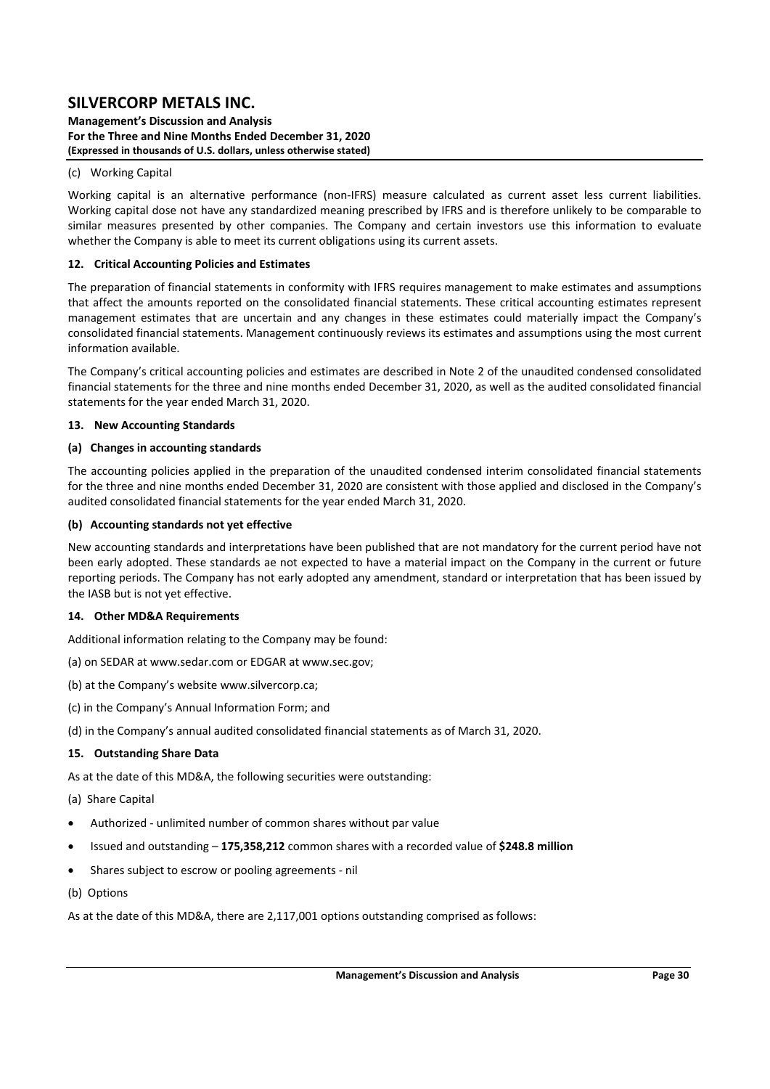**Management's Discussion and Analysis For the Three and Nine Months Ended December 31, 2020 (Expressed in thousands of U.S. dollars, unless otherwise stated)** 

#### (c) Working Capital

Working capital is an alternative performance (non-IFRS) measure calculated as current asset less current liabilities. Working capital dose not have any standardized meaning prescribed by IFRS and is therefore unlikely to be comparable to similar measures presented by other companies. The Company and certain investors use this information to evaluate whether the Company is able to meet its current obligations using its current assets.

#### **12. Critical Accounting Policies and Estimates**

The preparation of financial statements in conformity with IFRS requires management to make estimates and assumptions that affect the amounts reported on the consolidated financial statements. These critical accounting estimates represent management estimates that are uncertain and any changes in these estimates could materially impact the Company's consolidated financial statements. Management continuously reviews its estimates and assumptions using the most current information available.

The Company's critical accounting policies and estimates are described in Note 2 of the unaudited condensed consolidated financial statements for the three and nine months ended December 31, 2020, as well as the audited consolidated financial statements for the year ended March 31, 2020.

#### **13. New Accounting Standards**

### **(a) Changes in accounting standards**

The accounting policies applied in the preparation of the unaudited condensed interim consolidated financial statements for the three and nine months ended December 31, 2020 are consistent with those applied and disclosed in the Company's audited consolidated financial statements for the year ended March 31, 2020.

### **(b) Accounting standards not yet effective**

New accounting standards and interpretations have been published that are not mandatory for the current period have not been early adopted. These standards ae not expected to have a material impact on the Company in the current or future reporting periods. The Company has not early adopted any amendment, standard or interpretation that has been issued by the IASB but is not yet effective.

#### **14. Other MD&A Requirements**

Additional information relating to the Company may be found:

- (a) on SEDAR at www.sedar.com or EDGAR at www.sec.gov;
- (b) at the Company's website www.silvercorp.ca;
- (c) in the Company's Annual Information Form; and
- (d) in the Company's annual audited consolidated financial statements as of March 31, 2020.

### **15. Outstanding Share Data**

As at the date of this MD&A, the following securities were outstanding:

- (a) Share Capital
- Authorized ‐ unlimited number of common shares without par value
- Issued and outstanding **175,358,212** common shares with a recorded value of **\$248.8 million**
- Shares subject to escrow or pooling agreements ‐ nil
- (b) Options

As at the date of this MD&A, there are 2,117,001 options outstanding comprised as follows: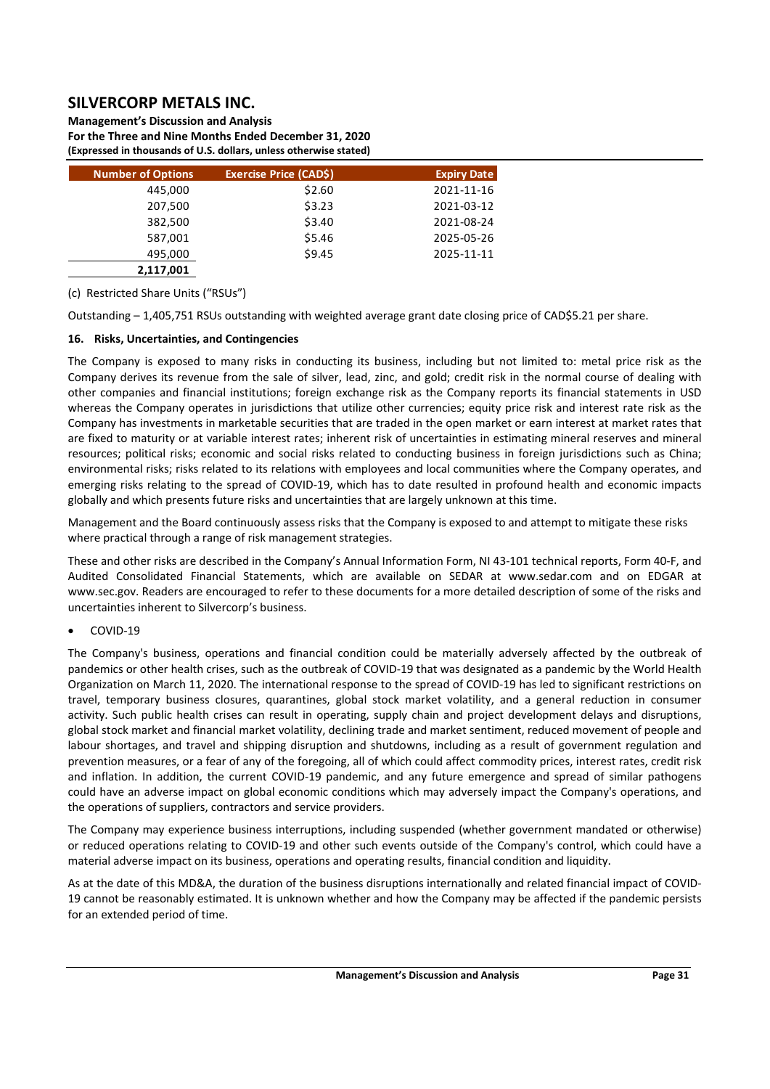**Management's Discussion and Analysis** 

**For the Three and Nine Months Ended December 31, 2020 (Expressed in thousands of U.S. dollars, unless otherwise stated)** 

| <b>Number of Options</b> | <b>Exercise Price (CADS)</b> | <b>Expiry Date</b> |
|--------------------------|------------------------------|--------------------|
| 445,000                  | \$2.60                       | 2021-11-16         |
| 207,500                  | \$3.23                       | 2021-03-12         |
| 382,500                  | \$3.40                       | 2021-08-24         |
| 587,001                  | \$5.46                       | 2025-05-26         |
| 495,000                  | \$9.45                       | 2025-11-11         |
| 2,117,001                |                              |                    |

(c) Restricted Share Units ("RSUs")

Outstanding – 1,405,751 RSUs outstanding with weighted average grant date closing price of CAD\$5.21 per share.

## **16. Risks, Uncertainties, and Contingencies**

The Company is exposed to many risks in conducting its business, including but not limited to: metal price risk as the Company derives its revenue from the sale of silver, lead, zinc, and gold; credit risk in the normal course of dealing with other companies and financial institutions; foreign exchange risk as the Company reports its financial statements in USD whereas the Company operates in jurisdictions that utilize other currencies; equity price risk and interest rate risk as the Company has investments in marketable securities that are traded in the open market or earn interest at market rates that are fixed to maturity or at variable interest rates; inherent risk of uncertainties in estimating mineral reserves and mineral resources; political risks; economic and social risks related to conducting business in foreign jurisdictions such as China; environmental risks; risks related to its relations with employees and local communities where the Company operates, and emerging risks relating to the spread of COVID-19, which has to date resulted in profound health and economic impacts globally and which presents future risks and uncertainties that are largely unknown at this time.

Management and the Board continuously assess risks that the Company is exposed to and attempt to mitigate these risks where practical through a range of risk management strategies.

These and other risks are described in the Company's Annual Information Form, NI 43‐101 technical reports, Form 40‐F, and Audited Consolidated Financial Statements, which are available on SEDAR at www.sedar.com and on EDGAR at www.sec.gov. Readers are encouraged to refer to these documents for a more detailed description of some of the risks and uncertainties inherent to Silvercorp's business.

## COVID‐19

The Company's business, operations and financial condition could be materially adversely affected by the outbreak of pandemics or other health crises, such as the outbreak of COVID‐19 that was designated as a pandemic by the World Health Organization on March 11, 2020. The international response to the spread of COVID‐19 has led to significant restrictions on travel, temporary business closures, quarantines, global stock market volatility, and a general reduction in consumer activity. Such public health crises can result in operating, supply chain and project development delays and disruptions, global stock market and financial market volatility, declining trade and market sentiment, reduced movement of people and labour shortages, and travel and shipping disruption and shutdowns, including as a result of government regulation and prevention measures, or a fear of any of the foregoing, all of which could affect commodity prices, interest rates, credit risk and inflation. In addition, the current COVID-19 pandemic, and any future emergence and spread of similar pathogens could have an adverse impact on global economic conditions which may adversely impact the Company's operations, and the operations of suppliers, contractors and service providers.

The Company may experience business interruptions, including suspended (whether government mandated or otherwise) or reduced operations relating to COVID‐19 and other such events outside of the Company's control, which could have a material adverse impact on its business, operations and operating results, financial condition and liquidity.

As at the date of this MD&A, the duration of the business disruptions internationally and related financial impact of COVID‐ 19 cannot be reasonably estimated. It is unknown whether and how the Company may be affected if the pandemic persists for an extended period of time.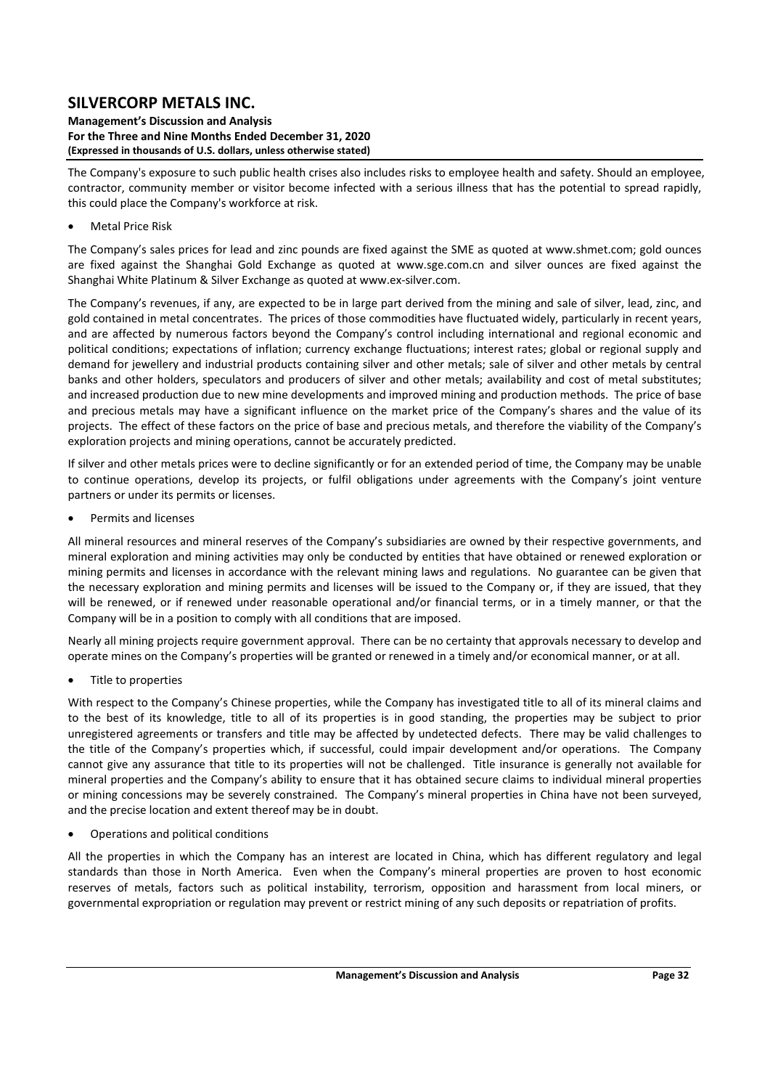**Management's Discussion and Analysis For the Three and Nine Months Ended December 31, 2020 (Expressed in thousands of U.S. dollars, unless otherwise stated)** 

The Company's exposure to such public health crises also includes risks to employee health and safety. Should an employee, contractor, community member or visitor become infected with a serious illness that has the potential to spread rapidly, this could place the Company's workforce at risk.

## Metal Price Risk

The Company's sales prices for lead and zinc pounds are fixed against the SME as quoted at www.shmet.com; gold ounces are fixed against the Shanghai Gold Exchange as quoted at www.sge.com.cn and silver ounces are fixed against the Shanghai White Platinum & Silver Exchange as quoted at www.ex‐silver.com.

The Company's revenues, if any, are expected to be in large part derived from the mining and sale of silver, lead, zinc, and gold contained in metal concentrates. The prices of those commodities have fluctuated widely, particularly in recent years, and are affected by numerous factors beyond the Company's control including international and regional economic and political conditions; expectations of inflation; currency exchange fluctuations; interest rates; global or regional supply and demand for jewellery and industrial products containing silver and other metals; sale of silver and other metals by central banks and other holders, speculators and producers of silver and other metals; availability and cost of metal substitutes; and increased production due to new mine developments and improved mining and production methods. The price of base and precious metals may have a significant influence on the market price of the Company's shares and the value of its projects. The effect of these factors on the price of base and precious metals, and therefore the viability of the Company's exploration projects and mining operations, cannot be accurately predicted.

If silver and other metals prices were to decline significantly or for an extended period of time, the Company may be unable to continue operations, develop its projects, or fulfil obligations under agreements with the Company's joint venture partners or under its permits or licenses.

Permits and licenses

All mineral resources and mineral reserves of the Company's subsidiaries are owned by their respective governments, and mineral exploration and mining activities may only be conducted by entities that have obtained or renewed exploration or mining permits and licenses in accordance with the relevant mining laws and regulations. No guarantee can be given that the necessary exploration and mining permits and licenses will be issued to the Company or, if they are issued, that they will be renewed, or if renewed under reasonable operational and/or financial terms, or in a timely manner, or that the Company will be in a position to comply with all conditions that are imposed.

Nearly all mining projects require government approval. There can be no certainty that approvals necessary to develop and operate mines on the Company's properties will be granted or renewed in a timely and/or economical manner, or at all.

Title to properties

With respect to the Company's Chinese properties, while the Company has investigated title to all of its mineral claims and to the best of its knowledge, title to all of its properties is in good standing, the properties may be subject to prior unregistered agreements or transfers and title may be affected by undetected defects. There may be valid challenges to the title of the Company's properties which, if successful, could impair development and/or operations. The Company cannot give any assurance that title to its properties will not be challenged. Title insurance is generally not available for mineral properties and the Company's ability to ensure that it has obtained secure claims to individual mineral properties or mining concessions may be severely constrained. The Company's mineral properties in China have not been surveyed, and the precise location and extent thereof may be in doubt.

Operations and political conditions

All the properties in which the Company has an interest are located in China, which has different regulatory and legal standards than those in North America. Even when the Company's mineral properties are proven to host economic reserves of metals, factors such as political instability, terrorism, opposition and harassment from local miners, or governmental expropriation or regulation may prevent or restrict mining of any such deposits or repatriation of profits.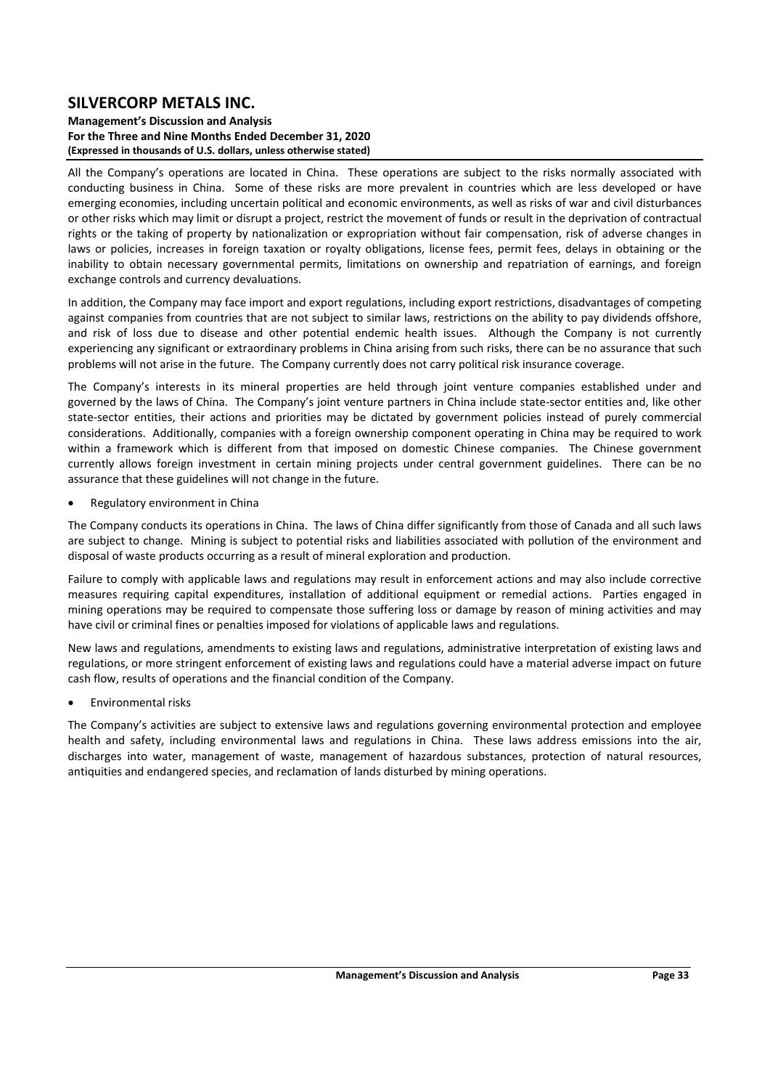#### **Management's Discussion and Analysis For the Three and Nine Months Ended December 31, 2020 (Expressed in thousands of U.S. dollars, unless otherwise stated)**

All the Company's operations are located in China. These operations are subject to the risks normally associated with conducting business in China. Some of these risks are more prevalent in countries which are less developed or have emerging economies, including uncertain political and economic environments, as well as risks of war and civil disturbances or other risks which may limit or disrupt a project, restrict the movement of funds or result in the deprivation of contractual rights or the taking of property by nationalization or expropriation without fair compensation, risk of adverse changes in laws or policies, increases in foreign taxation or royalty obligations, license fees, permit fees, delays in obtaining or the inability to obtain necessary governmental permits, limitations on ownership and repatriation of earnings, and foreign exchange controls and currency devaluations.

In addition, the Company may face import and export regulations, including export restrictions, disadvantages of competing against companies from countries that are not subject to similar laws, restrictions on the ability to pay dividends offshore, and risk of loss due to disease and other potential endemic health issues. Although the Company is not currently experiencing any significant or extraordinary problems in China arising from such risks, there can be no assurance that such problems will not arise in the future. The Company currently does not carry political risk insurance coverage.

The Company's interests in its mineral properties are held through joint venture companies established under and governed by the laws of China. The Company's joint venture partners in China include state‐sector entities and, like other state-sector entities, their actions and priorities may be dictated by government policies instead of purely commercial considerations. Additionally, companies with a foreign ownership component operating in China may be required to work within a framework which is different from that imposed on domestic Chinese companies. The Chinese government currently allows foreign investment in certain mining projects under central government guidelines. There can be no assurance that these guidelines will not change in the future.

Regulatory environment in China

The Company conducts its operations in China. The laws of China differ significantly from those of Canada and all such laws are subject to change. Mining is subject to potential risks and liabilities associated with pollution of the environment and disposal of waste products occurring as a result of mineral exploration and production.

Failure to comply with applicable laws and regulations may result in enforcement actions and may also include corrective measures requiring capital expenditures, installation of additional equipment or remedial actions. Parties engaged in mining operations may be required to compensate those suffering loss or damage by reason of mining activities and may have civil or criminal fines or penalties imposed for violations of applicable laws and regulations.

New laws and regulations, amendments to existing laws and regulations, administrative interpretation of existing laws and regulations, or more stringent enforcement of existing laws and regulations could have a material adverse impact on future cash flow, results of operations and the financial condition of the Company.

Environmental risks

The Company's activities are subject to extensive laws and regulations governing environmental protection and employee health and safety, including environmental laws and regulations in China. These laws address emissions into the air, discharges into water, management of waste, management of hazardous substances, protection of natural resources, antiquities and endangered species, and reclamation of lands disturbed by mining operations.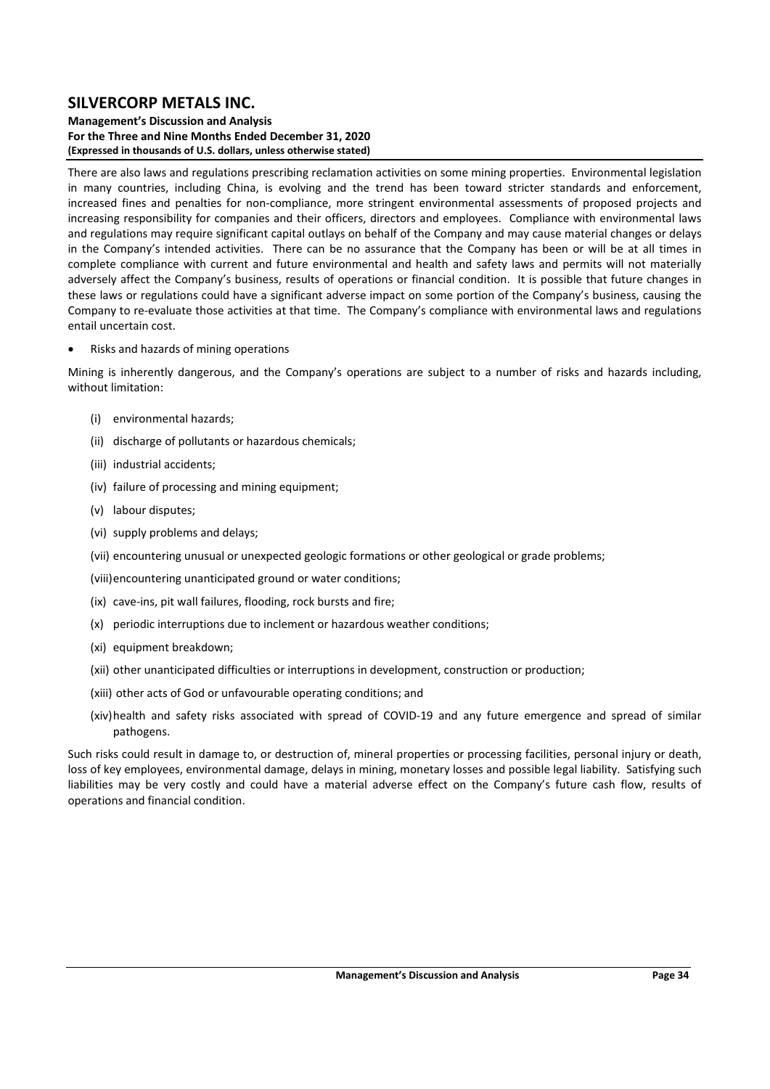**Management's Discussion and Analysis For the Three and Nine Months Ended December 31, 2020 (Expressed in thousands of U.S. dollars, unless otherwise stated)** 

There are also laws and regulations prescribing reclamation activities on some mining properties. Environmental legislation in many countries, including China, is evolving and the trend has been toward stricter standards and enforcement, increased fines and penalties for non-compliance, more stringent environmental assessments of proposed projects and increasing responsibility for companies and their officers, directors and employees. Compliance with environmental laws and regulations may require significant capital outlays on behalf of the Company and may cause material changes or delays in the Company's intended activities. There can be no assurance that the Company has been or will be at all times in complete compliance with current and future environmental and health and safety laws and permits will not materially adversely affect the Company's business, results of operations or financial condition. It is possible that future changes in these laws or regulations could have a significant adverse impact on some portion of the Company's business, causing the Company to re‐evaluate those activities at that time. The Company's compliance with environmental laws and regulations entail uncertain cost.

Risks and hazards of mining operations

Mining is inherently dangerous, and the Company's operations are subject to a number of risks and hazards including, without limitation:

- (i) environmental hazards;
- (ii) discharge of pollutants or hazardous chemicals;
- (iii) industrial accidents;
- (iv) failure of processing and mining equipment;
- (v) labour disputes;
- (vi) supply problems and delays;
- (vii) encountering unusual or unexpected geologic formations or other geological or grade problems;
- (viii)encountering unanticipated ground or water conditions;
- (ix) cave‐ins, pit wall failures, flooding, rock bursts and fire;
- (x) periodic interruptions due to inclement or hazardous weather conditions;
- (xi) equipment breakdown;
- (xii) other unanticipated difficulties or interruptions in development, construction or production;
- (xiii) other acts of God or unfavourable operating conditions; and
- (xiv)health and safety risks associated with spread of COVID‐19 and any future emergence and spread of similar pathogens.

Such risks could result in damage to, or destruction of, mineral properties or processing facilities, personal injury or death, loss of key employees, environmental damage, delays in mining, monetary losses and possible legal liability. Satisfying such liabilities may be very costly and could have a material adverse effect on the Company's future cash flow, results of operations and financial condition.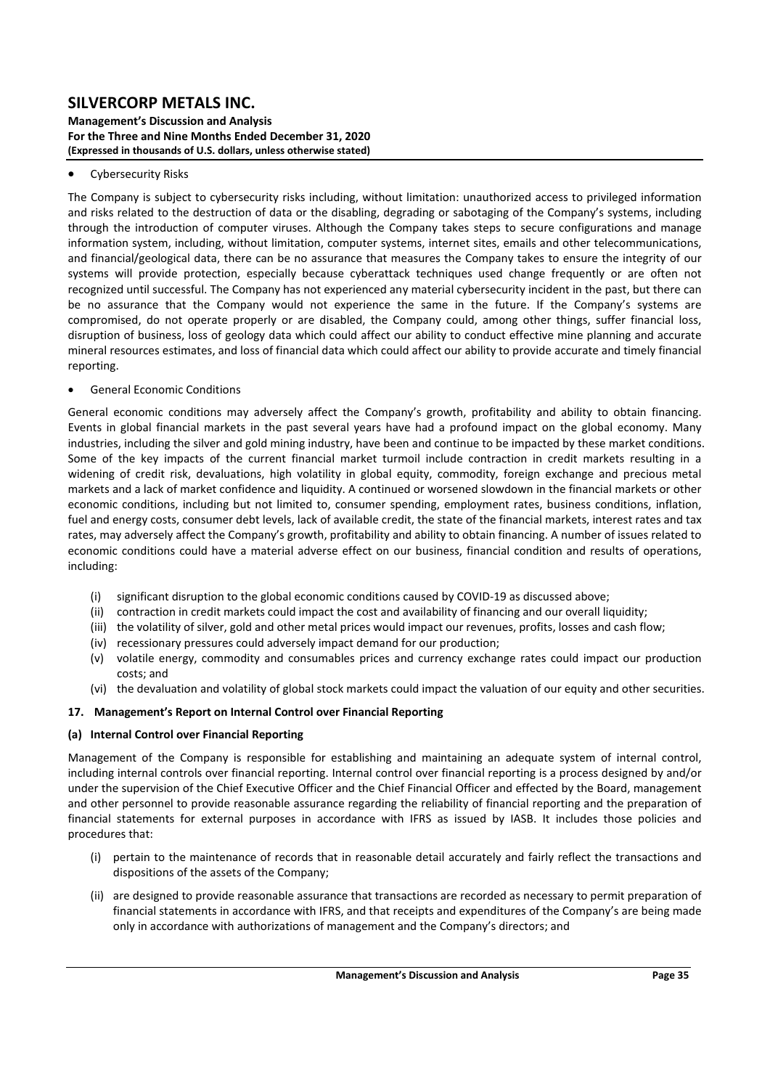#### **Management's Discussion and Analysis For the Three and Nine Months Ended December 31, 2020 (Expressed in thousands of U.S. dollars, unless otherwise stated)**

### Cybersecurity Risks

The Company is subject to cybersecurity risks including, without limitation: unauthorized access to privileged information and risks related to the destruction of data or the disabling, degrading or sabotaging of the Company's systems, including through the introduction of computer viruses. Although the Company takes steps to secure configurations and manage information system, including, without limitation, computer systems, internet sites, emails and other telecommunications, and financial/geological data, there can be no assurance that measures the Company takes to ensure the integrity of our systems will provide protection, especially because cyberattack techniques used change frequently or are often not recognized until successful. The Company has not experienced any material cybersecurity incident in the past, but there can be no assurance that the Company would not experience the same in the future. If the Company's systems are compromised, do not operate properly or are disabled, the Company could, among other things, suffer financial loss, disruption of business, loss of geology data which could affect our ability to conduct effective mine planning and accurate mineral resources estimates, and loss of financial data which could affect our ability to provide accurate and timely financial reporting.

### General Economic Conditions

General economic conditions may adversely affect the Company's growth, profitability and ability to obtain financing. Events in global financial markets in the past several years have had a profound impact on the global economy. Many industries, including the silver and gold mining industry, have been and continue to be impacted by these market conditions. Some of the key impacts of the current financial market turmoil include contraction in credit markets resulting in a widening of credit risk, devaluations, high volatility in global equity, commodity, foreign exchange and precious metal markets and a lack of market confidence and liquidity. A continued or worsened slowdown in the financial markets or other economic conditions, including but not limited to, consumer spending, employment rates, business conditions, inflation, fuel and energy costs, consumer debt levels, lack of available credit, the state of the financial markets, interest rates and tax rates, may adversely affect the Company's growth, profitability and ability to obtain financing. A number of issues related to economic conditions could have a material adverse effect on our business, financial condition and results of operations, including:

- (i) significant disruption to the global economic conditions caused by COVID‐19 as discussed above;
- (ii) contraction in credit markets could impact the cost and availability of financing and our overall liquidity;
- (iii) the volatility of silver, gold and other metal prices would impact our revenues, profits, losses and cash flow;
- (iv) recessionary pressures could adversely impact demand for our production;
- (v) volatile energy, commodity and consumables prices and currency exchange rates could impact our production costs; and
- (vi) the devaluation and volatility of global stock markets could impact the valuation of our equity and other securities.

## **17. Management's Report on Internal Control over Financial Reporting**

## **(a) Internal Control over Financial Reporting**

Management of the Company is responsible for establishing and maintaining an adequate system of internal control, including internal controls over financial reporting. Internal control over financial reporting is a process designed by and/or under the supervision of the Chief Executive Officer and the Chief Financial Officer and effected by the Board, management and other personnel to provide reasonable assurance regarding the reliability of financial reporting and the preparation of financial statements for external purposes in accordance with IFRS as issued by IASB. It includes those policies and procedures that:

- (i) pertain to the maintenance of records that in reasonable detail accurately and fairly reflect the transactions and dispositions of the assets of the Company;
- (ii) are designed to provide reasonable assurance that transactions are recorded as necessary to permit preparation of financial statements in accordance with IFRS, and that receipts and expenditures of the Company's are being made only in accordance with authorizations of management and the Company's directors; and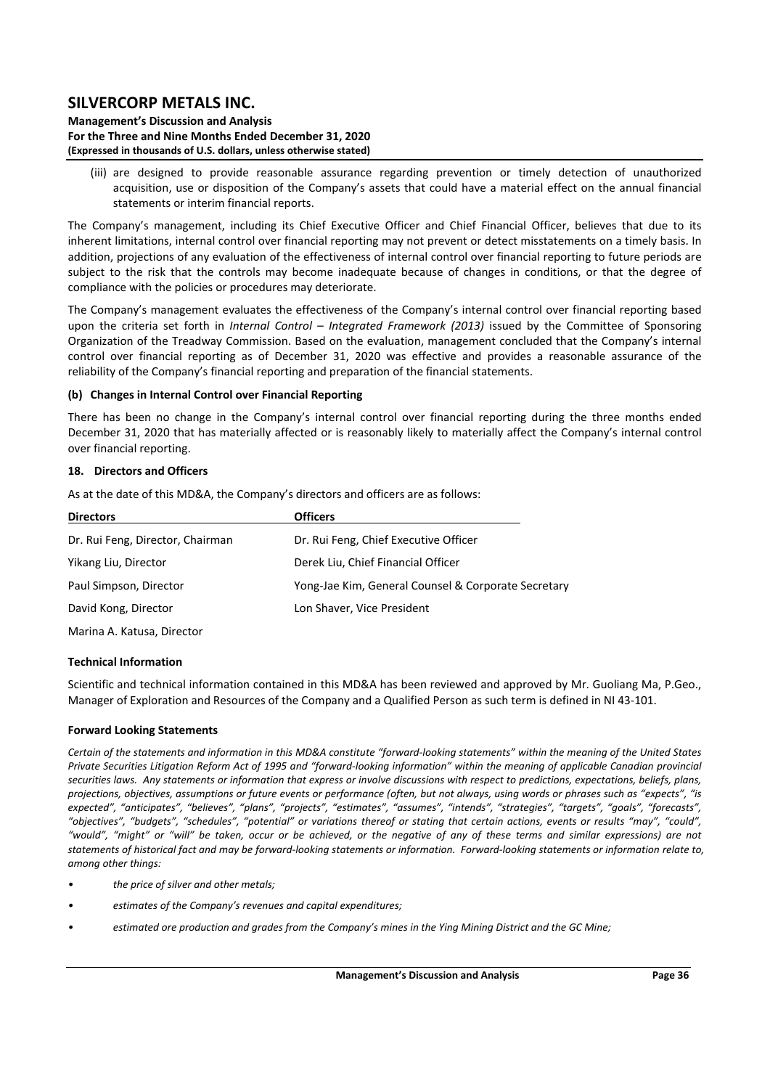**Management's Discussion and Analysis For the Three and Nine Months Ended December 31, 2020 (Expressed in thousands of U.S. dollars, unless otherwise stated)** 

(iii) are designed to provide reasonable assurance regarding prevention or timely detection of unauthorized acquisition, use or disposition of the Company's assets that could have a material effect on the annual financial statements or interim financial reports.

The Company's management, including its Chief Executive Officer and Chief Financial Officer, believes that due to its inherent limitations, internal control over financial reporting may not prevent or detect misstatements on a timely basis. In addition, projections of any evaluation of the effectiveness of internal control over financial reporting to future periods are subject to the risk that the controls may become inadequate because of changes in conditions, or that the degree of compliance with the policies or procedures may deteriorate.

The Company's management evaluates the effectiveness of the Company's internal control over financial reporting based upon the criteria set forth in *Internal Control - Integrated Framework (2013)* issued by the Committee of Sponsoring Organization of the Treadway Commission. Based on the evaluation, management concluded that the Company's internal control over financial reporting as of December 31, 2020 was effective and provides a reasonable assurance of the reliability of the Company's financial reporting and preparation of the financial statements.

### **(b) Changes in Internal Control over Financial Reporting**

There has been no change in the Company's internal control over financial reporting during the three months ended December 31, 2020 that has materially affected or is reasonably likely to materially affect the Company's internal control over financial reporting.

### **18. Directors and Officers**

As at the date of this MD&A, the Company's directors and officers are as follows:

| <b>Directors</b>                 | <b>Officers</b>                                     |  |  |  |  |  |
|----------------------------------|-----------------------------------------------------|--|--|--|--|--|
| Dr. Rui Feng, Director, Chairman | Dr. Rui Feng, Chief Executive Officer               |  |  |  |  |  |
| Yikang Liu, Director             | Derek Liu, Chief Financial Officer                  |  |  |  |  |  |
| Paul Simpson, Director           | Yong-Jae Kim, General Counsel & Corporate Secretary |  |  |  |  |  |
| David Kong, Director             | Lon Shaver, Vice President                          |  |  |  |  |  |
| Marina A. Katusa, Director       |                                                     |  |  |  |  |  |

### **Technical Information**

Scientific and technical information contained in this MD&A has been reviewed and approved by Mr. Guoliang Ma, P.Geo., Manager of Exploration and Resources of the Company and a Qualified Person as such term is defined in NI 43‐101.

## **Forward Looking Statements**

*Certain of the statements and information in this MD&A constitute "forward‐looking statements" within the meaning of the United States Private Securities Litigation Reform Act of 1995 and "forward‐looking information" within the meaning of applicable Canadian provincial securities laws. Any statements or information that express or involve discussions with respect to predictions, expectations, beliefs, plans, projections, objectives, assumptions or future events or performance (often, but not always, using words or phrases such as "expects", "is expected", "anticipates", "believes", "plans", "projects", "estimates", "assumes", "intends", "strategies", "targets", "goals", "forecasts", "objectives", "budgets", "schedules", "potential" or variations thereof or stating that certain actions, events or results "may", "could", "would", "might" or "will" be taken, occur or be achieved, or the negative of any of these terms and similar expressions) are not statements of historical fact and may be forward‐looking statements or information. Forward‐looking statements or information relate to, among other things:* 

- *the price of silver and other metals;*
- *estimates of the Company's revenues and capital expenditures;*
- *estimated ore production and grades from the Company's mines in the Ying Mining District and the GC Mine;*